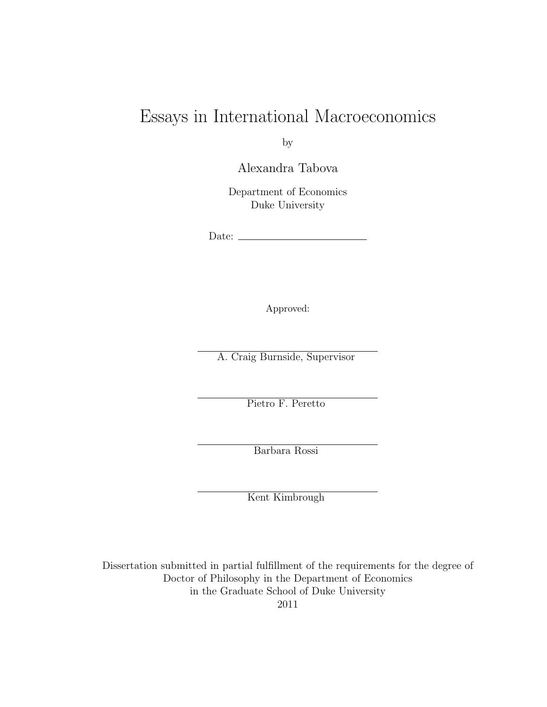## Essays in International Macroeconomics

by

Alexandra Tabova

Department of Economics Duke University

Date:  $\_\_$ 

Approved:

A. Craig Burnside, Supervisor

Pietro F. Peretto

Barbara Rossi

Kent Kimbrough

Dissertation submitted in partial fulfillment of the requirements for the degree of Doctor of Philosophy in the Department of Economics in the Graduate School of Duke University 2011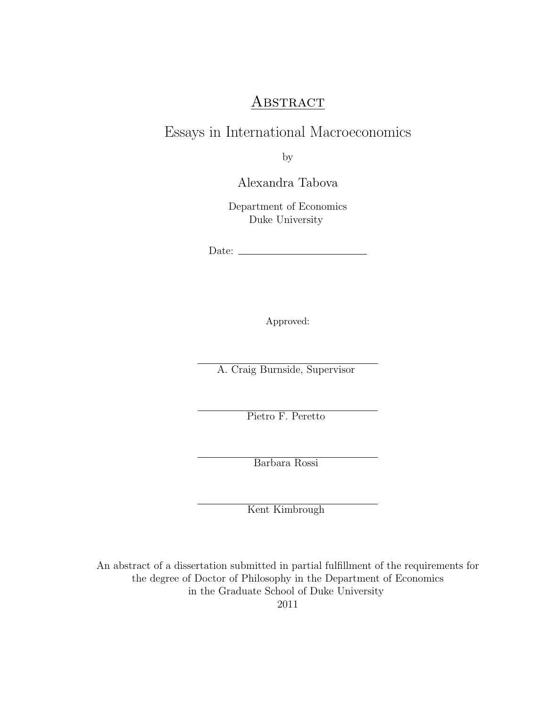#### **ABSTRACT**

### Essays in International Macroeconomics

by

Alexandra Tabova

Department of Economics Duke University

Date:

Approved:

A. Craig Burnside, Supervisor

Pietro F. Peretto

Barbara Rossi

Kent Kimbrough

An abstract of a dissertation submitted in partial fulfillment of the requirements for the degree of Doctor of Philosophy in the Department of Economics in the Graduate School of Duke University

2011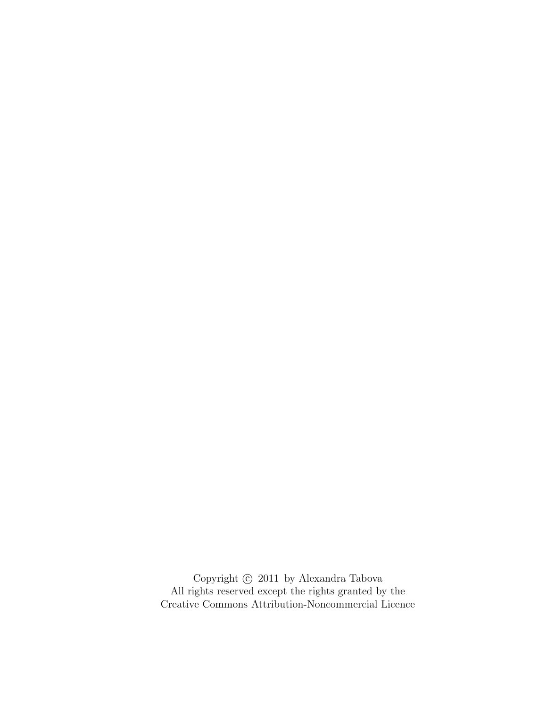Copyright  $\odot$  2011 by Alexandra Tabova All rights reserved except the rights granted by the [Creative Commons Attribution-Noncommercial Licence](http://creativecommons.org/licenses/by-nc/3.0/us/)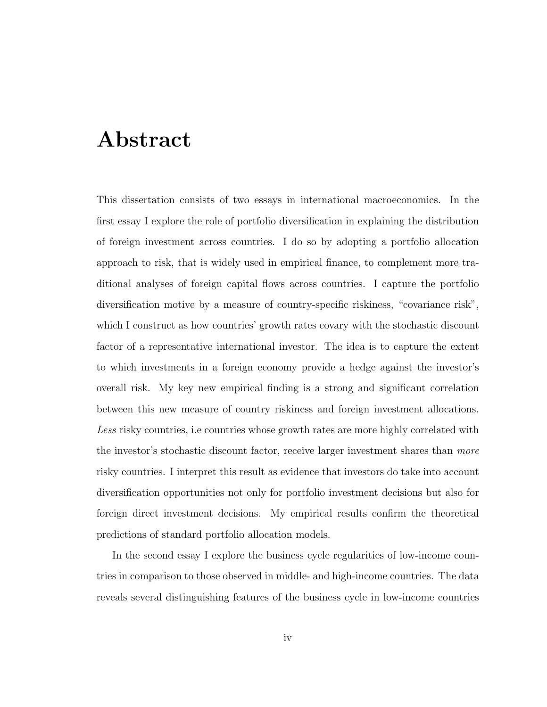## <span id="page-3-0"></span>Abstract

This dissertation consists of two essays in international macroeconomics. In the first essay I explore the role of portfolio diversification in explaining the distribution of foreign investment across countries. I do so by adopting a portfolio allocation approach to risk, that is widely used in empirical finance, to complement more traditional analyses of foreign capital flows across countries. I capture the portfolio diversification motive by a measure of country-specific riskiness, "covariance risk", which I construct as how countries' growth rates covary with the stochastic discount factor of a representative international investor. The idea is to capture the extent to which investments in a foreign economy provide a hedge against the investor's overall risk. My key new empirical finding is a strong and significant correlation between this new measure of country riskiness and foreign investment allocations. Less risky countries, i.e countries whose growth rates are more highly correlated with the investor's stochastic discount factor, receive larger investment shares than more risky countries. I interpret this result as evidence that investors do take into account diversification opportunities not only for portfolio investment decisions but also for foreign direct investment decisions. My empirical results confirm the theoretical predictions of standard portfolio allocation models.

In the second essay I explore the business cycle regularities of low-income countries in comparison to those observed in middle- and high-income countries. The data reveals several distinguishing features of the business cycle in low-income countries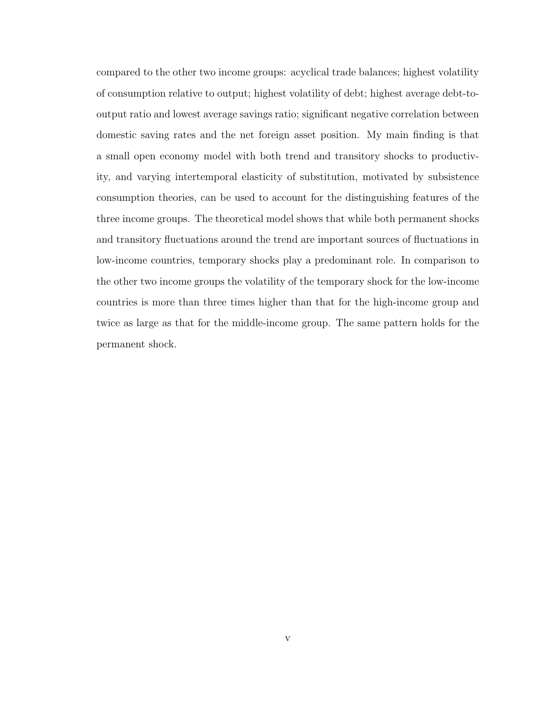compared to the other two income groups: acyclical trade balances; highest volatility of consumption relative to output; highest volatility of debt; highest average debt-tooutput ratio and lowest average savings ratio; significant negative correlation between domestic saving rates and the net foreign asset position. My main finding is that a small open economy model with both trend and transitory shocks to productivity, and varying intertemporal elasticity of substitution, motivated by subsistence consumption theories, can be used to account for the distinguishing features of the three income groups. The theoretical model shows that while both permanent shocks and transitory fluctuations around the trend are important sources of fluctuations in low-income countries, temporary shocks play a predominant role. In comparison to the other two income groups the volatility of the temporary shock for the low-income countries is more than three times higher than that for the high-income group and twice as large as that for the middle-income group. The same pattern holds for the permanent shock.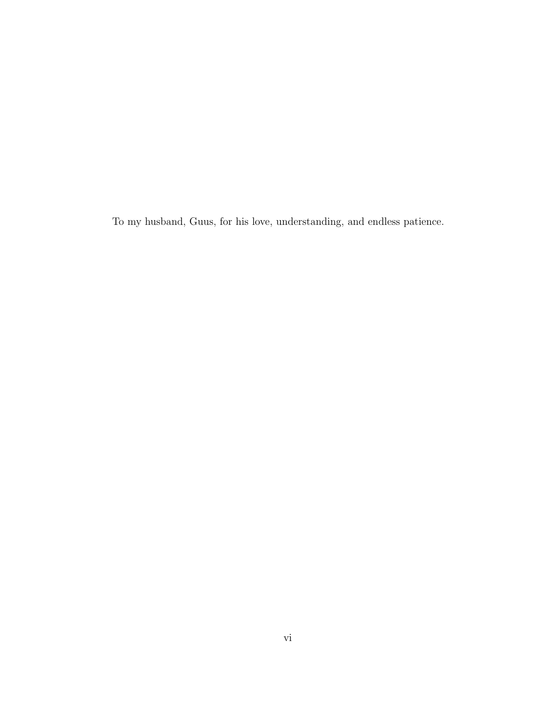To my husband, Guus, for his love, understanding, and endless patience.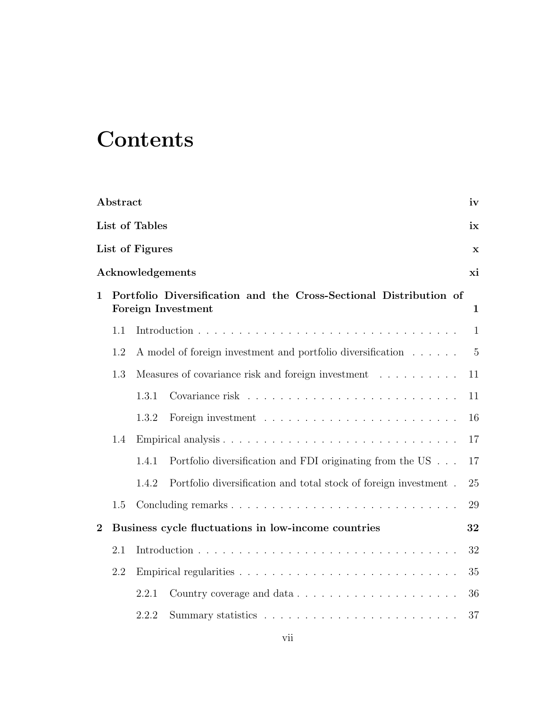## **Contents**

|                | Abstract |                 |                                                                                                | iv             |
|----------------|----------|-----------------|------------------------------------------------------------------------------------------------|----------------|
|                |          | List of Tables  |                                                                                                | ix             |
|                |          | List of Figures |                                                                                                | $\mathbf x$    |
|                |          |                 | Acknowledgements                                                                               | хi             |
| $\mathbf{1}$   |          |                 | Portfolio Diversification and the Cross-Sectional Distribution of<br><b>Foreign Investment</b> | $\mathbf{1}$   |
|                | 1.1      |                 |                                                                                                | $\mathbf{1}$   |
|                | 1.2      |                 | A model of foreign investment and portfolio diversification                                    | $\overline{5}$ |
|                | 1.3      |                 | Measures of covariance risk and foreign investment                                             | 11             |
|                |          | 1.3.1           |                                                                                                | 11             |
|                |          | 1.3.2           |                                                                                                | 16             |
|                | 1.4      |                 |                                                                                                | 17             |
|                |          | 1.4.1           | Portfolio diversification and FDI originating from the US $\ldots$ .                           | 17             |
|                |          | 1.4.2           | Portfolio diversification and total stock of foreign investment.                               | 25             |
|                | 1.5      |                 |                                                                                                | 29             |
| $\overline{2}$ |          |                 | Business cycle fluctuations in low-income countries                                            | 32             |
|                | 2.1      |                 |                                                                                                | 32             |
|                | 2.2      |                 |                                                                                                | 35             |
|                |          | 2.2.1           |                                                                                                | 36             |
|                |          | 2.2.2           |                                                                                                | 37             |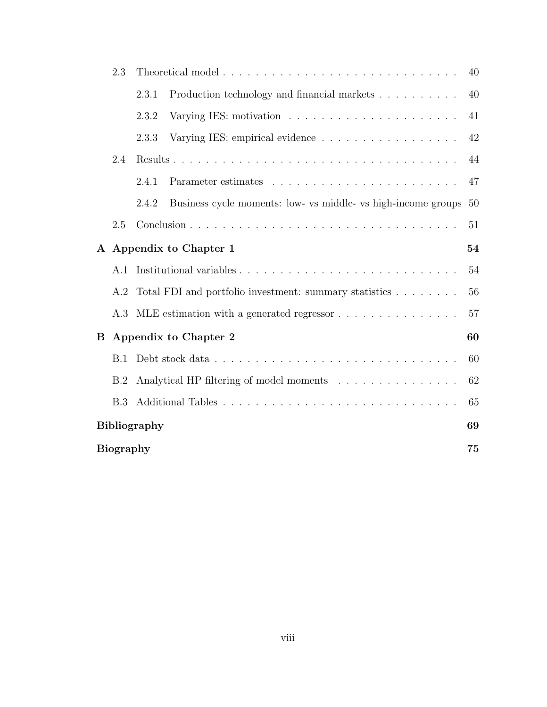|              | 2.3              |                     |                                                               | 40 |
|--------------|------------------|---------------------|---------------------------------------------------------------|----|
|              |                  | 2.3.1               | Production technology and financial markets                   | 40 |
|              |                  | 2.3.2               |                                                               | 41 |
|              |                  | 2.3.3               | Varying IES: empirical evidence                               | 42 |
|              | 2.4              |                     |                                                               | 44 |
|              |                  | 2.4.1               |                                                               | 47 |
|              |                  | 2.4.2               | Business cycle moments: low- vs middle- vs high-income groups | 50 |
|              | 2.5              |                     |                                                               | 51 |
| $\mathbf{A}$ |                  |                     | Appendix to Chapter 1                                         | 54 |
|              | A.1              |                     |                                                               | 54 |
|              | A.2              |                     | Total FDI and portfolio investment: summary statistics        | 56 |
|              | A.3              |                     | MLE estimation with a generated regressor                     | 57 |
| B            |                  |                     | Appendix to Chapter 2                                         | 60 |
|              | B.1              |                     |                                                               | 60 |
|              | B.2              |                     | Analytical HP filtering of model moments                      | 62 |
|              | B.3              |                     |                                                               | 65 |
|              |                  | <b>Bibliography</b> |                                                               | 69 |
|              | <b>Biography</b> |                     |                                                               | 75 |
|              |                  |                     |                                                               |    |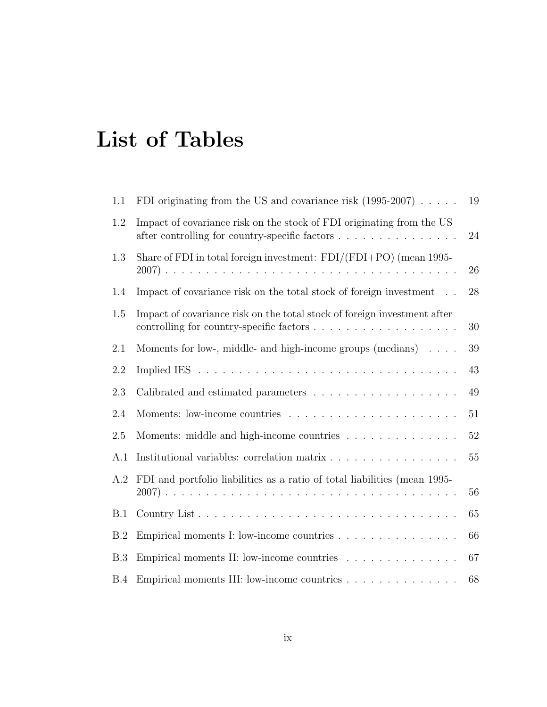# <span id="page-8-0"></span>List of Tables

| 1.1 | FDI originating from the US and covariance risk $(1995-2007) \ldots$ .                                                  | 19     |
|-----|-------------------------------------------------------------------------------------------------------------------------|--------|
| 1.2 | Impact of covariance risk on the stock of FDI originating from the US<br>after controlling for country-specific factors | $24\,$ |
| 1.3 | Share of FDI in total foreign investment: $FDI/(FDI+PO)$ (mean 1995-                                                    | 26     |
| 1.4 | Impact of covariance risk on the total stock of foreign investment                                                      | 28     |
| 1.5 | Impact of covariance risk on the total stock of foreign investment after                                                | 30     |
| 2.1 | Moments for low-, middle- and high-income groups (medians) $\ldots$ .                                                   | 39     |
| 2.2 |                                                                                                                         | 43     |
| 2.3 |                                                                                                                         | 49     |
| 2.4 |                                                                                                                         | 51     |
| 2.5 | Moments: middle and high-income countries                                                                               | 52     |
| A.1 | Institutional variables: correlation matrix                                                                             | 55     |
| A.2 | FDI and portfolio liabilities as a ratio of total liabilities (mean 1995-                                               | 56     |
| B.1 |                                                                                                                         | 65     |
| B.2 | Empirical moments I: low-income countries                                                                               | 66     |
| B.3 | Empirical moments II: low-income countries                                                                              | 67     |
| B.4 |                                                                                                                         | 68     |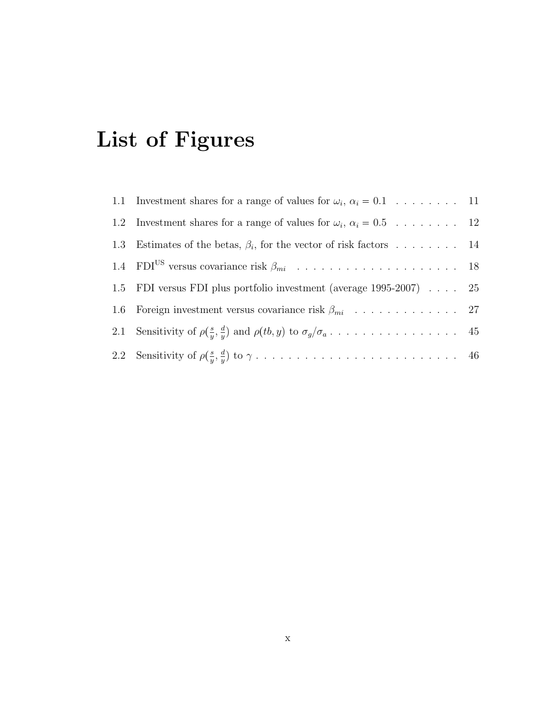# <span id="page-9-0"></span>List of Figures

| 1.1 Investment shares for a range of values for $\omega_i$ , $\alpha_i = 0.1$ 11 |  |
|----------------------------------------------------------------------------------|--|
| 1.2 Investment shares for a range of values for $\omega_i$ , $\alpha_i = 0.5$ 12 |  |
| 1.3 Estimates of the betas, $\beta_i$ , for the vector of risk factors 14        |  |
|                                                                                  |  |
| 1.5 FDI versus FDI plus portfolio investment (average 1995-2007) 25              |  |
|                                                                                  |  |
|                                                                                  |  |
|                                                                                  |  |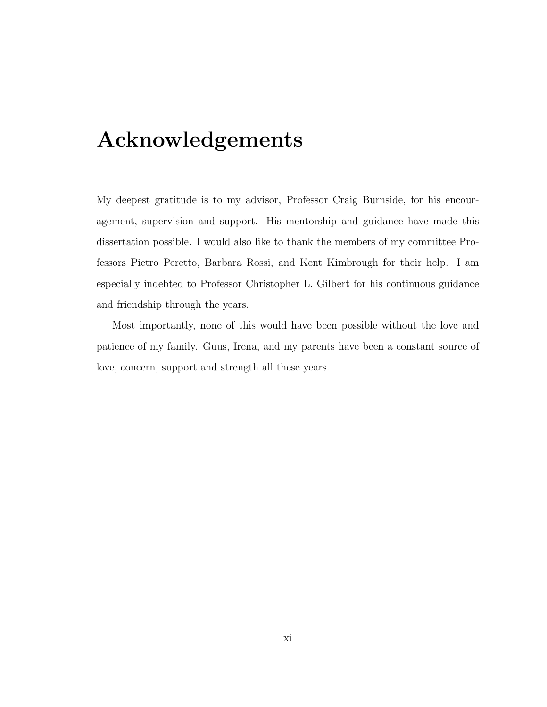## <span id="page-10-0"></span>Acknowledgements

My deepest gratitude is to my advisor, Professor Craig Burnside, for his encouragement, supervision and support. His mentorship and guidance have made this dissertation possible. I would also like to thank the members of my committee Professors Pietro Peretto, Barbara Rossi, and Kent Kimbrough for their help. I am especially indebted to Professor Christopher L. Gilbert for his continuous guidance and friendship through the years.

Most importantly, none of this would have been possible without the love and patience of my family. Guus, Irena, and my parents have been a constant source of love, concern, support and strength all these years.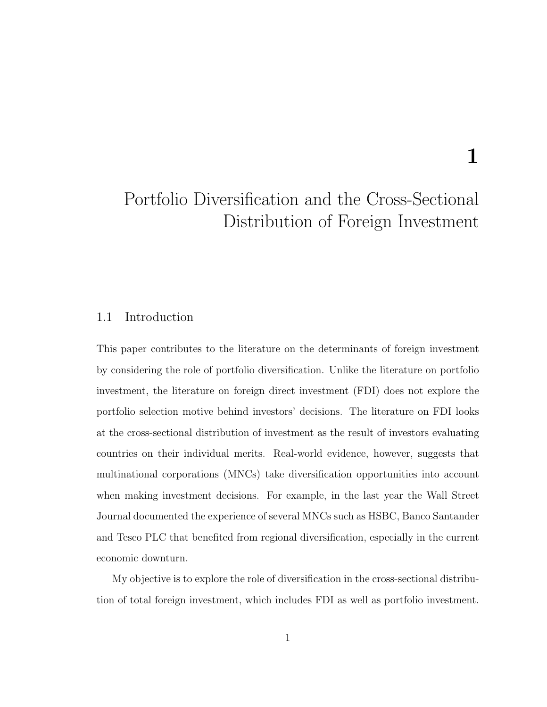## 1

## <span id="page-11-0"></span>Portfolio Diversification and the Cross-Sectional Distribution of Foreign Investment

#### <span id="page-11-1"></span>1.1 Introduction

This paper contributes to the literature on the determinants of foreign investment by considering the role of portfolio diversification. Unlike the literature on portfolio investment, the literature on foreign direct investment (FDI) does not explore the portfolio selection motive behind investors' decisions. The literature on FDI looks at the cross-sectional distribution of investment as the result of investors evaluating countries on their individual merits. Real-world evidence, however, suggests that multinational corporations (MNCs) take diversification opportunities into account when making investment decisions. For example, in the last year the Wall Street Journal documented the experience of several MNCs such as HSBC, Banco Santander and Tesco PLC that benefited from regional diversification, especially in the current economic downturn.

My objective is to explore the role of diversification in the cross-sectional distribution of total foreign investment, which includes FDI as well as portfolio investment.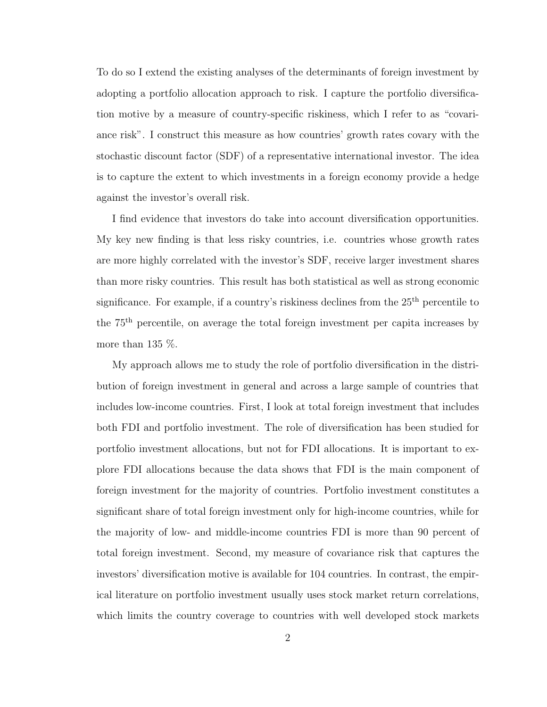To do so I extend the existing analyses of the determinants of foreign investment by adopting a portfolio allocation approach to risk. I capture the portfolio diversification motive by a measure of country-specific riskiness, which I refer to as "covariance risk". I construct this measure as how countries' growth rates covary with the stochastic discount factor (SDF) of a representative international investor. The idea is to capture the extent to which investments in a foreign economy provide a hedge against the investor's overall risk.

I find evidence that investors do take into account diversification opportunities. My key new finding is that less risky countries, i.e. countries whose growth rates are more highly correlated with the investor's SDF, receive larger investment shares than more risky countries. This result has both statistical as well as strong economic significance. For example, if a country's riskiness declines from the  $25<sup>th</sup>$  percentile to the 75th percentile, on average the total foreign investment per capita increases by more than 135  $\%$ .

My approach allows me to study the role of portfolio diversification in the distribution of foreign investment in general and across a large sample of countries that includes low-income countries. First, I look at total foreign investment that includes both FDI and portfolio investment. The role of diversification has been studied for portfolio investment allocations, but not for FDI allocations. It is important to explore FDI allocations because the data shows that FDI is the main component of foreign investment for the majority of countries. Portfolio investment constitutes a significant share of total foreign investment only for high-income countries, while for the majority of low- and middle-income countries FDI is more than 90 percent of total foreign investment. Second, my measure of covariance risk that captures the investors' diversification motive is available for 104 countries. In contrast, the empirical literature on portfolio investment usually uses stock market return correlations, which limits the country coverage to countries with well developed stock markets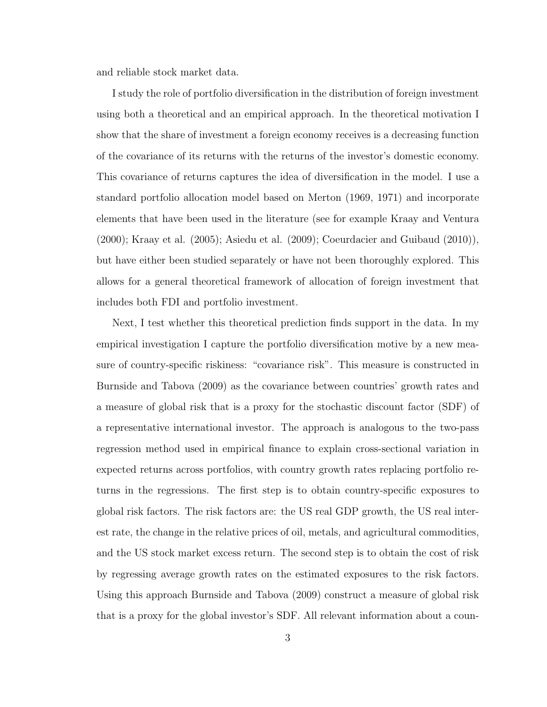and reliable stock market data.

I study the role of portfolio diversification in the distribution of foreign investment using both a theoretical and an empirical approach. In the theoretical motivation I show that the share of investment a foreign economy receives is a decreasing function of the covariance of its returns with the returns of the investor's domestic economy. This covariance of returns captures the idea of diversification in the model. I use a standard portfolio allocation model based on Merton (1969, 1971) and incorporate elements that have been used in the literature (see for example Kraay and Ventura (2000); Kraay et al. (2005); Asiedu et al. (2009); Coeurdacier and Guibaud (2010)), but have either been studied separately or have not been thoroughly explored. This allows for a general theoretical framework of allocation of foreign investment that includes both FDI and portfolio investment.

Next, I test whether this theoretical prediction finds support in the data. In my empirical investigation I capture the portfolio diversification motive by a new measure of country-specific riskiness: "covariance risk". This measure is constructed in Burnside and Tabova (2009) as the covariance between countries' growth rates and a measure of global risk that is a proxy for the stochastic discount factor (SDF) of a representative international investor. The approach is analogous to the two-pass regression method used in empirical finance to explain cross-sectional variation in expected returns across portfolios, with country growth rates replacing portfolio returns in the regressions. The first step is to obtain country-specific exposures to global risk factors. The risk factors are: the US real GDP growth, the US real interest rate, the change in the relative prices of oil, metals, and agricultural commodities, and the US stock market excess return. The second step is to obtain the cost of risk by regressing average growth rates on the estimated exposures to the risk factors. Using this approach Burnside and Tabova (2009) construct a measure of global risk that is a proxy for the global investor's SDF. All relevant information about a coun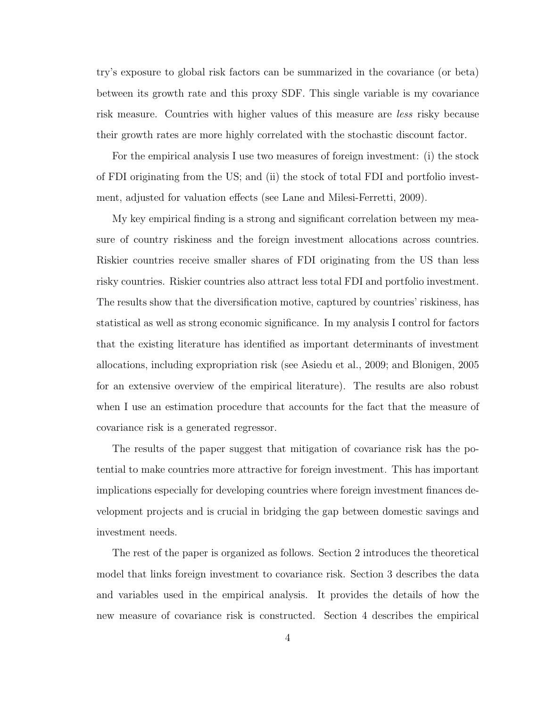try's exposure to global risk factors can be summarized in the covariance (or beta) between its growth rate and this proxy SDF. This single variable is my covariance risk measure. Countries with higher values of this measure are less risky because their growth rates are more highly correlated with the stochastic discount factor.

For the empirical analysis I use two measures of foreign investment: (i) the stock of FDI originating from the US; and (ii) the stock of total FDI and portfolio investment, adjusted for valuation effects (see Lane and Milesi-Ferretti, 2009).

My key empirical finding is a strong and significant correlation between my measure of country riskiness and the foreign investment allocations across countries. Riskier countries receive smaller shares of FDI originating from the US than less risky countries. Riskier countries also attract less total FDI and portfolio investment. The results show that the diversification motive, captured by countries' riskiness, has statistical as well as strong economic significance. In my analysis I control for factors that the existing literature has identified as important determinants of investment allocations, including expropriation risk (see Asiedu et al., 2009; and Blonigen, 2005 for an extensive overview of the empirical literature). The results are also robust when I use an estimation procedure that accounts for the fact that the measure of covariance risk is a generated regressor.

The results of the paper suggest that mitigation of covariance risk has the potential to make countries more attractive for foreign investment. This has important implications especially for developing countries where foreign investment finances development projects and is crucial in bridging the gap between domestic savings and investment needs.

The rest of the paper is organized as follows. Section 2 introduces the theoretical model that links foreign investment to covariance risk. Section 3 describes the data and variables used in the empirical analysis. It provides the details of how the new measure of covariance risk is constructed. Section 4 describes the empirical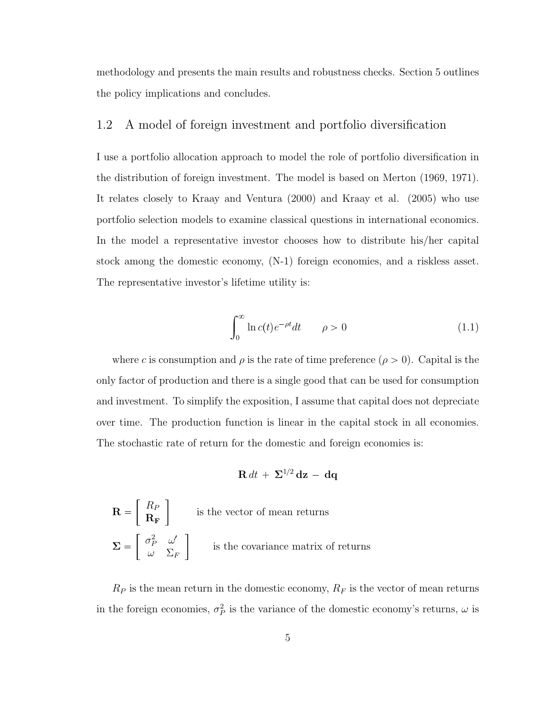methodology and presents the main results and robustness checks. Section 5 outlines the policy implications and concludes.

#### <span id="page-15-0"></span>1.2 A model of foreign investment and portfolio diversification

I use a portfolio allocation approach to model the role of portfolio diversification in the distribution of foreign investment. The model is based on Merton (1969, 1971). It relates closely to Kraay and Ventura (2000) and Kraay et al. (2005) who use portfolio selection models to examine classical questions in international economics. In the model a representative investor chooses how to distribute his/her capital stock among the domestic economy, (N-1) foreign economies, and a riskless asset. The representative investor's lifetime utility is:

$$
\int_0^\infty \ln c(t)e^{-\rho t}dt \qquad \rho > 0 \tag{1.1}
$$

where c is consumption and  $\rho$  is the rate of time preference  $(\rho > 0)$ . Capital is the only factor of production and there is a single good that can be used for consumption and investment. To simplify the exposition, I assume that capital does not depreciate over time. The production function is linear in the capital stock in all economies. The stochastic rate of return for the domestic and foreign economies is:

$$
\mathbf{R} dt + \Sigma^{1/2} \mathbf{dz} - \mathbf{dq}
$$

$$
\mathbf{R} = \begin{bmatrix} R_P \\ \mathbf{R_F} \end{bmatrix}
$$
 is the vector of mean returns  

$$
\Sigma = \begin{bmatrix} \sigma_P^2 & \omega' \\ \omega & \Sigma_F \end{bmatrix}
$$
 is the covariance matrix of returns

 $R_P$  is the mean return in the domestic economy,  $R_F$  is the vector of mean returns in the foreign economies,  $\sigma_P^2$  is the variance of the domestic economy's returns,  $\omega$  is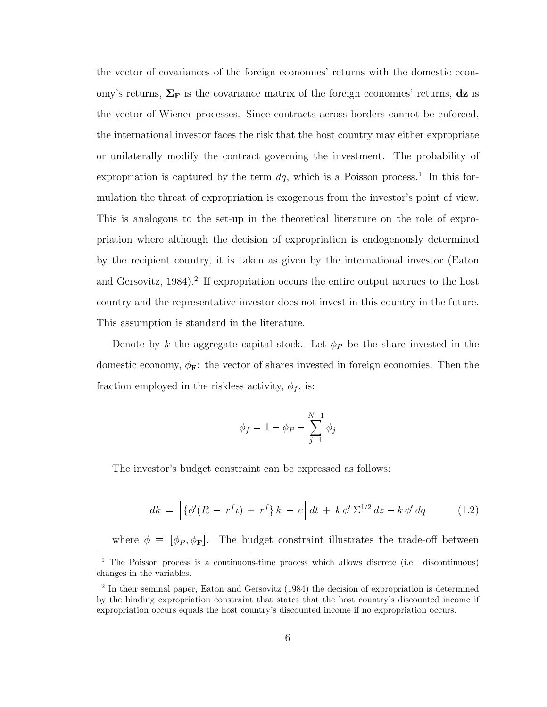the vector of covariances of the foreign economies' returns with the domestic economy's returns,  $\Sigma_F$  is the covariance matrix of the foreign economies' returns, dz is the vector of Wiener processes. Since contracts across borders cannot be enforced, the international investor faces the risk that the host country may either expropriate or unilaterally modify the contract governing the investment. The probability of expropriation is captured by the term  $dq$ , which is a Poisson process.<sup>[1](#page-16-0)</sup> In this formulation the threat of expropriation is exogenous from the investor's point of view. This is analogous to the set-up in the theoretical literature on the role of expropriation where although the decision of expropriation is endogenously determined by the recipient country, it is taken as given by the international investor (Eaton and Gersovitz, 1984).<sup>[2](#page-16-1)</sup> If expropriation occurs the entire output accrues to the host country and the representative investor does not invest in this country in the future. This assumption is standard in the literature.

Denote by k the aggregate capital stock. Let  $\phi_P$  be the share invested in the domestic economy,  $\phi_{\mathbf{F}}$ : the vector of shares invested in foreign economies. Then the fraction employed in the riskless activity,  $\phi_f$ , is:

$$
\phi_f = 1 - \phi_P - \sum_{j=1}^{N-1} \phi_j
$$

The investor's budget constraint can be expressed as follows:

$$
dk = \left[ \{ \phi'(R - r^f \iota) + r^f \} k - c \right] dt + k \, \phi' \, \Sigma^{1/2} \, dz - k \, \phi' \, dq \tag{1.2}
$$

where  $\phi = [\phi_P, \phi_F]$ . The budget constraint illustrates the trade-off between

<span id="page-16-0"></span><sup>1</sup> The Poisson process is a continuous-time process which allows discrete (i.e. discontinuous) changes in the variables.

<span id="page-16-1"></span><sup>&</sup>lt;sup>2</sup> In their seminal paper, Eaton and Gersovitz (1984) the decision of expropriation is determined by the binding expropriation constraint that states that the host country's discounted income if expropriation occurs equals the host country's discounted income if no expropriation occurs.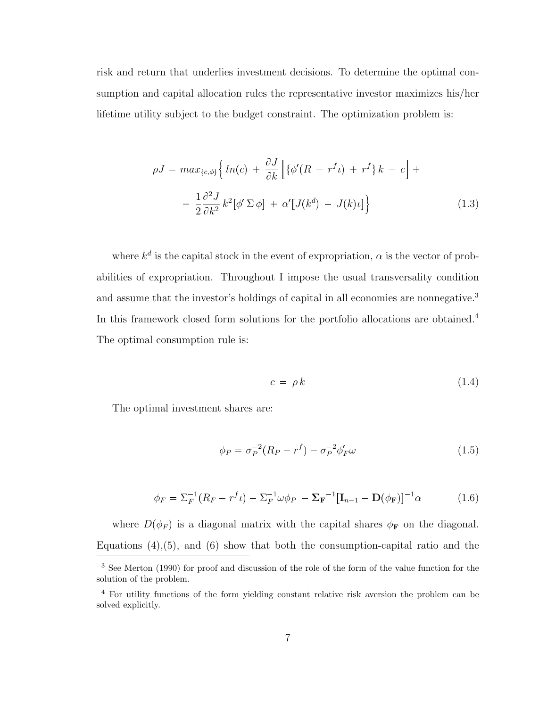risk and return that underlies investment decisions. To determine the optimal consumption and capital allocation rules the representative investor maximizes his/her lifetime utility subject to the budget constraint. The optimization problem is:

$$
\rho J = \max_{\{c,\phi\}} \left\{ \ln(c) + \frac{\partial J}{\partial k} \left[ \{ \phi'(R - r^f \iota) + r^f \} \, k - c \right] + \right.
$$
  
+ 
$$
\frac{1}{2} \frac{\partial^2 J}{\partial k^2} k^2 [\phi' \Sigma \phi] + \alpha' [J(k^d) - J(k)\iota] \right\}
$$
(1.3)

where  $k^d$  is the capital stock in the event of expropriation,  $\alpha$  is the vector of probabilities of expropriation. Throughout I impose the usual transversality condition and assume that the investor's holdings of capital in all economies are nonnegative.<sup>[3](#page-17-0)</sup> In this framework closed form solutions for the portfolio allocations are obtained.[4](#page-17-1) The optimal consumption rule is:

$$
c = \rho k \tag{1.4}
$$

The optimal investment shares are:

$$
\phi_P = \sigma_P^{-2}(R_P - r^f) - \sigma_P^{-2}\phi'_F\omega
$$
\n(1.5)

$$
\phi_F = \Sigma_F^{-1} (R_F - r^f \iota) - \Sigma_F^{-1} \omega \phi_P - \Sigma_F^{-1} [\mathbf{I}_{n-1} - \mathbf{D}(\phi_F)]^{-1} \alpha \tag{1.6}
$$

where  $D(\phi_F)$  is a diagonal matrix with the capital shares  $\phi_F$  on the diagonal. Equations  $(4)$ , $(5)$ , and  $(6)$  show that both the consumption-capital ratio and the

<span id="page-17-0"></span><sup>&</sup>lt;sup>3</sup> See Merton (1990) for proof and discussion of the role of the form of the value function for the solution of the problem.

<span id="page-17-1"></span><sup>4</sup> For utility functions of the form yielding constant relative risk aversion the problem can be solved explicitly.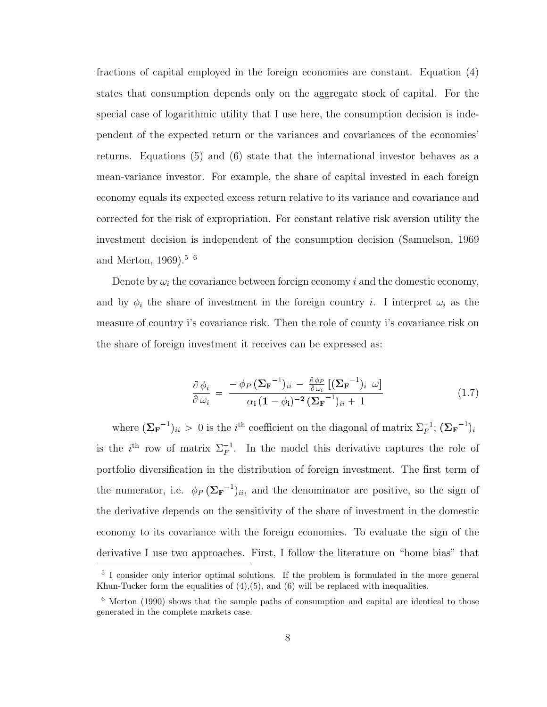fractions of capital employed in the foreign economies are constant. Equation (4) states that consumption depends only on the aggregate stock of capital. For the special case of logarithmic utility that I use here, the consumption decision is independent of the expected return or the variances and covariances of the economies' returns. Equations (5) and (6) state that the international investor behaves as a mean-variance investor. For example, the share of capital invested in each foreign economy equals its expected excess return relative to its variance and covariance and corrected for the risk of expropriation. For constant relative risk aversion utility the investment decision is independent of the consumption decision (Samuelson, 1969 and Merton, 1969).<sup>[5](#page-18-0) [6](#page-18-1)</sup>

Denote by  $\omega_i$  the covariance between foreign economy i and the domestic economy, and by  $\phi_i$  the share of investment in the foreign country i. I interpret  $\omega_i$  as the measure of country i's covariance risk. Then the role of county i's covariance risk on the share of foreign investment it receives can be expressed as:

$$
\frac{\partial \phi_i}{\partial \omega_i} = \frac{-\phi_P (\Sigma_{\mathbf{F}}^{-1})_{ii} - \frac{\partial \phi_P}{\partial \omega_i} [(\Sigma_{\mathbf{F}}^{-1})_{i} \omega]}{\alpha_i (1 - \phi_i)^{-2} (\Sigma_{\mathbf{F}}^{-1})_{ii} + 1}
$$
(1.7)

where  $(\Sigma_{\mathbf{F}}^{-1})_{ii} > 0$  is the *i*<sup>th</sup> coefficient on the diagonal of matrix  $\Sigma_{F}^{-1}$ ;  $(\Sigma_{\mathbf{F}}^{-1})_{i}$ is the  $i<sup>th</sup>$  row of matrix  $\Sigma_F^{-1}$ . In the model this derivative captures the role of portfolio diversification in the distribution of foreign investment. The first term of the numerator, i.e.  $\phi_P(\Sigma_{\mathbf{F}}^{-1})_{ii}$ , and the denominator are positive, so the sign of the derivative depends on the sensitivity of the share of investment in the domestic economy to its covariance with the foreign economies. To evaluate the sign of the derivative I use two approaches. First, I follow the literature on "home bias" that

<span id="page-18-0"></span><sup>&</sup>lt;sup>5</sup> I consider only interior optimal solutions. If the problem is formulated in the more general Khun-Tucker form the equalities of  $(4)$ , $(5)$ , and  $(6)$  will be replaced with inequalities.

<span id="page-18-1"></span><sup>6</sup> Merton (1990) shows that the sample paths of consumption and capital are identical to those generated in the complete markets case.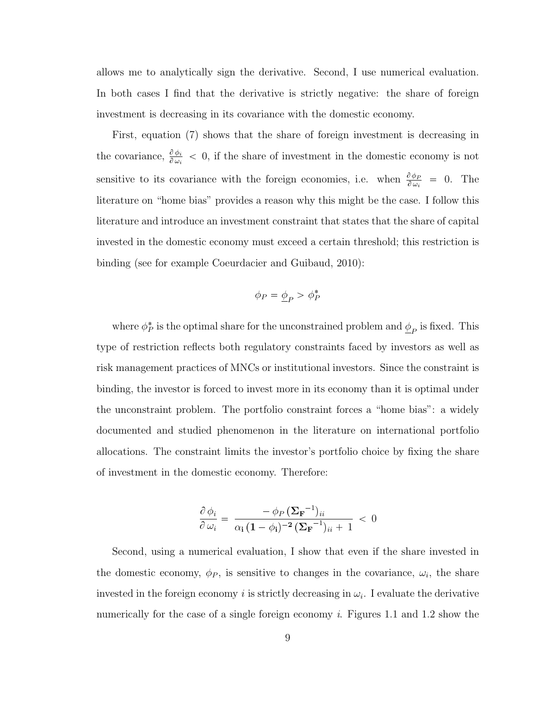allows me to analytically sign the derivative. Second, I use numerical evaluation. In both cases I find that the derivative is strictly negative: the share of foreign investment is decreasing in its covariance with the domestic economy.

First, equation (7) shows that the share of foreign investment is decreasing in the covariance,  $\frac{\partial \phi_i}{\partial \omega_i} < 0$ , if the share of investment in the domestic economy is not sensitive to its covariance with the foreign economies, i.e. when  $\frac{\partial \phi_P}{\partial \omega_i} = 0$ . The literature on "home bias" provides a reason why this might be the case. I follow this literature and introduce an investment constraint that states that the share of capital invested in the domestic economy must exceed a certain threshold; this restriction is binding (see for example Coeurdacier and Guibaud, 2010):

$$
\phi_P=\underline{\phi}_P>\phi_P^*
$$

where  $\phi_P^*$  is the optimal share for the unconstrained problem and  $\underline{\phi}_P$  is fixed. This type of restriction reflects both regulatory constraints faced by investors as well as risk management practices of MNCs or institutional investors. Since the constraint is binding, the investor is forced to invest more in its economy than it is optimal under the unconstraint problem. The portfolio constraint forces a "home bias": a widely documented and studied phenomenon in the literature on international portfolio allocations. The constraint limits the investor's portfolio choice by fixing the share of investment in the domestic economy. Therefore:

$$
\frac{\partial \phi_i}{\partial \omega_i} = \frac{-\phi_P (\Sigma_{\mathbf{F}}^{-1})_{ii}}{\alpha_i (1 - \phi_i)^{-2} (\Sigma_{\mathbf{F}}^{-1})_{ii} + 1} < 0
$$

Second, using a numerical evaluation, I show that even if the share invested in the domestic economy,  $\phi_P$ , is sensitive to changes in the covariance,  $\omega_i$ , the share invested in the foreign economy *i* is strictly decreasing in  $\omega_i$ . I evaluate the derivative numerically for the case of a single foreign economy *i*. Figures 1.1 and 1.2 show the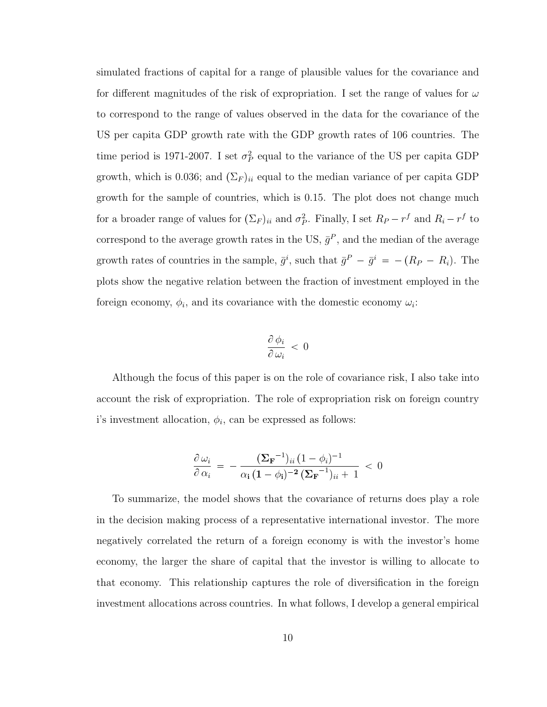simulated fractions of capital for a range of plausible values for the covariance and for different magnitudes of the risk of expropriation. I set the range of values for  $\omega$ to correspond to the range of values observed in the data for the covariance of the US per capita GDP growth rate with the GDP growth rates of 106 countries. The time period is 1971-2007. I set  $\sigma_P^2$  equal to the variance of the US per capita GDP growth, which is 0.036; and  $(\Sigma_F)_{ii}$  equal to the median variance of per capita GDP growth for the sample of countries, which is 0.15. The plot does not change much for a broader range of values for  $(\Sigma_F)_{ii}$  and  $\sigma_P^2$ . Finally, I set  $R_P - r^f$  and  $R_i - r^f$  to correspond to the average growth rates in the US,  $\bar{g}^P$ , and the median of the average growth rates of countries in the sample,  $\bar{g}^i$ , such that  $\bar{g}^P - \bar{g}^i = -(R_P - R_i)$ . The plots show the negative relation between the fraction of investment employed in the foreign economy,  $\phi_i$ , and its covariance with the domestic economy  $\omega_i$ :

$$
\frac{\partial \phi_i}{\partial \omega_i} < 0
$$

Although the focus of this paper is on the role of covariance risk, I also take into account the risk of expropriation. The role of expropriation risk on foreign country i's investment allocation,  $\phi_i$ , can be expressed as follows:

$$
\frac{\partial \omega_i}{\partial \alpha_i} = -\frac{(\Sigma_{\mathbf{F}}^{-1})_{ii} (1 - \phi_i)^{-1}}{\alpha_i (1 - \phi_i)^{-2} (\Sigma_{\mathbf{F}}^{-1})_{ii} + 1} < 0
$$

To summarize, the model shows that the covariance of returns does play a role in the decision making process of a representative international investor. The more negatively correlated the return of a foreign economy is with the investor's home economy, the larger the share of capital that the investor is willing to allocate to that economy. This relationship captures the role of diversification in the foreign investment allocations across countries. In what follows, I develop a general empirical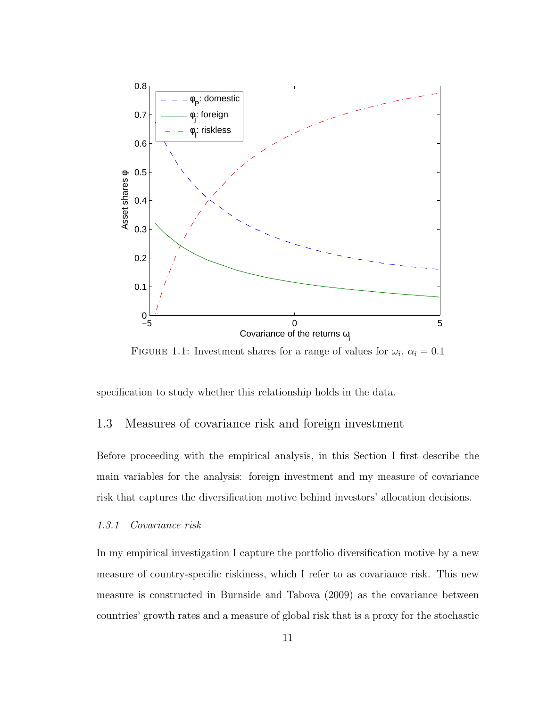

<span id="page-21-2"></span>FIGURE 1.1: Investment shares for a range of values for  $\omega_i$ ,  $\alpha_i = 0.1$ 

specification to study whether this relationship holds in the data.

#### <span id="page-21-0"></span>1.3 Measures of covariance risk and foreign investment

Before proceeding with the empirical analysis, in this Section I first describe the main variables for the analysis: foreign investment and my measure of covariance risk that captures the diversification motive behind investors' allocation decisions.

#### <span id="page-21-1"></span>1.3.1 Covariance risk

In my empirical investigation I capture the portfolio diversification motive by a new measure of country-specific riskiness, which I refer to as covariance risk. This new measure is constructed in Burnside and Tabova (2009) as the covariance between countries' growth rates and a measure of global risk that is a proxy for the stochastic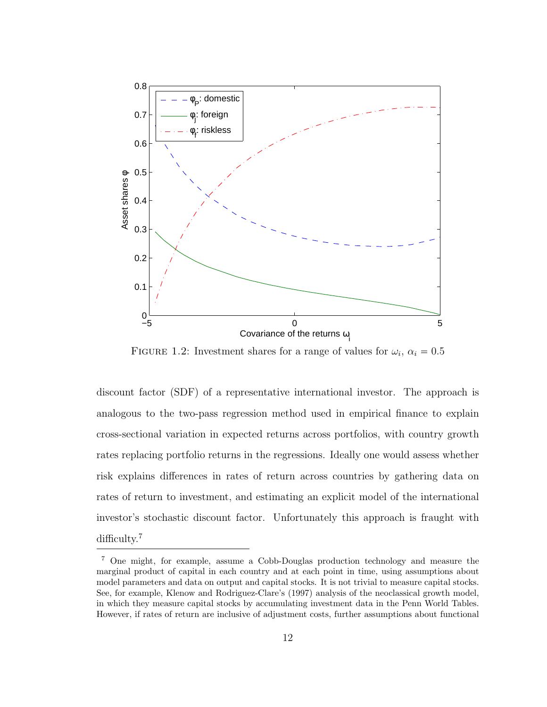

<span id="page-22-0"></span>FIGURE 1.2: Investment shares for a range of values for  $\omega_i$ ,  $\alpha_i = 0.5$ 

discount factor (SDF) of a representative international investor. The approach is analogous to the two-pass regression method used in empirical finance to explain cross-sectional variation in expected returns across portfolios, with country growth rates replacing portfolio returns in the regressions. Ideally one would assess whether risk explains differences in rates of return across countries by gathering data on rates of return to investment, and estimating an explicit model of the international investor's stochastic discount factor. Unfortunately this approach is fraught with difficulty.<sup>[7](#page-22-1)</sup>

<span id="page-22-1"></span><sup>7</sup> One might, for example, assume a Cobb-Douglas production technology and measure the marginal product of capital in each country and at each point in time, using assumptions about model parameters and data on output and capital stocks. It is not trivial to measure capital stocks. See, for example, Klenow and Rodriguez-Clare's (1997) analysis of the neoclassical growth model, in which they measure capital stocks by accumulating investment data in the Penn World Tables. However, if rates of return are inclusive of adjustment costs, further assumptions about functional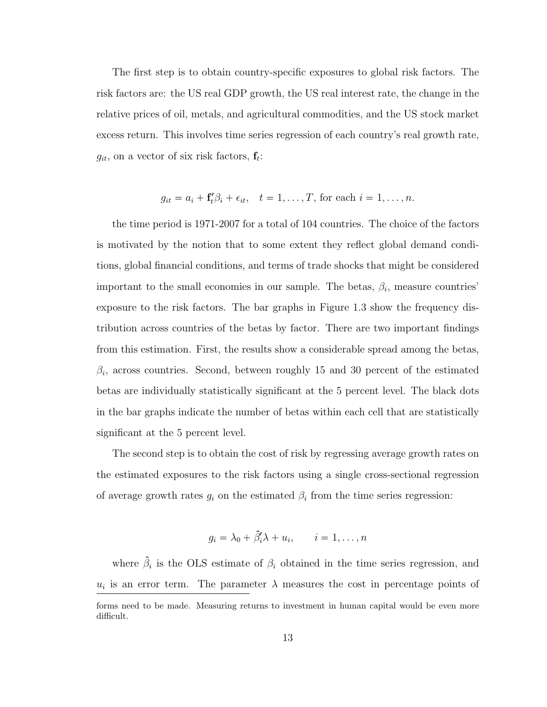The first step is to obtain country-specific exposures to global risk factors. The risk factors are: the US real GDP growth, the US real interest rate, the change in the relative prices of oil, metals, and agricultural commodities, and the US stock market excess return. This involves time series regression of each country's real growth rate,  $g_{it}$ , on a vector of six risk factors,  $\mathbf{f}_t$ :

$$
g_{it} = a_i + \mathbf{f}'_t \beta_i + \epsilon_{it}, \quad t = 1, \dots, T, \text{ for each } i = 1, \dots, n.
$$

the time period is 1971-2007 for a total of 104 countries. The choice of the factors is motivated by the notion that to some extent they reflect global demand conditions, global financial conditions, and terms of trade shocks that might be considered important to the small economies in our sample. The betas,  $\beta_i$ , measure countries' exposure to the risk factors. The bar graphs in Figure 1.3 show the frequency distribution across countries of the betas by factor. There are two important findings from this estimation. First, the results show a considerable spread among the betas,  $\beta_i$ , across countries. Second, between roughly 15 and 30 percent of the estimated betas are individually statistically significant at the 5 percent level. The black dots in the bar graphs indicate the number of betas within each cell that are statistically significant at the 5 percent level.

The second step is to obtain the cost of risk by regressing average growth rates on the estimated exposures to the risk factors using a single cross-sectional regression of average growth rates  $g_i$  on the estimated  $\beta_i$  from the time series regression:

$$
g_i = \lambda_0 + \hat{\beta}'_i \lambda + u_i, \qquad i = 1, \dots, n
$$

where  $\hat{\beta}_i$  is the OLS estimate of  $\beta_i$  obtained in the time series regression, and  $u_i$  is an error term. The parameter  $\lambda$  measures the cost in percentage points of forms need to be made. Measuring returns to investment in human capital would be even more difficult.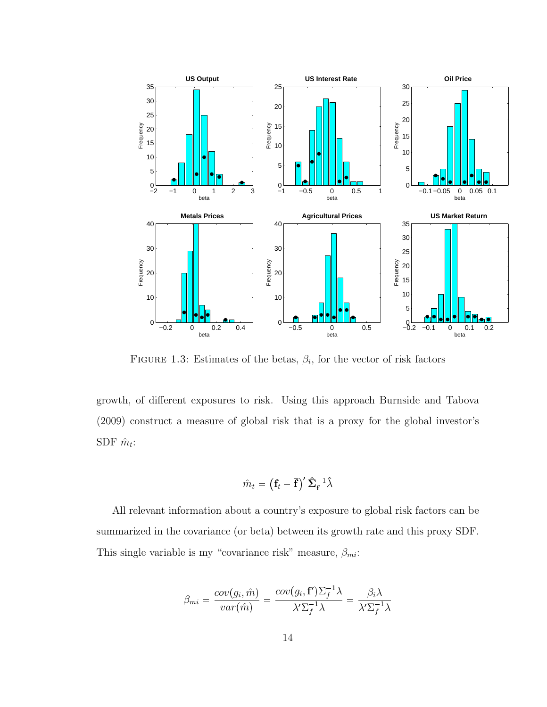

<span id="page-24-0"></span>FIGURE 1.3: Estimates of the betas,  $\beta_i$ , for the vector of risk factors

growth, of different exposures to risk. Using this approach Burnside and Tabova (2009) construct a measure of global risk that is a proxy for the global investor's SDF  $\hat{m}_t$ :

$$
\hat{m}_t = \left(\mathbf{f}_t - \overline{\mathbf{f}}\right)'\hat{\boldsymbol{\Sigma}}_{\mathbf{f}}^{-1}\hat{\lambda}
$$

All relevant information about a country's exposure to global risk factors can be summarized in the covariance (or beta) between its growth rate and this proxy SDF. This single variable is my "covariance risk" measure,  $\beta_{mi}$ :

$$
\beta_{mi} = \frac{cov(g_i, \hat{m})}{var(\hat{m})} = \frac{cov(g_i, \mathbf{f}')\Sigma_f^{-1}\lambda}{\lambda'\Sigma_f^{-1}\lambda} = \frac{\beta_i\lambda}{\lambda'\Sigma_f^{-1}\lambda}
$$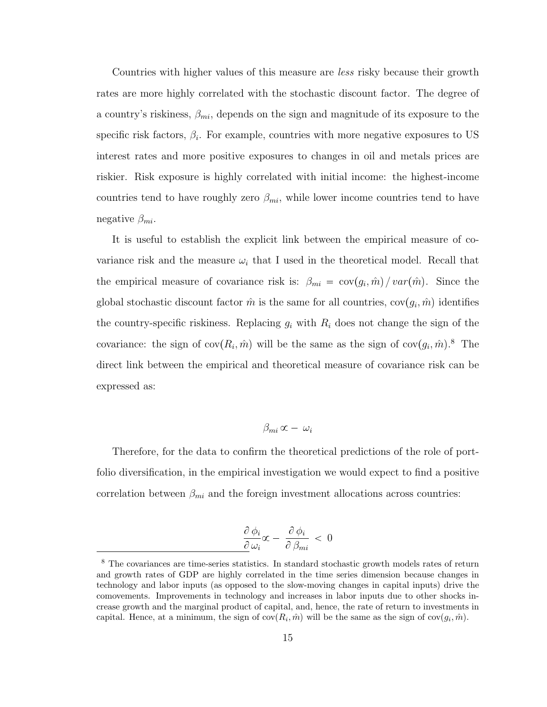Countries with higher values of this measure are less risky because their growth rates are more highly correlated with the stochastic discount factor. The degree of a country's riskiness,  $\beta_{mi}$ , depends on the sign and magnitude of its exposure to the specific risk factors,  $\beta_i$ . For example, countries with more negative exposures to US interest rates and more positive exposures to changes in oil and metals prices are riskier. Risk exposure is highly correlated with initial income: the highest-income countries tend to have roughly zero  $\beta_{mi}$ , while lower income countries tend to have negative  $\beta_{mi}$ .

It is useful to establish the explicit link between the empirical measure of covariance risk and the measure  $\omega_i$  that I used in the theoretical model. Recall that the empirical measure of covariance risk is:  $\beta_{mi} = \text{cov}(g_i, \hat{m}) / \text{var}(\hat{m})$ . Since the global stochastic discount factor  $\hat{m}$  is the same for all countries,  $cov(g_i, \hat{m})$  identifies the country-specific riskiness. Replacing  $g_i$  with  $R_i$  does not change the sign of the covariance: the sign of  $cov(R_i, \hat{m})$  will be the same as the sign of  $cov(g_i, \hat{m})$ .<sup>[8](#page-25-0)</sup> The direct link between the empirical and theoretical measure of covariance risk can be expressed as:

#### $β_{mi}$  α –  $ω_i$

Therefore, for the data to confirm the theoretical predictions of the role of portfolio diversification, in the empirical investigation we would expect to find a positive correlation between  $\beta_{mi}$  and the foreign investment allocations across countries:

$$
\frac{\partial \phi_i}{\partial \omega_i} \alpha - \frac{\partial \phi_i}{\partial \beta_{mi}} < 0
$$

<span id="page-25-0"></span><sup>&</sup>lt;sup>8</sup> The covariances are time-series statistics. In standard stochastic growth models rates of return and growth rates of GDP are highly correlated in the time series dimension because changes in technology and labor inputs (as opposed to the slow-moving changes in capital inputs) drive the comovements. Improvements in technology and increases in labor inputs due to other shocks increase growth and the marginal product of capital, and, hence, the rate of return to investments in capital. Hence, at a minimum, the sign of  $cov(R_i, \hat{m})$  will be the same as the sign of  $cov(g_i, \hat{m})$ .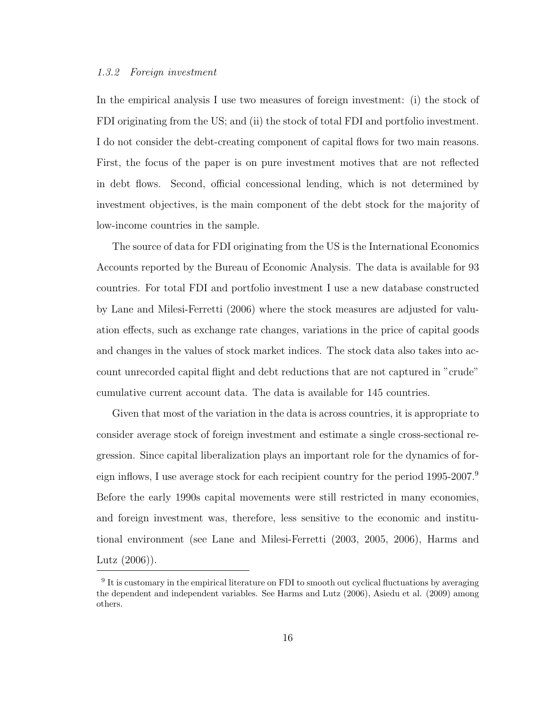#### <span id="page-26-0"></span>1.3.2 Foreign investment

In the empirical analysis I use two measures of foreign investment: (i) the stock of FDI originating from the US; and (ii) the stock of total FDI and portfolio investment. I do not consider the debt-creating component of capital flows for two main reasons. First, the focus of the paper is on pure investment motives that are not reflected in debt flows. Second, official concessional lending, which is not determined by investment objectives, is the main component of the debt stock for the majority of low-income countries in the sample.

The source of data for FDI originating from the US is the International Economics Accounts reported by the Bureau of Economic Analysis. The data is available for 93 countries. For total FDI and portfolio investment I use a new database constructed by Lane and Milesi-Ferretti (2006) where the stock measures are adjusted for valuation effects, such as exchange rate changes, variations in the price of capital goods and changes in the values of stock market indices. The stock data also takes into account unrecorded capital flight and debt reductions that are not captured in "crude" cumulative current account data. The data is available for 145 countries.

Given that most of the variation in the data is across countries, it is appropriate to consider average stock of foreign investment and estimate a single cross-sectional regression. Since capital liberalization plays an important role for the dynamics of for-eign inflows, I use average stock for each recipient country for the period 1[9](#page-26-1)95-2007.<sup>9</sup> Before the early 1990s capital movements were still restricted in many economies, and foreign investment was, therefore, less sensitive to the economic and institutional environment (see Lane and Milesi-Ferretti (2003, 2005, 2006), Harms and Lutz (2006)).

<span id="page-26-1"></span><sup>&</sup>lt;sup>9</sup> It is customary in the empirical literature on FDI to smooth out cyclical fluctuations by averaging the dependent and independent variables. See Harms and Lutz (2006), Asiedu et al. (2009) among others.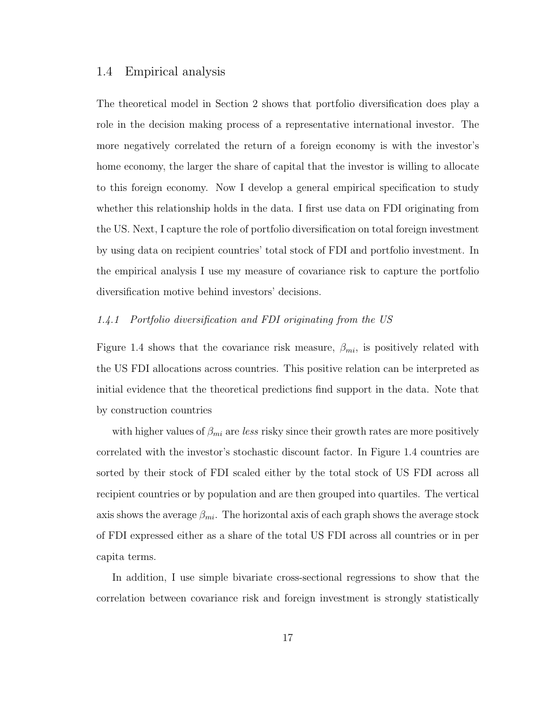#### <span id="page-27-0"></span>1.4 Empirical analysis

The theoretical model in Section 2 shows that portfolio diversification does play a role in the decision making process of a representative international investor. The more negatively correlated the return of a foreign economy is with the investor's home economy, the larger the share of capital that the investor is willing to allocate to this foreign economy. Now I develop a general empirical specification to study whether this relationship holds in the data. I first use data on FDI originating from the US. Next, I capture the role of portfolio diversification on total foreign investment by using data on recipient countries' total stock of FDI and portfolio investment. In the empirical analysis I use my measure of covariance risk to capture the portfolio diversification motive behind investors' decisions.

#### <span id="page-27-1"></span>1.4.1 Portfolio diversification and FDI originating from the US

Figure 1.4 shows that the covariance risk measure,  $\beta_{mi}$ , is positively related with the US FDI allocations across countries. This positive relation can be interpreted as initial evidence that the theoretical predictions find support in the data. Note that by construction countries

with higher values of  $\beta_{mi}$  are less risky since their growth rates are more positively correlated with the investor's stochastic discount factor. In Figure 1.4 countries are sorted by their stock of FDI scaled either by the total stock of US FDI across all recipient countries or by population and are then grouped into quartiles. The vertical axis shows the average  $\beta_{mi}$ . The horizontal axis of each graph shows the average stock of FDI expressed either as a share of the total US FDI across all countries or in per capita terms.

In addition, I use simple bivariate cross-sectional regressions to show that the correlation between covariance risk and foreign investment is strongly statistically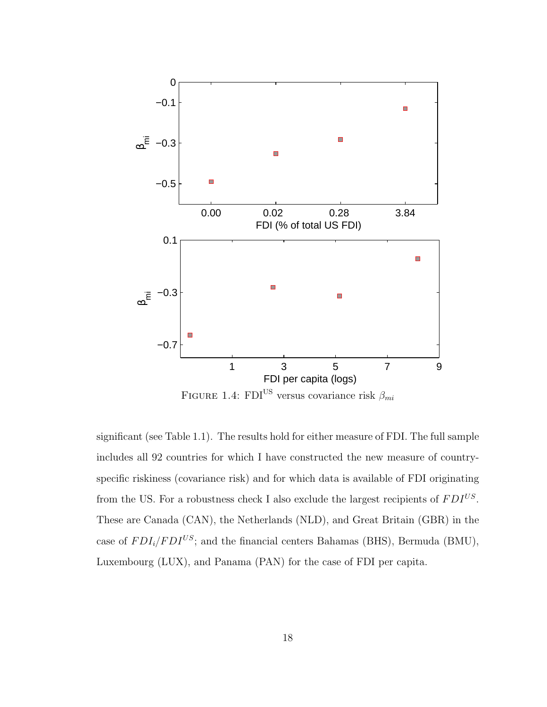

<span id="page-28-0"></span>FIGURE 1.4: FDI<sup>US</sup> versus covariance risk  $\beta_{mi}$ 

significant (see Table 1.1). The results hold for either measure of FDI. The full sample includes all 92 countries for which I have constructed the new measure of countryspecific riskiness (covariance risk) and for which data is available of FDI originating from the US. For a robustness check I also exclude the largest recipients of  $FDI^{US}$ . These are Canada (CAN), the Netherlands (NLD), and Great Britain (GBR) in the case of  $FDI_i/FDI^{US}$ ; and the financial centers Bahamas (BHS), Bermuda (BMU), Luxembourg (LUX), and Panama (PAN) for the case of FDI per capita.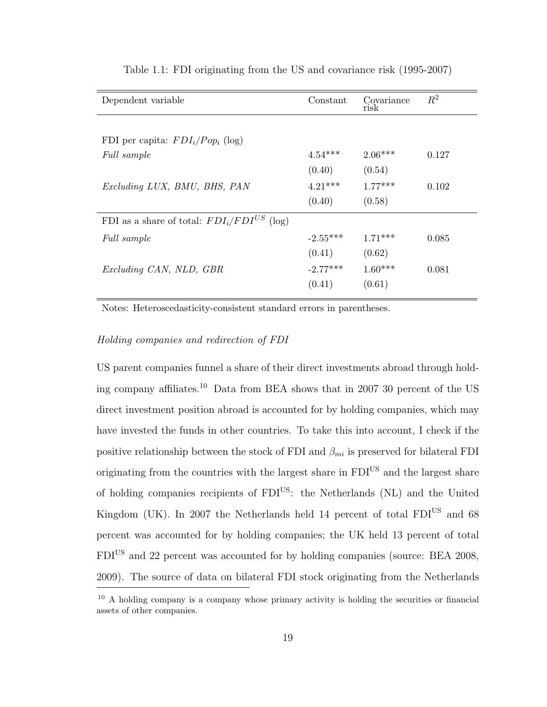| Dependent variable                              | Constant   | Covariance<br>risk | $R^2$ |
|-------------------------------------------------|------------|--------------------|-------|
|                                                 |            |                    |       |
| FDI per capita: $FDI_i/Pop_i$ (log)             |            |                    |       |
| Full sample                                     | $4.54***$  | $2.06***$          | 0.127 |
|                                                 | (0.40)     | (0.54)             |       |
| Excluding LUX, BMU, BHS, PAN                    | $4.21***$  | $1.77***$          | 0.102 |
|                                                 | (0.40)     | (0.58)             |       |
| FDI as a share of total: $FDI_i/FDI^{US}$ (log) |            |                    |       |
| Full sample                                     | $-2.55***$ | $1.71***$          | 0.085 |
|                                                 | (0.41)     | (0.62)             |       |
| Excluding CAN, NLD, GBR                         | $-2.77***$ | $1.60***$          | 0.081 |
|                                                 | (0.41)     | (0.61)             |       |
|                                                 |            |                    |       |

<span id="page-29-0"></span>Table 1.1: FDI originating from the US and covariance risk (1995-2007)

Notes: Heteroscedasticity-consistent standard errors in parentheses.

#### Holding companies and redirection of FDI

US parent companies funnel a share of their direct investments abroad through hold-ing company affiliates.<sup>[10](#page-29-1)</sup> Data from BEA shows that in 2007 30 percent of the US direct investment position abroad is accounted for by holding companies, which may have invested the funds in other countries. To take this into account, I check if the positive relationship between the stock of FDI and  $\beta_{mi}$  is preserved for bilateral FDI originating from the countries with the largest share in  $FDI<sup>US</sup>$  and the largest share of holding companies recipients of  $FDI<sup>US</sup>$ : the Netherlands (NL) and the United Kingdom (UK). In 2007 the Netherlands held 14 percent of total  $FDI<sup>US</sup>$  and 68 percent was accounted for by holding companies; the UK held 13 percent of total FDIUS and 22 percent was accounted for by holding companies (source: BEA 2008, 2009). The source of data on bilateral FDI stock originating from the Netherlands

<span id="page-29-1"></span> $10$  A holding company is a company whose primary activity is holding the securities or financial assets of other companies.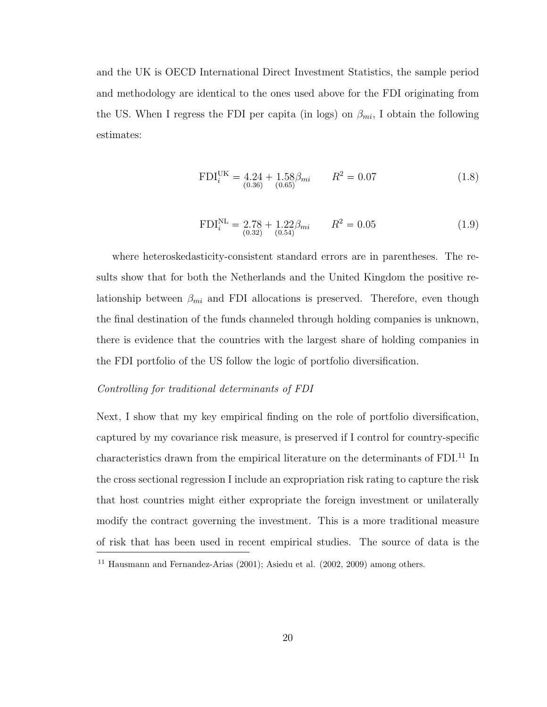and the UK is OECD International Direct Investment Statistics, the sample period and methodology are identical to the ones used above for the FDI originating from the US. When I regress the FDI per capita (in logs) on  $\beta_{mi}$ , I obtain the following estimates:

$$
FDI_i^{UK} = 4.24 + 1.58\beta_{mi} \qquad R^2 = 0.07
$$
\n
$$
(1.8)
$$

$$
FDI_i^{NL} = 2.78 + 1.22 \beta_{mi} \qquad R^2 = 0.05 \tag{1.9}
$$

where heteroskedasticity-consistent standard errors are in parentheses. The results show that for both the Netherlands and the United Kingdom the positive relationship between  $\beta_{mi}$  and FDI allocations is preserved. Therefore, even though the final destination of the funds channeled through holding companies is unknown, there is evidence that the countries with the largest share of holding companies in the FDI portfolio of the US follow the logic of portfolio diversification.

#### Controlling for traditional determinants of FDI

Next, I show that my key empirical finding on the role of portfolio diversification, captured by my covariance risk measure, is preserved if I control for country-specific characteristics drawn from the empirical literature on the determinants of FDI.<sup>[11](#page-30-0)</sup> In the cross sectional regression I include an expropriation risk rating to capture the risk that host countries might either expropriate the foreign investment or unilaterally modify the contract governing the investment. This is a more traditional measure of risk that has been used in recent empirical studies. The source of data is the

<span id="page-30-0"></span><sup>11</sup> Hausmann and Fernandez-Arias (2001); Asiedu et al. (2002, 2009) among others.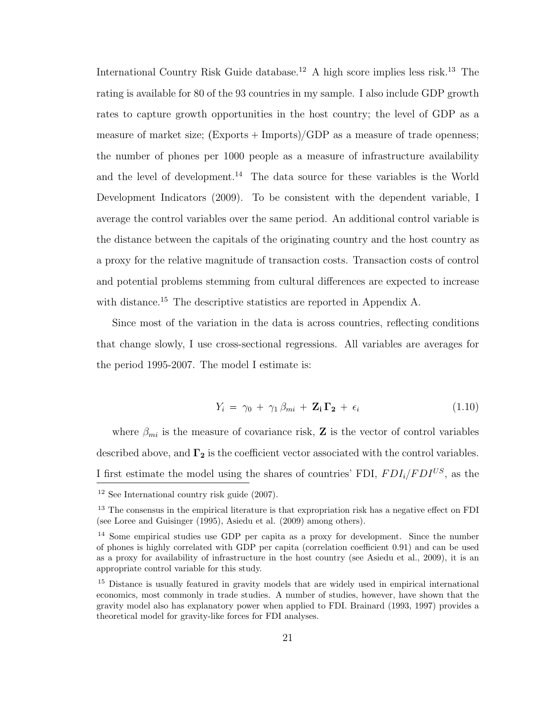International Country Risk Guide database.<sup>[12](#page-31-0)</sup> A high score implies less risk.<sup>[13](#page-31-1)</sup> The rating is available for 80 of the 93 countries in my sample. I also include GDP growth rates to capture growth opportunities in the host country; the level of GDP as a measure of market size;  $(Express + Imports)/GDP$  as a measure of trade openness; the number of phones per 1000 people as a measure of infrastructure availability and the level of development.<sup>[14](#page-31-2)</sup> The data source for these variables is the World Development Indicators (2009). To be consistent with the dependent variable, I average the control variables over the same period. An additional control variable is the distance between the capitals of the originating country and the host country as a proxy for the relative magnitude of transaction costs. Transaction costs of control and potential problems stemming from cultural differences are expected to increase with distance.<sup>[15](#page-31-3)</sup> The descriptive statistics are reported in Appendix A.

Since most of the variation in the data is across countries, reflecting conditions that change slowly, I use cross-sectional regressions. All variables are averages for the period 1995-2007. The model I estimate is:

$$
Y_i = \gamma_0 + \gamma_1 \beta_{mi} + \mathbf{Z_i} \mathbf{\Gamma_2} + \epsilon_i \tag{1.10}
$$

where  $\beta_{mi}$  is the measure of covariance risk, **Z** is the vector of control variables described above, and  $\Gamma_2$  is the coefficient vector associated with the control variables. I first estimate the model using the shares of countries' FDI,  $FDI_i/FDI^{US}$ , as the <sup>12</sup> See International country risk guide (2007).

<span id="page-31-1"></span><span id="page-31-0"></span><sup>&</sup>lt;sup>13</sup> The consensus in the empirical literature is that expropriation risk has a negative effect on FDI (see Loree and Guisinger (1995), Asiedu et al. (2009) among others).

<span id="page-31-2"></span><sup>14</sup> Some empirical studies use GDP per capita as a proxy for development. Since the number of phones is highly correlated with GDP per capita (correlation coefficient 0.91) and can be used as a proxy for availability of infrastructure in the host country (see Asiedu et al., 2009), it is an appropriate control variable for this study.

<span id="page-31-3"></span><sup>&</sup>lt;sup>15</sup> Distance is usually featured in gravity models that are widely used in empirical international economics, most commonly in trade studies. A number of studies, however, have shown that the gravity model also has explanatory power when applied to FDI. Brainard (1993, 1997) provides a theoretical model for gravity-like forces for FDI analyses.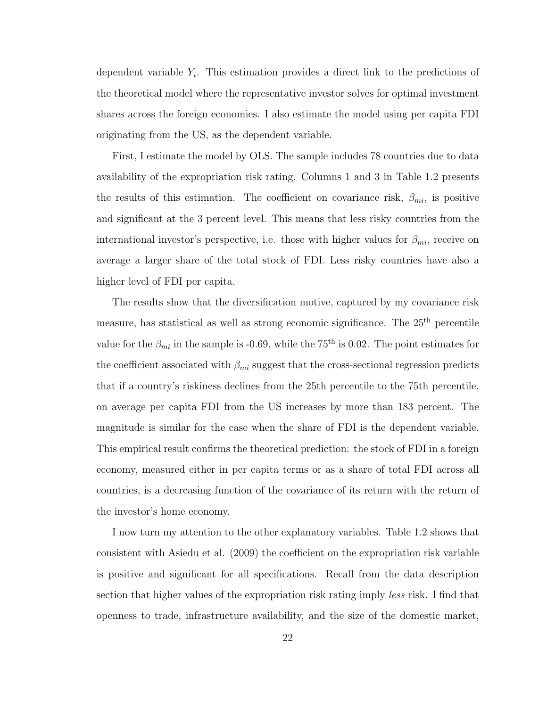dependent variable  $Y_i$ . This estimation provides a direct link to the predictions of the theoretical model where the representative investor solves for optimal investment shares across the foreign economies. I also estimate the model using per capita FDI originating from the US, as the dependent variable.

First, I estimate the model by OLS. The sample includes 78 countries due to data availability of the expropriation risk rating. Columns 1 and 3 in Table 1.2 presents the results of this estimation. The coefficient on covariance risk,  $\beta_{mi}$ , is positive and significant at the 3 percent level. This means that less risky countries from the international investor's perspective, i.e. those with higher values for  $\beta_{mi}$ , receive on average a larger share of the total stock of FDI. Less risky countries have also a higher level of FDI per capita.

The results show that the diversification motive, captured by my covariance risk measure, has statistical as well as strong economic significance. The 25<sup>th</sup> percentile value for the  $\beta_{mi}$  in the sample is -0.69, while the 75<sup>th</sup> is 0.02. The point estimates for the coefficient associated with  $\beta_{mi}$  suggest that the cross-sectional regression predicts that if a country's riskiness declines from the 25th percentile to the 75th percentile, on average per capita FDI from the US increases by more than 183 percent. The magnitude is similar for the case when the share of FDI is the dependent variable. This empirical result confirms the theoretical prediction: the stock of FDI in a foreign economy, measured either in per capita terms or as a share of total FDI across all countries, is a decreasing function of the covariance of its return with the return of the investor's home economy.

I now turn my attention to the other explanatory variables. Table 1.2 shows that consistent with Asiedu et al. (2009) the coefficient on the expropriation risk variable is positive and significant for all specifications. Recall from the data description section that higher values of the expropriation risk rating imply *less* risk. I find that openness to trade, infrastructure availability, and the size of the domestic market,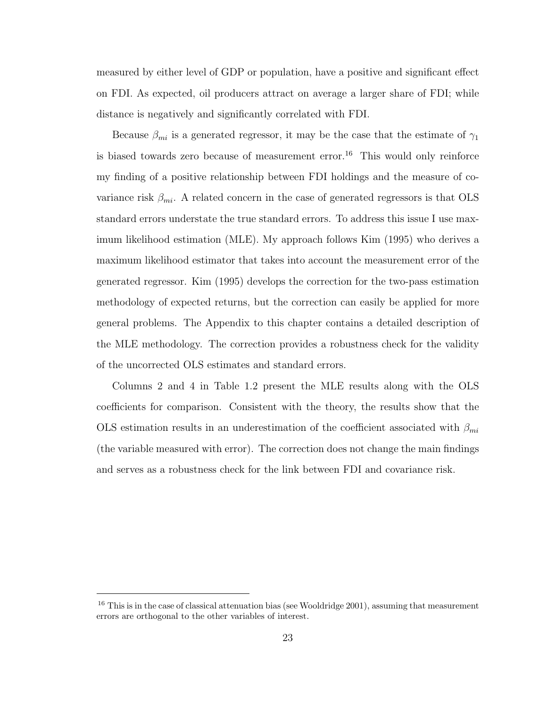measured by either level of GDP or population, have a positive and significant effect on FDI. As expected, oil producers attract on average a larger share of FDI; while distance is negatively and significantly correlated with FDI.

Because  $\beta_{mi}$  is a generated regressor, it may be the case that the estimate of  $\gamma_1$ is biased towards zero because of measurement error.<sup>[16](#page-33-0)</sup> This would only reinforce my finding of a positive relationship between FDI holdings and the measure of covariance risk  $\beta_{mi}$ . A related concern in the case of generated regressors is that OLS standard errors understate the true standard errors. To address this issue I use maximum likelihood estimation (MLE). My approach follows Kim (1995) who derives a maximum likelihood estimator that takes into account the measurement error of the generated regressor. Kim (1995) develops the correction for the two-pass estimation methodology of expected returns, but the correction can easily be applied for more general problems. The Appendix to this chapter contains a detailed description of the MLE methodology. The correction provides a robustness check for the validity of the uncorrected OLS estimates and standard errors.

Columns 2 and 4 in Table 1.2 present the MLE results along with the OLS coefficients for comparison. Consistent with the theory, the results show that the OLS estimation results in an underestimation of the coefficient associated with  $\beta_{mi}$ (the variable measured with error). The correction does not change the main findings and serves as a robustness check for the link between FDI and covariance risk.

<span id="page-33-0"></span> $16$  This is in the case of classical attenuation bias (see Wooldridge 2001), assuming that measurement errors are orthogonal to the other variables of interest.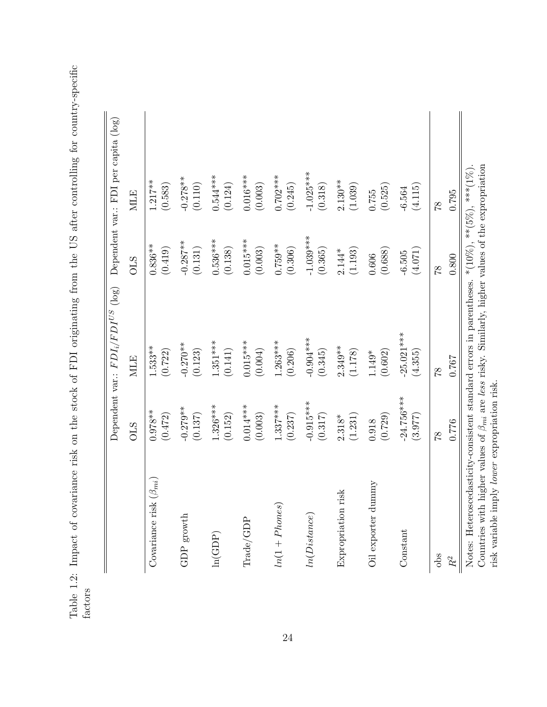Table 1.2: Impact of covariance risk on the stock of FDI originating from the US after controlling for country-specific Table 1.2: Impact of covariance risk on the stock of FDI originating from the US after controlling for country-specific factors

<span id="page-34-0"></span>

|                                                                                                                                                                                                                                            |              | Dependent var.: $FDI_i/FDI^{US}$ (log) |                          | Dependent var.: FDI per capita (log) |
|--------------------------------------------------------------------------------------------------------------------------------------------------------------------------------------------------------------------------------------------|--------------|----------------------------------------|--------------------------|--------------------------------------|
|                                                                                                                                                                                                                                            | <b>STO</b>   | <b>MLE</b>                             | <b>OLS</b>               | <b>MLE</b>                           |
| $(\beta_{mi})$                                                                                                                                                                                                                             | $0.978**$    | $1.533**$                              | $0.836**$                | $1.217**$                            |
| Covariance risk                                                                                                                                                                                                                            | (0.472)      | (0.722)                                | (0.419)                  | (0.583)                              |
| ${\rm GDP}$ growth                                                                                                                                                                                                                         | $-0.279**$   | $-0.270**$                             | $-0.287**$               | $-0.278**$                           |
|                                                                                                                                                                                                                                            | (0.137)      | (0.123)                                | (0.131)                  | (0.110)                              |
| ln(GDP)                                                                                                                                                                                                                                    | $1.326***$   | $1.351***$                             | $0.536***$               | $0.544***$                           |
|                                                                                                                                                                                                                                            | (0.152)      | (0.141)                                | (0.138)                  | (0.124)                              |
| $\rm{Trade}/\rm{GDP}$                                                                                                                                                                                                                      | $0.014***$   | $0.015***$                             | $0.015***$               | $0.016***$                           |
|                                                                                                                                                                                                                                            | (0.003)      | (0.004)                                | (0.003)                  | (0.003)                              |
| $ln(1+Phones)$                                                                                                                                                                                                                             | $1.337***$   | $1.263***$                             | $0.759***$               | $0.702***$                           |
|                                                                                                                                                                                                                                            | (0.237)      | (0.206)                                | (0.306)                  | (0.245)                              |
| ln(Distance)                                                                                                                                                                                                                               | $-0.915***$  | $-0.904***$                            | $-1.039***$              | $-1.025***$                          |
|                                                                                                                                                                                                                                            | (0.317)      | (0.345)                                | (0.365)                  | (0.318)                              |
| ेंड                                                                                                                                                                                                                                        | (1.231)      | $2.349***$                             | (1.193)                  | $2.130**$                            |
| Expropriation ri                                                                                                                                                                                                                           | $2.318*$     | (1.178)                                | $2.144*$                 | (1.039)                              |
| Oil exporter dummy                                                                                                                                                                                                                         | (0.729)      | (0.602)                                | (0.688)                  | (0.525)                              |
|                                                                                                                                                                                                                                            | 0.918        | $1.149*$                               | 0.606                    | 0.755                                |
| Constant                                                                                                                                                                                                                                   | $-24.756***$ | $-25.021***$                           | (4.071)                  | (4.115)                              |
|                                                                                                                                                                                                                                            | (3.977)      | (4.355)                                | $-6.505$                 | $-6.564$                             |
| $\frac{1}{2}$                                                                                                                                                                                                                              | 87           | $\frac{8}{1}$                          | $\frac{8}{1}$            | 87                                   |
| $\ensuremath{R^{2}}\xspace$                                                                                                                                                                                                                | 0.776        | 0.767                                  | 0.800                    | 0.795                                |
| Countries with higher values of $\beta_{mi}$ are less risky. Similarly, higher values of the expropriation<br>Notes: Heteroscedasticity-consistent standard errors in parentheses.<br>risk variable imply <i>lower</i> expropriation risk. |              |                                        | *(10%), ***(5%), ***(1%) |                                      |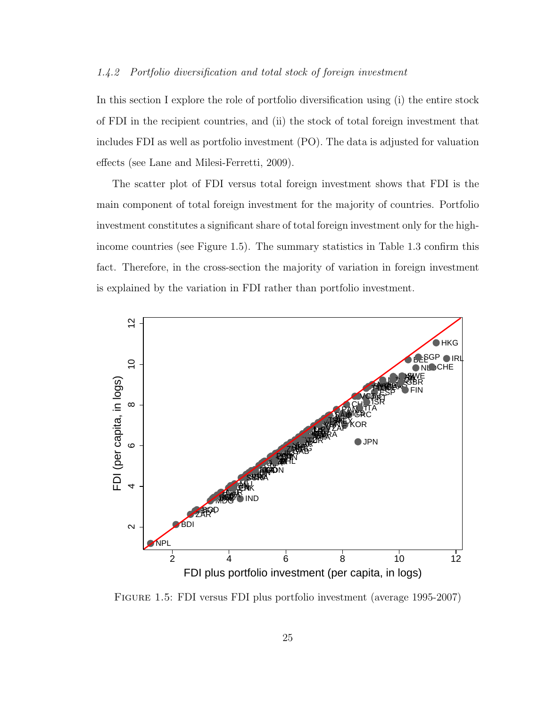#### <span id="page-35-0"></span>1.4.2 Portfolio diversification and total stock of foreign investment

In this section I explore the role of portfolio diversification using (i) the entire stock of FDI in the recipient countries, and (ii) the stock of total foreign investment that includes FDI as well as portfolio investment (PO). The data is adjusted for valuation effects (see Lane and Milesi-Ferretti, 2009).

The scatter plot of FDI versus total foreign investment shows that FDI is the main component of total foreign investment for the majority of countries. Portfolio investment constitutes a significant share of total foreign investment only for the highincome countries (see Figure 1.5). The summary statistics in Table 1.3 confirm this fact. Therefore, in the cross-section the majority of variation in foreign investment is explained by the variation in FDI rather than portfolio investment.



<span id="page-35-1"></span>Figure 1.5: FDI versus FDI plus portfolio investment (average 1995-2007)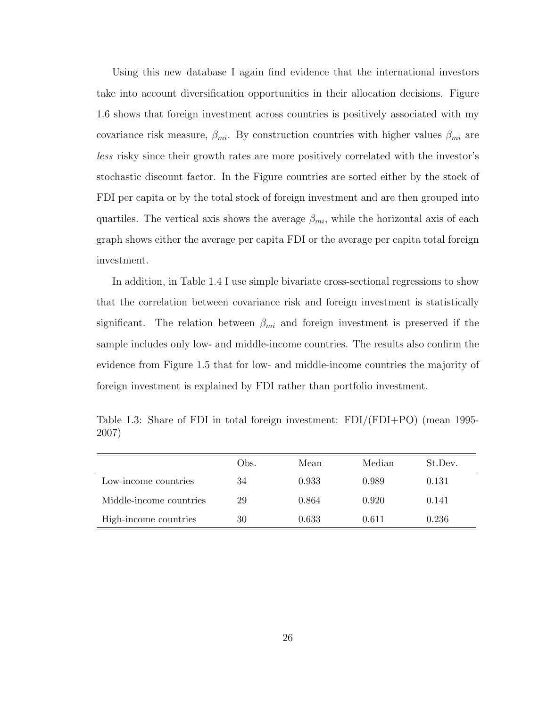Using this new database I again find evidence that the international investors take into account diversification opportunities in their allocation decisions. Figure 1.6 shows that foreign investment across countries is positively associated with my covariance risk measure,  $\beta_{mi}$ . By construction countries with higher values  $\beta_{mi}$  are less risky since their growth rates are more positively correlated with the investor's stochastic discount factor. In the Figure countries are sorted either by the stock of FDI per capita or by the total stock of foreign investment and are then grouped into quartiles. The vertical axis shows the average  $\beta_{mi}$ , while the horizontal axis of each graph shows either the average per capita FDI or the average per capita total foreign investment.

In addition, in Table 1.4 I use simple bivariate cross-sectional regressions to show that the correlation between covariance risk and foreign investment is statistically significant. The relation between  $\beta_{mi}$  and foreign investment is preserved if the sample includes only low- and middle-income countries. The results also confirm the evidence from Figure 1.5 that for low- and middle-income countries the majority of foreign investment is explained by FDI rather than portfolio investment.

Table 1.3: Share of FDI in total foreign investment: FDI/(FDI+PO) (mean 1995- 2007)

|                         | Obs. | Mean  | Median | St.Dev. |
|-------------------------|------|-------|--------|---------|
| Low-income countries    | 34   | 0.933 | 0.989  | 0.131   |
| Middle-income countries | 29   | 0.864 | 0.920  | 0.141   |
| High-income countries   | 30   | 0.633 | 0.611  | 0.236   |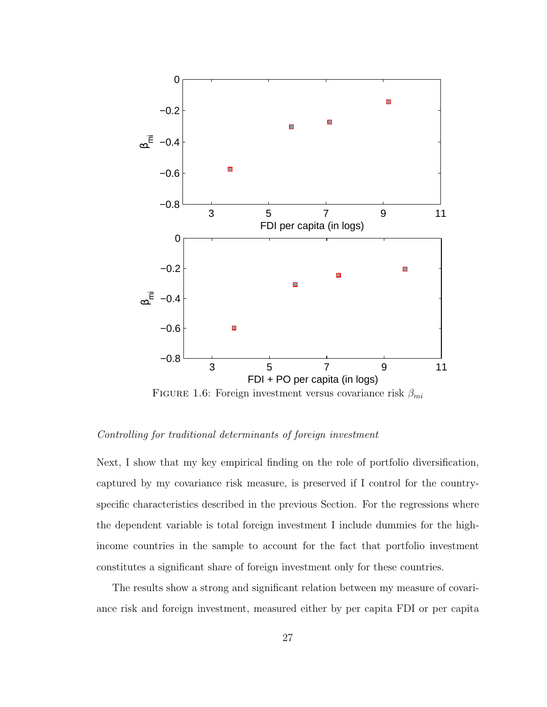

FIGURE 1.6: Foreign investment versus covariance risk  $\beta_{mi}$ 

#### Controlling for traditional determinants of foreign investment

Next, I show that my key empirical finding on the role of portfolio diversification, captured by my covariance risk measure, is preserved if I control for the countryspecific characteristics described in the previous Section. For the regressions where the dependent variable is total foreign investment I include dummies for the highincome countries in the sample to account for the fact that portfolio investment constitutes a significant share of foreign investment only for these countries.

The results show a strong and significant relation between my measure of covariance risk and foreign investment, measured either by per capita FDI or per capita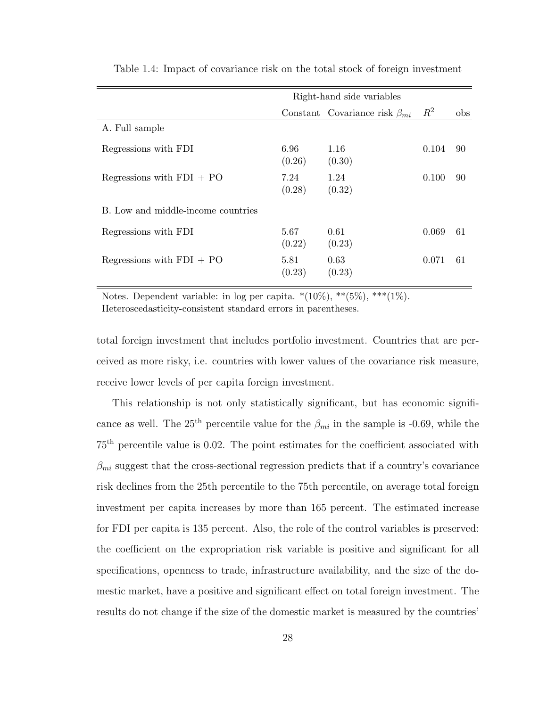|                                    |                | Right-hand side variables             |       |                |
|------------------------------------|----------------|---------------------------------------|-------|----------------|
|                                    |                | Constant Covariance risk $\beta_{mi}$ | $R^2$ | <sub>obs</sub> |
| A. Full sample                     |                |                                       |       |                |
| Regressions with FDI               | 6.96<br>(0.26) | 1.16<br>(0.30)                        | 0.104 | -90            |
| Regressions with $FDI + PO$        | 7.24<br>(0.28) | 1.24<br>(0.32)                        | 0.100 | 90             |
| B. Low and middle-income countries |                |                                       |       |                |
| Regressions with FDI               | 5.67<br>(0.22) | 0.61<br>(0.23)                        | 0.069 | -61            |
| Regressions with $FDI + PO$        | 5.81<br>(0.23) | 0.63<br>(0.23)                        | 0.071 | -61            |

Table 1.4: Impact of covariance risk on the total stock of foreign investment

Notes. Dependent variable: in log per capita.  $*(10\%)$ ,  $**(5\%)$ ,  $***(1\%)$ . Heteroscedasticity-consistent standard errors in parentheses.

total foreign investment that includes portfolio investment. Countries that are perceived as more risky, i.e. countries with lower values of the covariance risk measure, receive lower levels of per capita foreign investment.

This relationship is not only statistically significant, but has economic significance as well. The 25<sup>th</sup> percentile value for the  $\beta_{mi}$  in the sample is -0.69, while the 75th percentile value is 0.02. The point estimates for the coefficient associated with  $\beta_{mi}$  suggest that the cross-sectional regression predicts that if a country's covariance risk declines from the 25th percentile to the 75th percentile, on average total foreign investment per capita increases by more than 165 percent. The estimated increase for FDI per capita is 135 percent. Also, the role of the control variables is preserved: the coefficient on the expropriation risk variable is positive and significant for all specifications, openness to trade, infrastructure availability, and the size of the domestic market, have a positive and significant effect on total foreign investment. The results do not change if the size of the domestic market is measured by the countries'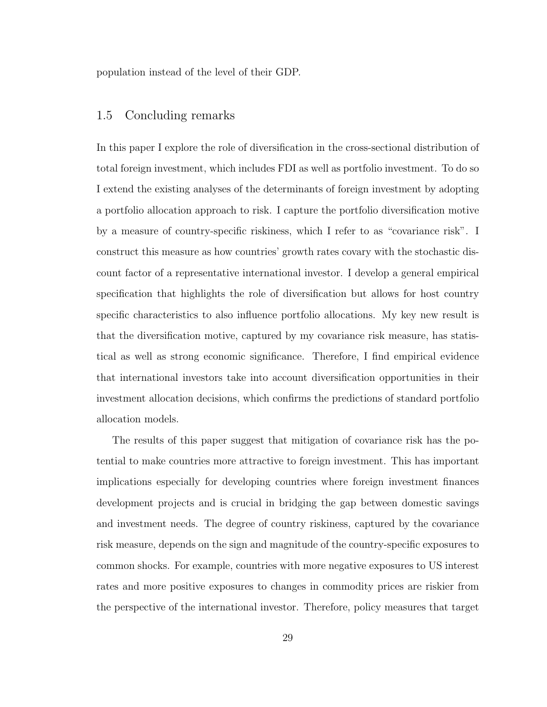population instead of the level of their GDP.

### 1.5 Concluding remarks

In this paper I explore the role of diversification in the cross-sectional distribution of total foreign investment, which includes FDI as well as portfolio investment. To do so I extend the existing analyses of the determinants of foreign investment by adopting a portfolio allocation approach to risk. I capture the portfolio diversification motive by a measure of country-specific riskiness, which I refer to as "covariance risk". I construct this measure as how countries' growth rates covary with the stochastic discount factor of a representative international investor. I develop a general empirical specification that highlights the role of diversification but allows for host country specific characteristics to also influence portfolio allocations. My key new result is that the diversification motive, captured by my covariance risk measure, has statistical as well as strong economic significance. Therefore, I find empirical evidence that international investors take into account diversification opportunities in their investment allocation decisions, which confirms the predictions of standard portfolio allocation models.

The results of this paper suggest that mitigation of covariance risk has the potential to make countries more attractive to foreign investment. This has important implications especially for developing countries where foreign investment finances development projects and is crucial in bridging the gap between domestic savings and investment needs. The degree of country riskiness, captured by the covariance risk measure, depends on the sign and magnitude of the country-specific exposures to common shocks. For example, countries with more negative exposures to US interest rates and more positive exposures to changes in commodity prices are riskier from the perspective of the international investor. Therefore, policy measures that target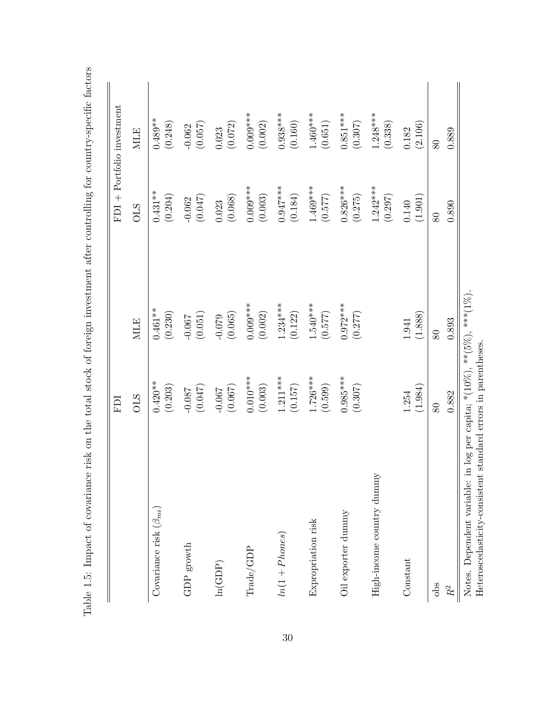|                                | ICH        |            |                       | FDI + Portfolio investment |
|--------------------------------|------------|------------|-----------------------|----------------------------|
|                                | <b>OLS</b> | <b>MLE</b> | <b>STO</b>            | <b>MLE</b>                 |
| Covariance risk $(\beta_{mi})$ | $0.420**$  | $0.461***$ | $0.431***$            | $0.489**$                  |
|                                | (0.203)    | (0.230)    | (0.204)               | (0.248)                    |
| ${\rm GDP}$ growth             | (0.047)    | (0.051)    | (0.047)               | (0.057)                    |
|                                | $-0.087$   | $-0.067$   | $-0.062$              | $-0.062$                   |
| ln(GDP)                        | (0.067)    | (0.065)    | (0.068)               | (0.072)                    |
|                                | $-0.067$   | $-0.079$   | 0.023                 | 0.023                      |
| Trade/GDP                      | $0.010***$ | $0.009***$ | $0.009***$            | $0.009***$                 |
|                                | (0.003)    | (0.002)    | (0.003)               | (0.002)                    |
| $ln(1+Phones)$                 | $1.211***$ | $1.234***$ | $0.947***$            | $0.938***$                 |
|                                | (0.157)    | (0.122)    | (0.184)               | (0.160)                    |
| Expropriation risk             | $1.726***$ | $1.540***$ | $1.469***$            | $1.460***$                 |
|                                | (0.599)    | (0.577)    | (0.577)               | (0.651)                    |
| Oil exporter dummy             | $0.985***$ | $0.972***$ | $0.826***$            | $0.851***$                 |
|                                | (0.307)    | (0.277)    | (0.275)               | (0.307)                    |
| High-income country dummy      |            |            | $1.242***$<br>(0.297) | $1.248***$<br>(0.338)      |
| Constant                       | (1.984)    | (1.888)    | (1.901)               | (2.106)                    |
|                                | 1.254      | 1.941      | 0.140                 | 0.182                      |
| $\frac{1}{2}$                  | 80         | 80         | 80                    | 80                         |
| $R^2$                          | 0.882      | 0.893      | 0.890                 | 0.889                      |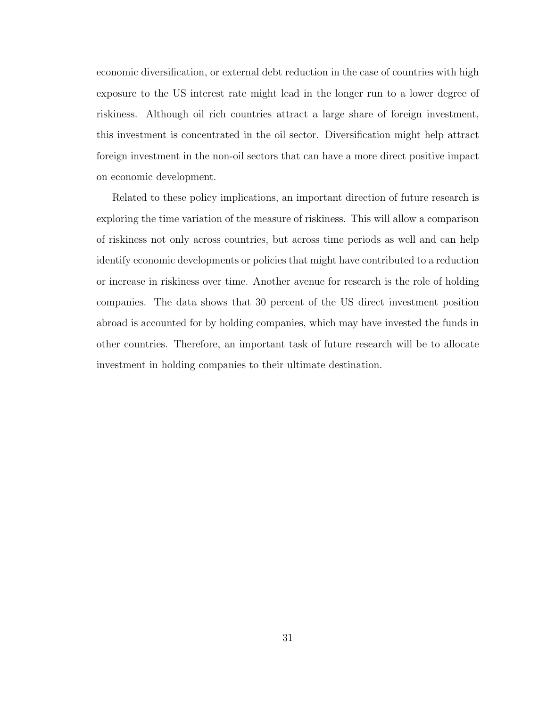economic diversification, or external debt reduction in the case of countries with high exposure to the US interest rate might lead in the longer run to a lower degree of riskiness. Although oil rich countries attract a large share of foreign investment, this investment is concentrated in the oil sector. Diversification might help attract foreign investment in the non-oil sectors that can have a more direct positive impact on economic development.

Related to these policy implications, an important direction of future research is exploring the time variation of the measure of riskiness. This will allow a comparison of riskiness not only across countries, but across time periods as well and can help identify economic developments or policies that might have contributed to a reduction or increase in riskiness over time. Another avenue for research is the role of holding companies. The data shows that 30 percent of the US direct investment position abroad is accounted for by holding companies, which may have invested the funds in other countries. Therefore, an important task of future research will be to allocate investment in holding companies to their ultimate destination.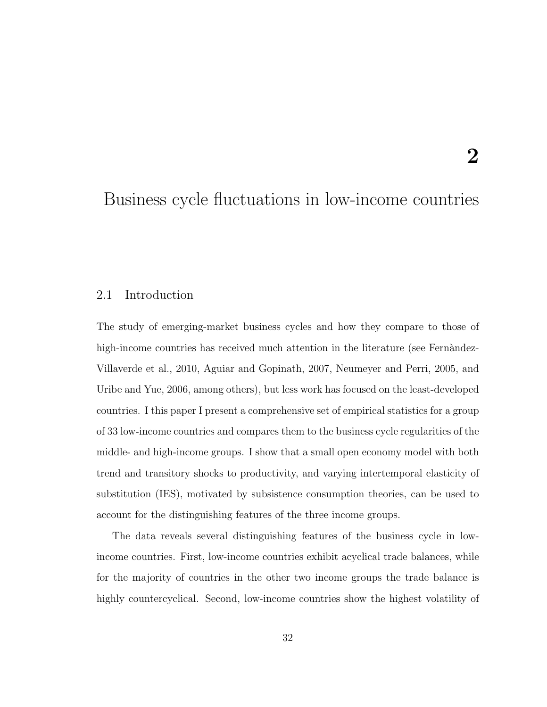# Business cycle fluctuations in low-income countries

# 2.1 Introduction

The study of emerging-market business cycles and how they compare to those of high-income countries has received much attention in the literature (see Fernandez-Villaverde et al., 2010, Aguiar and Gopinath, 2007, Neumeyer and Perri, 2005, and Uribe and Yue, 2006, among others), but less work has focused on the least-developed countries. I this paper I present a comprehensive set of empirical statistics for a group of 33 low-income countries and compares them to the business cycle regularities of the middle- and high-income groups. I show that a small open economy model with both trend and transitory shocks to productivity, and varying intertemporal elasticity of substitution (IES), motivated by subsistence consumption theories, can be used to account for the distinguishing features of the three income groups.

The data reveals several distinguishing features of the business cycle in lowincome countries. First, low-income countries exhibit acyclical trade balances, while for the majority of countries in the other two income groups the trade balance is highly countercyclical. Second, low-income countries show the highest volatility of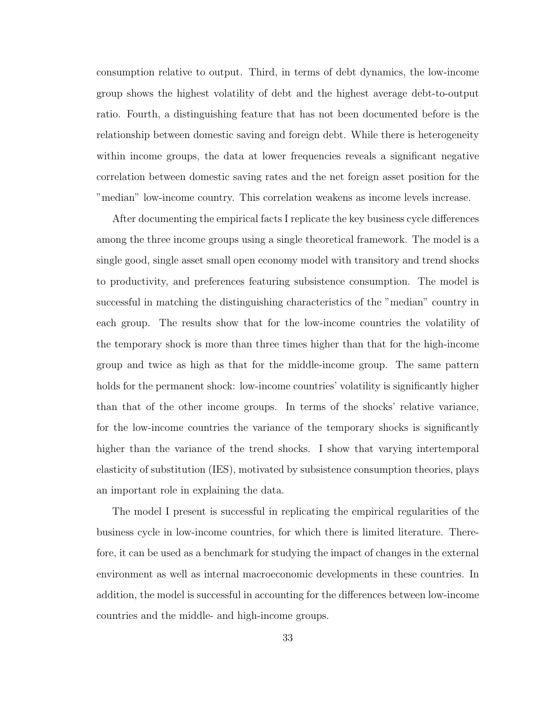consumption relative to output. Third, in terms of debt dynamics, the low-income group shows the highest volatility of debt and the highest average debt-to-output ratio. Fourth, a distinguishing feature that has not been documented before is the relationship between domestic saving and foreign debt. While there is heterogeneity within income groups, the data at lower frequencies reveals a significant negative correlation between domestic saving rates and the net foreign asset position for the "median" low-income country. This correlation weakens as income levels increase.

After documenting the empirical facts I replicate the key business cycle differences among the three income groups using a single theoretical framework. The model is a single good, single asset small open economy model with transitory and trend shocks to productivity, and preferences featuring subsistence consumption. The model is successful in matching the distinguishing characteristics of the "median" country in each group. The results show that for the low-income countries the volatility of the temporary shock is more than three times higher than that for the high-income group and twice as high as that for the middle-income group. The same pattern holds for the permanent shock: low-income countries' volatility is significantly higher than that of the other income groups. In terms of the shocks' relative variance, for the low-income countries the variance of the temporary shocks is significantly higher than the variance of the trend shocks. I show that varying intertemporal elasticity of substitution (IES), motivated by subsistence consumption theories, plays an important role in explaining the data.

The model I present is successful in replicating the empirical regularities of the business cycle in low-income countries, for which there is limited literature. Therefore, it can be used as a benchmark for studying the impact of changes in the external environment as well as internal macroeconomic developments in these countries. In addition, the model is successful in accounting for the differences between low-income countries and the middle- and high-income groups.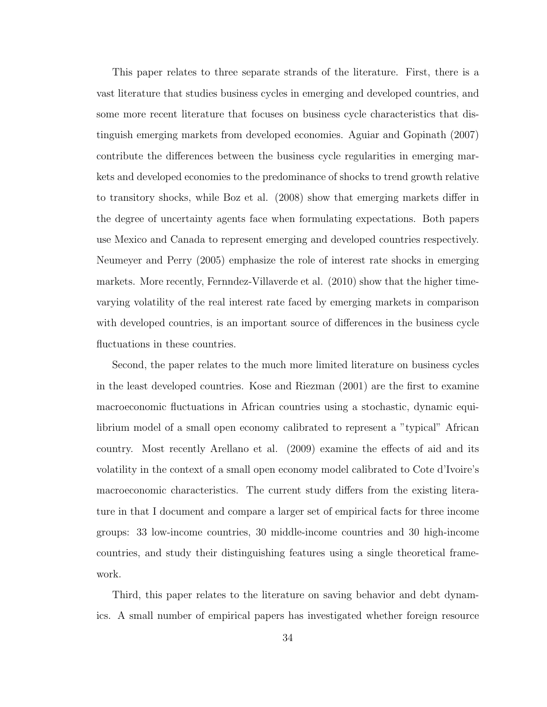This paper relates to three separate strands of the literature. First, there is a vast literature that studies business cycles in emerging and developed countries, and some more recent literature that focuses on business cycle characteristics that distinguish emerging markets from developed economies. Aguiar and Gopinath (2007) contribute the differences between the business cycle regularities in emerging markets and developed economies to the predominance of shocks to trend growth relative to transitory shocks, while Boz et al. (2008) show that emerging markets differ in the degree of uncertainty agents face when formulating expectations. Both papers use Mexico and Canada to represent emerging and developed countries respectively. Neumeyer and Perry (2005) emphasize the role of interest rate shocks in emerging markets. More recently, Fernndez-Villaverde et al. (2010) show that the higher timevarying volatility of the real interest rate faced by emerging markets in comparison with developed countries, is an important source of differences in the business cycle fluctuations in these countries.

Second, the paper relates to the much more limited literature on business cycles in the least developed countries. Kose and Riezman (2001) are the first to examine macroeconomic fluctuations in African countries using a stochastic, dynamic equilibrium model of a small open economy calibrated to represent a "typical" African country. Most recently Arellano et al. (2009) examine the effects of aid and its volatility in the context of a small open economy model calibrated to Cote d'Ivoire's macroeconomic characteristics. The current study differs from the existing literature in that I document and compare a larger set of empirical facts for three income groups: 33 low-income countries, 30 middle-income countries and 30 high-income countries, and study their distinguishing features using a single theoretical framework.

Third, this paper relates to the literature on saving behavior and debt dynamics. A small number of empirical papers has investigated whether foreign resource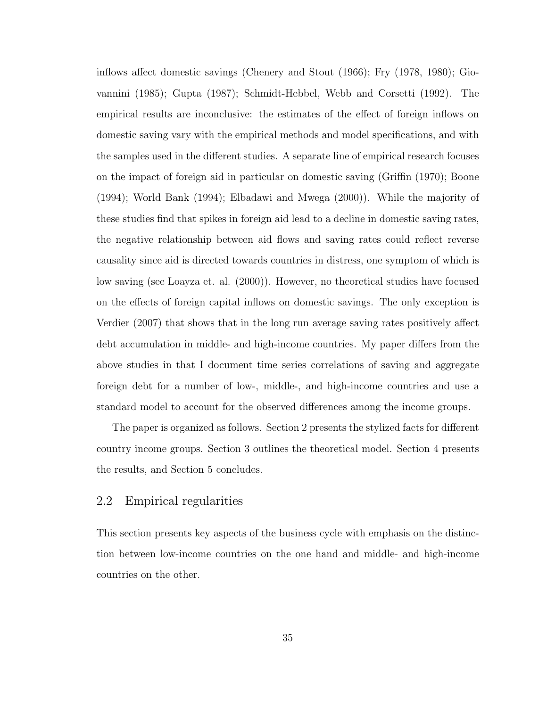inflows affect domestic savings (Chenery and Stout (1966); Fry (1978, 1980); Giovannini (1985); Gupta (1987); Schmidt-Hebbel, Webb and Corsetti (1992). The empirical results are inconclusive: the estimates of the effect of foreign inflows on domestic saving vary with the empirical methods and model specifications, and with the samples used in the different studies. A separate line of empirical research focuses on the impact of foreign aid in particular on domestic saving (Griffin (1970); Boone (1994); World Bank (1994); Elbadawi and Mwega (2000)). While the majority of these studies find that spikes in foreign aid lead to a decline in domestic saving rates, the negative relationship between aid flows and saving rates could reflect reverse causality since aid is directed towards countries in distress, one symptom of which is low saving (see Loayza et. al. (2000)). However, no theoretical studies have focused on the effects of foreign capital inflows on domestic savings. The only exception is Verdier (2007) that shows that in the long run average saving rates positively affect debt accumulation in middle- and high-income countries. My paper differs from the above studies in that I document time series correlations of saving and aggregate foreign debt for a number of low-, middle-, and high-income countries and use a standard model to account for the observed differences among the income groups.

The paper is organized as follows. Section 2 presents the stylized facts for different country income groups. Section 3 outlines the theoretical model. Section 4 presents the results, and Section 5 concludes.

# 2.2 Empirical regularities

This section presents key aspects of the business cycle with emphasis on the distinction between low-income countries on the one hand and middle- and high-income countries on the other.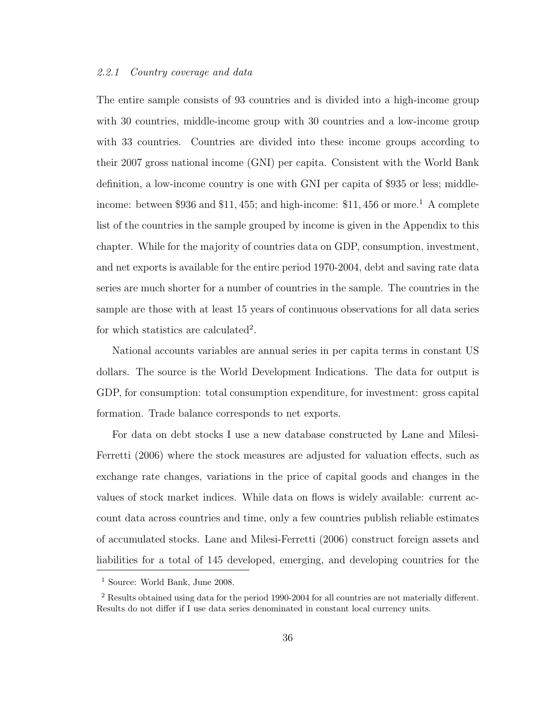#### 2.2.1 Country coverage and data

The entire sample consists of 93 countries and is divided into a high-income group with 30 countries, middle-income group with 30 countries and a low-income group with 33 countries. Countries are divided into these income groups according to their 2007 gross national income (GNI) per capita. Consistent with the World Bank definition, a low-income country is one with GNI per capita of \$935 or less; middle-income: between \$936 and \$[1](#page-46-0)1, 455; and high-income:  $$11,456$  or more.<sup>1</sup> A complete list of the countries in the sample grouped by income is given in the Appendix to this chapter. While for the majority of countries data on GDP, consumption, investment, and net exports is available for the entire period 1970-2004, debt and saving rate data series are much shorter for a number of countries in the sample. The countries in the sample are those with at least 15 years of continuous observations for all data series for which statistics are calculated<sup>[2](#page-46-1)</sup>.

National accounts variables are annual series in per capita terms in constant US dollars. The source is the World Development Indications. The data for output is GDP, for consumption: total consumption expenditure, for investment: gross capital formation. Trade balance corresponds to net exports.

For data on debt stocks I use a new database constructed by Lane and Milesi-Ferretti (2006) where the stock measures are adjusted for valuation effects, such as exchange rate changes, variations in the price of capital goods and changes in the values of stock market indices. While data on flows is widely available: current account data across countries and time, only a few countries publish reliable estimates of accumulated stocks. Lane and Milesi-Ferretti (2006) construct foreign assets and liabilities for a total of 145 developed, emerging, and developing countries for the

<span id="page-46-0"></span><sup>1</sup> Source: World Bank, June 2008.

<span id="page-46-1"></span><sup>2</sup> Results obtained using data for the period 1990-2004 for all countries are not materially different. Results do not differ if I use data series denominated in constant local currency units.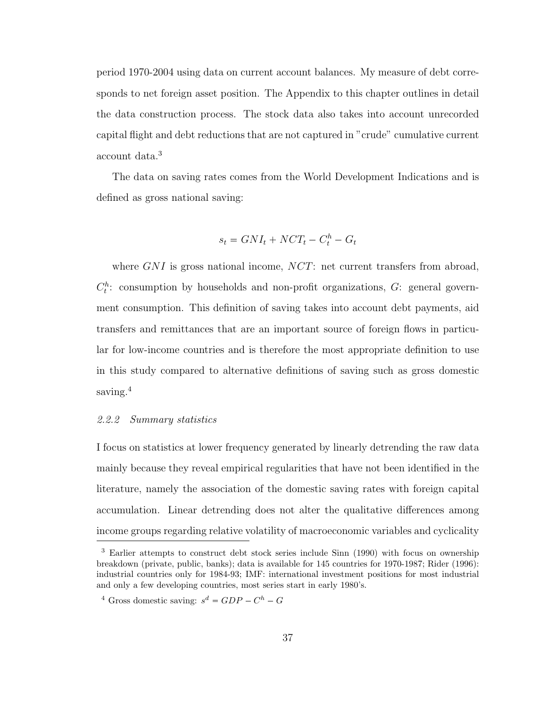period 1970-2004 using data on current account balances. My measure of debt corresponds to net foreign asset position. The Appendix to this chapter outlines in detail the data construction process. The stock data also takes into account unrecorded capital flight and debt reductions that are not captured in "crude" cumulative current account data.[3](#page-47-0)

The data on saving rates comes from the World Development Indications and is defined as gross national saving:

$$
s_t = GNI_t + NCT_t - C_t^h - G_t
$$

where  $GNI$  is gross national income,  $NCT$ : net current transfers from abroad,  $C_t^h$ : consumption by households and non-profit organizations,  $G$ : general government consumption. This definition of saving takes into account debt payments, aid transfers and remittances that are an important source of foreign flows in particular for low-income countries and is therefore the most appropriate definition to use in this study compared to alternative definitions of saving such as gross domestic saving.<sup>[4](#page-47-1)</sup>

#### 2.2.2 Summary statistics

I focus on statistics at lower frequency generated by linearly detrending the raw data mainly because they reveal empirical regularities that have not been identified in the literature, namely the association of the domestic saving rates with foreign capital accumulation. Linear detrending does not alter the qualitative differences among income groups regarding relative volatility of macroeconomic variables and cyclicality

<span id="page-47-0"></span><sup>&</sup>lt;sup>3</sup> Earlier attempts to construct debt stock series include Sinn (1990) with focus on ownership breakdown (private, public, banks); data is available for 145 countries for 1970-1987; Rider (1996): industrial countries only for 1984-93; IMF: international investment positions for most industrial and only a few developing countries, most series start in early 1980's.

<span id="page-47-1"></span><sup>&</sup>lt;sup>4</sup> Gross domestic saving:  $s^d = GDP - C^h - G$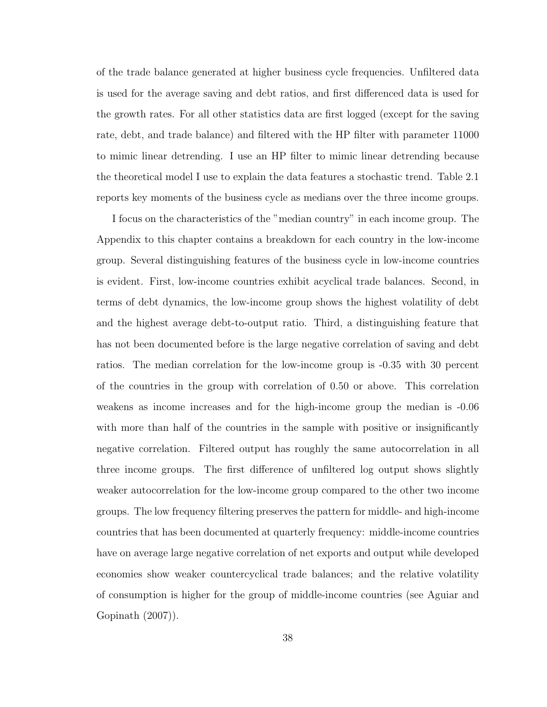of the trade balance generated at higher business cycle frequencies. Unfiltered data is used for the average saving and debt ratios, and first differenced data is used for the growth rates. For all other statistics data are first logged (except for the saving rate, debt, and trade balance) and filtered with the HP filter with parameter 11000 to mimic linear detrending. I use an HP filter to mimic linear detrending because the theoretical model I use to explain the data features a stochastic trend. Table [2.1](#page-49-0) reports key moments of the business cycle as medians over the three income groups.

I focus on the characteristics of the "median country" in each income group. The Appendix to this chapter contains a breakdown for each country in the low-income group. Several distinguishing features of the business cycle in low-income countries is evident. First, low-income countries exhibit acyclical trade balances. Second, in terms of debt dynamics, the low-income group shows the highest volatility of debt and the highest average debt-to-output ratio. Third, a distinguishing feature that has not been documented before is the large negative correlation of saving and debt ratios. The median correlation for the low-income group is -0.35 with 30 percent of the countries in the group with correlation of 0.50 or above. This correlation weakens as income increases and for the high-income group the median is -0.06 with more than half of the countries in the sample with positive or insignificantly negative correlation. Filtered output has roughly the same autocorrelation in all three income groups. The first difference of unfiltered log output shows slightly weaker autocorrelation for the low-income group compared to the other two income groups. The low frequency filtering preserves the pattern for middle- and high-income countries that has been documented at quarterly frequency: middle-income countries have on average large negative correlation of net exports and output while developed economies show weaker countercyclical trade balances; and the relative volatility of consumption is higher for the group of middle-income countries (see Aguiar and Gopinath (2007)).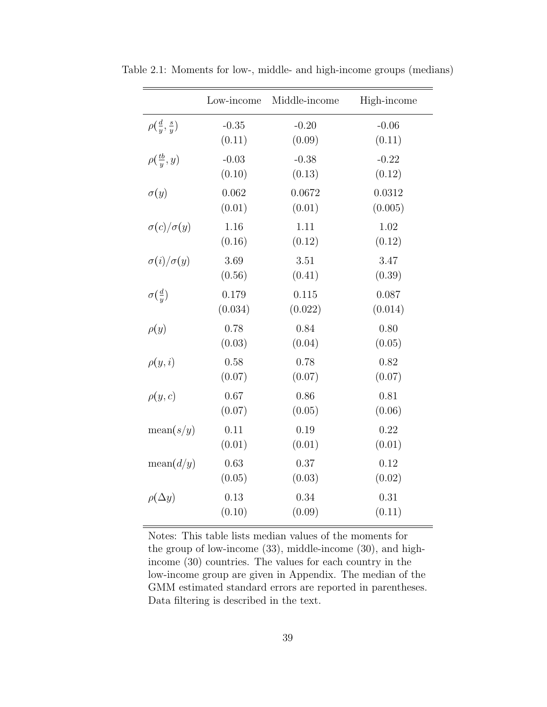<span id="page-49-0"></span>

|                                  | Low-income | Middle-income | High-income |
|----------------------------------|------------|---------------|-------------|
| $\rho(\frac{d}{y}, \frac{s}{y})$ | $-0.35$    | $-0.20$       | $-0.06$     |
|                                  | (0.11)     | (0.09)        | (0.11)      |
| $\rho(\frac{tb}{y},y)$           | $-0.03$    | $-0.38$       | $-0.22$     |
|                                  | (0.10)     | (0.13)        | (0.12)      |
| $\sigma(y)$                      | 0.062      | 0.0672        | 0.0312      |
|                                  | (0.01)     | (0.01)        | (0.005)     |
| $\sigma(c)/\sigma(y)$            | 1.16       | 1.11          | 1.02        |
|                                  | (0.16)     | (0.12)        | (0.12)      |
| $\sigma(i)/\sigma(y)$            | 3.69       | 3.51          | 3.47        |
|                                  | (0.56)     | (0.41)        | (0.39)      |
| $\sigma(\frac{d}{y})$            | 0.179      | 0.115         | 0.087       |
|                                  | (0.034)    | (0.022)       | (0.014)     |
| $\rho(y)$                        | 0.78       | 0.84          | 0.80        |
|                                  | (0.03)     | (0.04)        | (0.05)      |
| $\rho(y,i)$                      | 0.58       | 0.78          | 0.82        |
|                                  | (0.07)     | (0.07)        | (0.07)      |
| $\rho(y,c)$                      | 0.67       | 0.86          | 0.81        |
|                                  | (0.07)     | (0.05)        | (0.06)      |
| mean(s/y)                        | 0.11       | 0.19          | 0.22        |
|                                  | (0.01)     | (0.01)        | (0.01)      |
| mean(d/y)                        | 0.63       | 0.37          | 0.12        |
|                                  | (0.05)     | (0.03)        | (0.02)      |
| $\rho(\Delta y)$                 | 0.13       | 0.34          | 0.31        |
|                                  | (0.10)     | (0.09)        | (0.11)      |

Table 2.1: Moments for low-, middle- and high-income groups (medians)

Notes: This table lists median values of the moments for the group of low-income (33), middle-income (30), and highincome (30) countries. The values for each country in the low-income group are given in Appendix. The median of the GMM estimated standard errors are reported in parentheses. Data filtering is described in the text.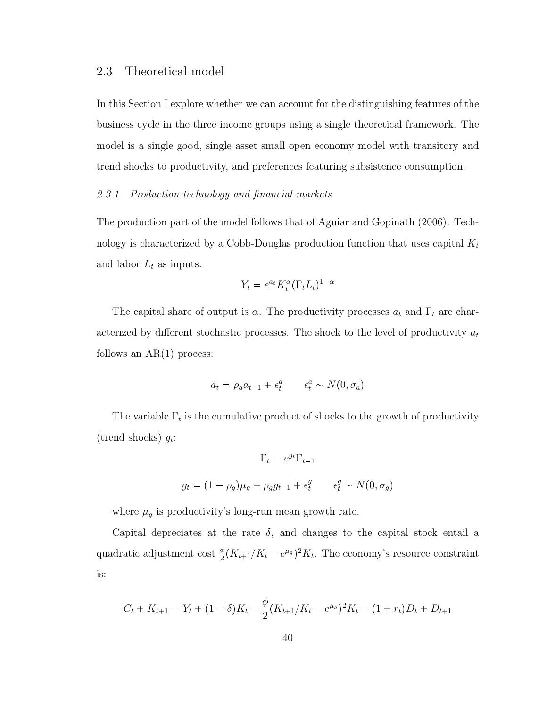# 2.3 Theoretical model

In this Section I explore whether we can account for the distinguishing features of the business cycle in the three income groups using a single theoretical framework. The model is a single good, single asset small open economy model with transitory and trend shocks to productivity, and preferences featuring subsistence consumption.

#### 2.3.1 Production technology and financial markets

The production part of the model follows that of Aguiar and Gopinath (2006). Technology is characterized by a Cobb-Douglas production function that uses capital  $K_t$ and labor  $L_t$  as inputs.

$$
Y_t = e^{a_t} K_t^{\alpha} (\Gamma_t L_t)^{1-\alpha}
$$

The capital share of output is  $\alpha$ . The productivity processes  $a_t$  and  $\Gamma_t$  are characterized by different stochastic processes. The shock to the level of productivity  $a_t$ follows an  $AR(1)$  process:

$$
a_t = \rho_a a_{t-1} + \epsilon_t^a \qquad \epsilon_t^a \sim N(0, \sigma_a)
$$

The variable  $\Gamma_t$  is the cumulative product of shocks to the growth of productivity (trend shocks)  $g_t$ :

$$
\Gamma_t = e^{g_t} \Gamma_{t-1}
$$
  

$$
g_t = (1 - \rho_g) \mu_g + \rho_g g_{t-1} + \epsilon_t^g \qquad \epsilon_t^g \sim N(0, \sigma_g)
$$

where  $\mu_g$  is productivity's long-run mean growth rate.

Capital depreciates at the rate  $\delta$ , and changes to the capital stock entail a quadratic adjustment cost  $\frac{\phi}{2}(K_{t+1}/K_t - e^{\mu_g})^2 K_t$ . The economy's resource constraint is:

$$
C_t + K_{t+1} = Y_t + (1 - \delta)K_t - \frac{\phi}{2}(K_{t+1}/K_t - e^{\mu_g})^2 K_t - (1 + r_t)D_t + D_{t+1}
$$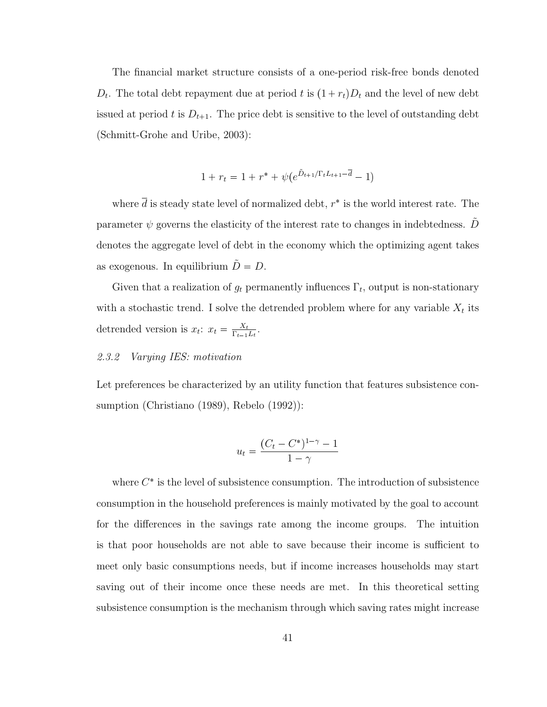The financial market structure consists of a one-period risk-free bonds denoted  $D_t$ . The total debt repayment due at period t is  $(1 + r_t)D_t$  and the level of new debt issued at period t is  $D_{t+1}$ . The price debt is sensitive to the level of outstanding debt (Schmitt-Grohe and Uribe, 2003):

$$
1 + r_t = 1 + r^* + \psi(e^{\tilde{D}_{t+1}/\Gamma_t L_{t+1} - \bar{d}} - 1)
$$

where  $\overline{d}$  is steady state level of normalized debt,  $r^*$  is the world interest rate. The parameter  $\psi$  governs the elasticity of the interest rate to changes in indebtedness. D denotes the aggregate level of debt in the economy which the optimizing agent takes as exogenous. In equilibrium  $\tilde{D} = D$ .

Given that a realization of  $g_t$  permanently influences  $\Gamma_t$ , output is non-stationary with a stochastic trend. I solve the detrended problem where for any variable  $X_t$  its detrended version is  $x_t$ :  $x_t = \frac{X_t}{\Gamma_{t-1}}$  $\frac{X_t}{\Gamma_{t-1}L_t}.$ 

#### 2.3.2 Varying IES: motivation

Let preferences be characterized by an utility function that features subsistence consumption (Christiano (1989), Rebelo (1992)):

$$
u_t = \frac{(C_t - C^*)^{1-\gamma} - 1}{1 - \gamma}
$$

where  $C^*$  is the level of subsistence consumption. The introduction of subsistence consumption in the household preferences is mainly motivated by the goal to account for the differences in the savings rate among the income groups. The intuition is that poor households are not able to save because their income is sufficient to meet only basic consumptions needs, but if income increases households may start saving out of their income once these needs are met. In this theoretical setting subsistence consumption is the mechanism through which saving rates might increase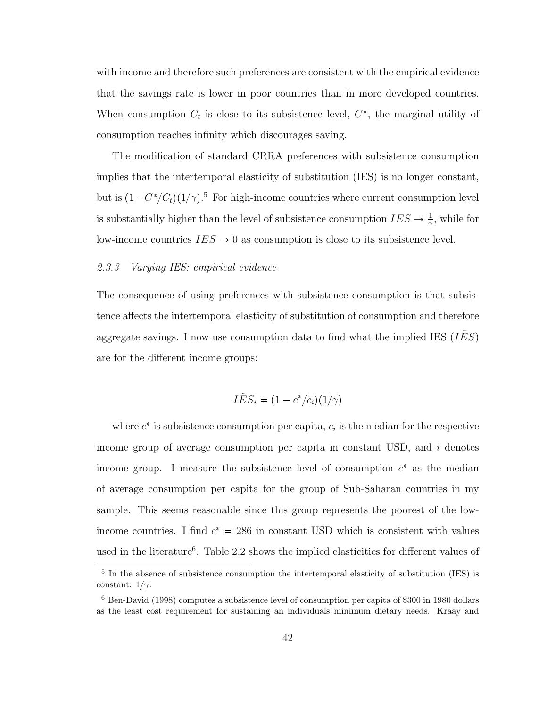with income and therefore such preferences are consistent with the empirical evidence that the savings rate is lower in poor countries than in more developed countries. When consumption  $C_t$  is close to its subsistence level,  $C^*$ , the marginal utility of consumption reaches infinity which discourages saving.

The modification of standard CRRA preferences with subsistence consumption implies that the intertemporal elasticity of substitution (IES) is no longer constant, but is  $(1 - C^*/C_t)(1/\gamma)$ <sup>[5](#page-52-0)</sup> For high-income countries where current consumption level is substantially higher than the level of subsistence consumption  $IES \rightarrow \frac{1}{\gamma}$ , while for low-income countries  $IES \rightarrow 0$  as consumption is close to its subsistence level.

#### 2.3.3 Varying IES: empirical evidence

The consequence of using preferences with subsistence consumption is that subsistence affects the intertemporal elasticity of substitution of consumption and therefore aggregate savings. I now use consumption data to find what the implied IES  $(IES)$ are for the different income groups:

$$
I\tilde{E}S_i = (1 - c^*/c_i)(1/\gamma)
$$

where  $c^*$  is subsistence consumption per capita,  $c_i$  is the median for the respective income group of average consumption per capita in constant USD, and  $i$  denotes income group. I measure the subsistence level of consumption  $c^*$  as the median of average consumption per capita for the group of Sub-Saharan countries in my sample. This seems reasonable since this group represents the poorest of the lowincome countries. I find  $c^* = 286$  in constant USD which is consistent with values used in the literature<sup>[6](#page-52-1)</sup>. Table [2.2](#page-53-0) shows the implied elasticities for different values of

<span id="page-52-0"></span><sup>&</sup>lt;sup>5</sup> In the absence of subsistence consumption the intertemporal elasticity of substitution (IES) is constant:  $1/\gamma$ .

<span id="page-52-1"></span><sup>6</sup> Ben-David (1998) computes a subsistence level of consumption per capita of \$300 in 1980 dollars as the least cost requirement for sustaining an individuals minimum dietary needs. Kraay and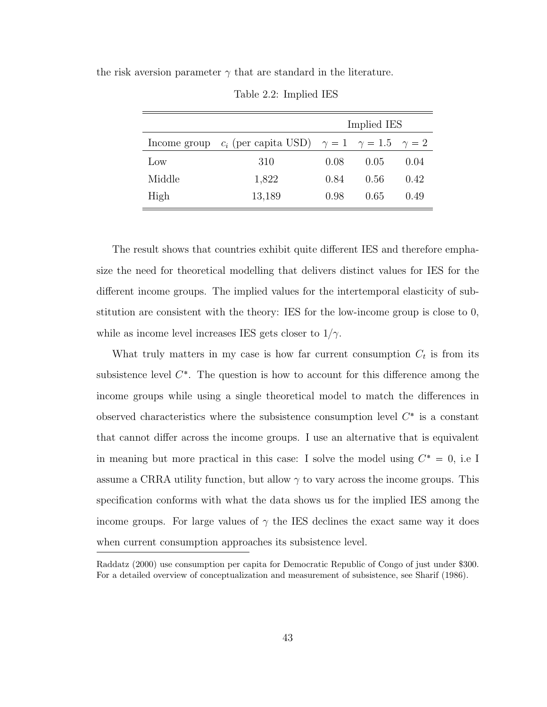the risk aversion parameter  $\gamma$  that are standard in the literature.

|        |                                                                              |      | Implied IES |      |
|--------|------------------------------------------------------------------------------|------|-------------|------|
|        | Income group $c_i$ (per capita USD) $\gamma = 1$ $\gamma = 1.5$ $\gamma = 2$ |      |             |      |
| Low    | 310                                                                          | 0.08 | 0.05        | 0.04 |
| Middle | 1,822                                                                        | 0.84 | 0.56        | 0.42 |
| High   | 13,189                                                                       | 0.98 | 0.65        | 0.49 |

<span id="page-53-0"></span>Table 2.2: Implied IES

The result shows that countries exhibit quite different IES and therefore emphasize the need for theoretical modelling that delivers distinct values for IES for the different income groups. The implied values for the intertemporal elasticity of substitution are consistent with the theory: IES for the low-income group is close to 0, while as income level increases IES gets closer to  $1/\gamma$ .

What truly matters in my case is how far current consumption  $C_t$  is from its subsistence level  $C^*$ . The question is how to account for this difference among the income groups while using a single theoretical model to match the differences in observed characteristics where the subsistence consumption level  $C^*$  is a constant that cannot differ across the income groups. I use an alternative that is equivalent in meaning but more practical in this case: I solve the model using  $C^* = 0$ , i.e I assume a CRRA utility function, but allow  $\gamma$  to vary across the income groups. This specification conforms with what the data shows us for the implied IES among the income groups. For large values of  $\gamma$  the IES declines the exact same way it does when current consumption approaches its subsistence level.

Raddatz (2000) use consumption per capita for Democratic Republic of Congo of just under \$300. For a detailed overview of conceptualization and measurement of subsistence, see Sharif (1986).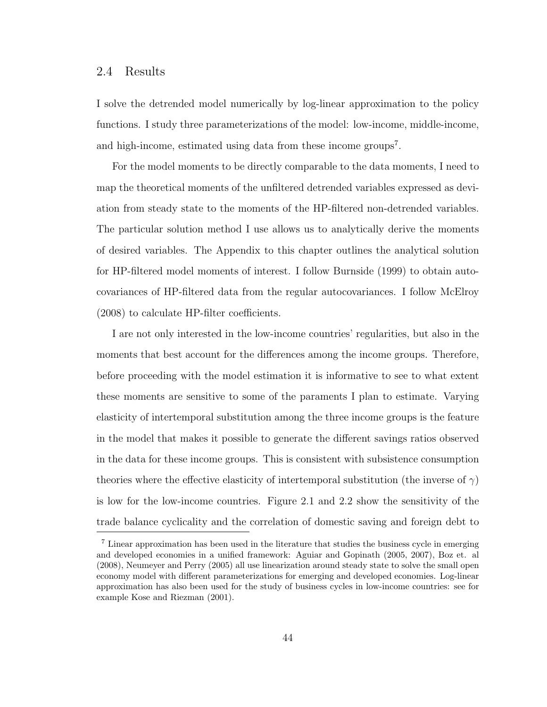### 2.4 Results

I solve the detrended model numerically by log-linear approximation to the policy functions. I study three parameterizations of the model: low-income, middle-income, and high-income, estimated using data from these income groups<sup>[7](#page-54-0)</sup>.

For the model moments to be directly comparable to the data moments, I need to map the theoretical moments of the unfiltered detrended variables expressed as deviation from steady state to the moments of the HP-filtered non-detrended variables. The particular solution method I use allows us to analytically derive the moments of desired variables. The Appendix to this chapter outlines the analytical solution for HP-filtered model moments of interest. I follow Burnside (1999) to obtain autocovariances of HP-filtered data from the regular autocovariances. I follow McElroy (2008) to calculate HP-filter coefficients.

I are not only interested in the low-income countries' regularities, but also in the moments that best account for the differences among the income groups. Therefore, before proceeding with the model estimation it is informative to see to what extent these moments are sensitive to some of the paraments I plan to estimate. Varying elasticity of intertemporal substitution among the three income groups is the feature in the model that makes it possible to generate the different savings ratios observed in the data for these income groups. This is consistent with subsistence consumption theories where the effective elasticity of intertemporal substitution (the inverse of  $\gamma$ ) is low for the low-income countries. Figure 2.1 and 2.2 show the sensitivity of the trade balance cyclicality and the correlation of domestic saving and foreign debt to

<span id="page-54-0"></span><sup>7</sup> Linear approximation has been used in the literature that studies the business cycle in emerging and developed economies in a unified framework: Aguiar and Gopinath (2005, 2007), Boz et. al (2008), Neumeyer and Perry (2005) all use linearization around steady state to solve the small open economy model with different parameterizations for emerging and developed economies. Log-linear approximation has also been used for the study of business cycles in low-income countries: see for example Kose and Riezman (2001).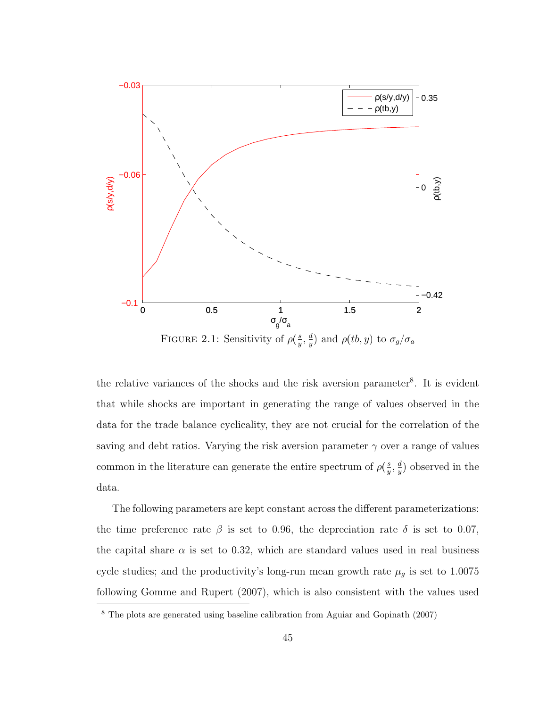

the relative variances of the shocks and the risk aversion parameter<sup>[8](#page-55-0)</sup>. It is evident that while shocks are important in generating the range of values observed in the data for the trade balance cyclicality, they are not crucial for the correlation of the saving and debt ratios. Varying the risk aversion parameter  $\gamma$  over a range of values common in the literature can generate the entire spectrum of  $\rho(\frac{s}{y})$  $\frac{s}{y}, \frac{d}{y}$  $\frac{d}{y}$ ) observed in the data.

The following parameters are kept constant across the different parameterizations: the time preference rate  $\beta$  is set to 0.96, the depreciation rate  $\delta$  is set to 0.07, the capital share  $\alpha$  is set to 0.32, which are standard values used in real business cycle studies; and the productivity's long-run mean growth rate  $\mu_g$  is set to 1.0075 following Gomme and Rupert (2007), which is also consistent with the values used

<span id="page-55-0"></span><sup>8</sup> The plots are generated using baseline calibration from Aguiar and Gopinath (2007)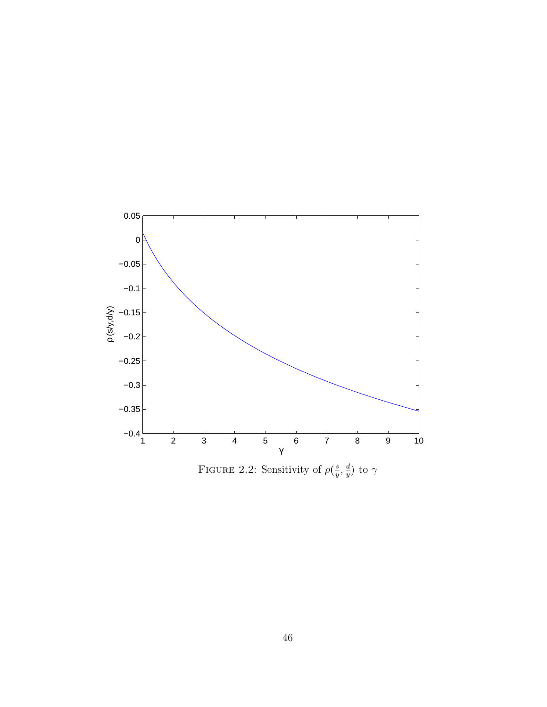

FIGURE 2.2: Sensitivity of  $\rho(\frac{s}{y})$  $\frac{s}{y}, \frac{d}{y}$  $\frac{d}{y})$  to  $\gamma$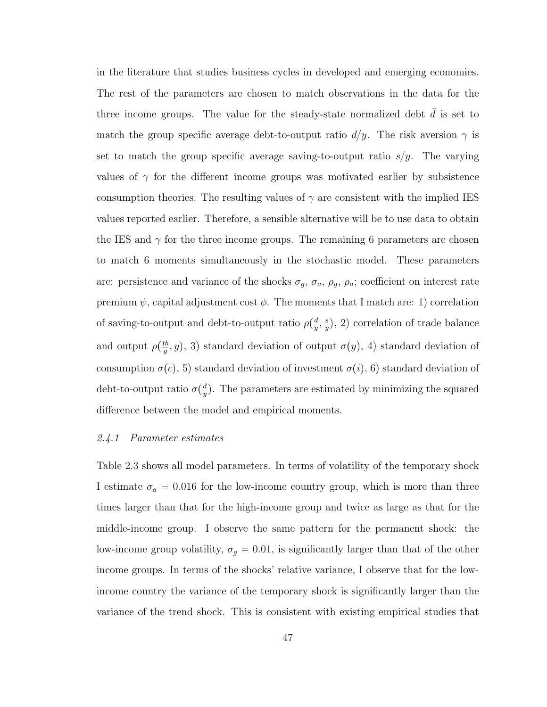in the literature that studies business cycles in developed and emerging economies. The rest of the parameters are chosen to match observations in the data for the three income groups. The value for the steady-state normalized debt  $d$  is set to match the group specific average debt-to-output ratio  $d/y$ . The risk aversion  $\gamma$  is set to match the group specific average saving-to-output ratio  $s/y$ . The varying values of  $\gamma$  for the different income groups was motivated earlier by subsistence consumption theories. The resulting values of  $\gamma$  are consistent with the implied IES values reported earlier. Therefore, a sensible alternative will be to use data to obtain the IES and  $\gamma$  for the three income groups. The remaining 6 parameters are chosen to match 6 moments simultaneously in the stochastic model. These parameters are: persistence and variance of the shocks  $\sigma_g$ ,  $\sigma_a$ ,  $\rho_g$ ,  $\rho_a$ ; coefficient on interest rate premium  $\psi$ , capital adjustment cost  $\phi$ . The moments that I match are: 1) correlation of saving-to-output and debt-to-output ratio  $\rho(\frac{d}{y})$  $\frac{d}{y}, \frac{s}{y}$  $(\frac{s}{y}),$  2) correlation of trade balance and output  $\rho(\frac{tb}{y})$  $(y^{(t)}(y, y), 3)$  standard deviation of output  $\sigma(y, 4)$  standard deviation of consumption  $\sigma(c)$ , 5) standard deviation of investment  $\sigma(i)$ , 6) standard deviation of debt-to-output ratio  $\sigma(\frac{d}{y})$  $\frac{d}{y}$ ). The parameters are estimated by minimizing the squared difference between the model and empirical moments.

#### 2.4.1 Parameter estimates

Table [2.3](#page-59-0) shows all model parameters. In terms of volatility of the temporary shock I estimate  $\sigma_a = 0.016$  for the low-income country group, which is more than three times larger than that for the high-income group and twice as large as that for the middle-income group. I observe the same pattern for the permanent shock: the low-income group volatility,  $\sigma_g = 0.01$ , is significantly larger than that of the other income groups. In terms of the shocks' relative variance, I observe that for the lowincome country the variance of the temporary shock is significantly larger than the variance of the trend shock. This is consistent with existing empirical studies that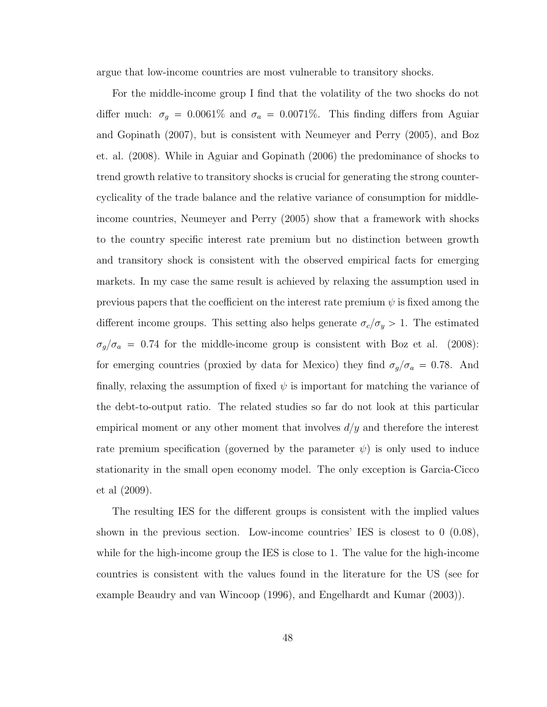argue that low-income countries are most vulnerable to transitory shocks.

For the middle-income group I find that the volatility of the two shocks do not differ much:  $\sigma_g = 0.0061\%$  and  $\sigma_a = 0.0071\%$ . This finding differs from Aguiar and Gopinath (2007), but is consistent with Neumeyer and Perry (2005), and Boz et. al. (2008). While in Aguiar and Gopinath (2006) the predominance of shocks to trend growth relative to transitory shocks is crucial for generating the strong countercyclicality of the trade balance and the relative variance of consumption for middleincome countries, Neumeyer and Perry (2005) show that a framework with shocks to the country specific interest rate premium but no distinction between growth and transitory shock is consistent with the observed empirical facts for emerging markets. In my case the same result is achieved by relaxing the assumption used in previous papers that the coefficient on the interest rate premium  $\psi$  is fixed among the different income groups. This setting also helps generate  $\sigma_c/\sigma_y > 1$ . The estimated  $\sigma_g/\sigma_a = 0.74$  for the middle-income group is consistent with Boz et al. (2008): for emerging countries (proxied by data for Mexico) they find  $\sigma_g/\sigma_a = 0.78$ . And finally, relaxing the assumption of fixed  $\psi$  is important for matching the variance of the debt-to-output ratio. The related studies so far do not look at this particular empirical moment or any other moment that involves  $d/y$  and therefore the interest rate premium specification (governed by the parameter  $\psi$ ) is only used to induce stationarity in the small open economy model. The only exception is Garcia-Cicco et al (2009).

The resulting IES for the different groups is consistent with the implied values shown in the previous section. Low-income countries' IES is closest to  $0(0.08)$ , while for the high-income group the IES is close to 1. The value for the high-income countries is consistent with the values found in the literature for the US (see for example Beaudry and van Wincoop (1996), and Engelhardt and Kumar (2003)).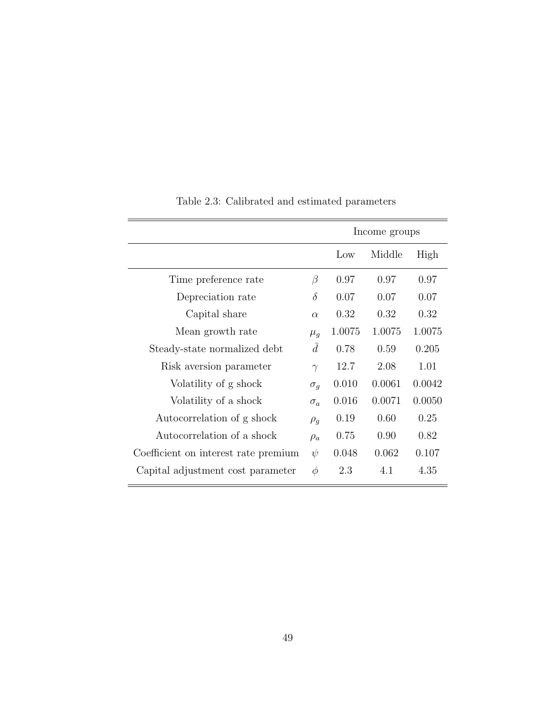|                                      |            |        | Income groups |        |
|--------------------------------------|------------|--------|---------------|--------|
|                                      |            | Low    | Middle        | High   |
| Time preference rate                 | $\beta$    | 0.97   | 0.97          | 0.97   |
| Depreciation rate                    | $\delta$   | 0.07   | 0.07          | 0.07   |
| Capital share                        | $\alpha$   | 0.32   | 0.32          | 0.32   |
| Mean growth rate                     | $\mu_g$    | 1.0075 | 1.0075        | 1.0075 |
| Steady-state normalized debt         | $\bar{d}$  | 0.78   | 0.59          | 0.205  |
| Risk aversion parameter              | $\gamma$   | 12.7   | 2.08          | 1.01   |
| Volatility of g shock                | $\sigma_g$ | 0.010  | 0.0061        | 0.0042 |
| Volatility of a shock                | $\sigma_a$ | 0.016  | 0.0071        | 0.0050 |
| Autocorrelation of g shock           | $\rho_g$   | 0.19   | 0.60          | 0.25   |
| Autocorrelation of a shock           | $\rho_a$   | 0.75   | 0.90          | 0.82   |
| Coefficient on interest rate premium | $\psi$     | 0.048  | 0.062         | 0.107  |
| Capital adjustment cost parameter    | $\phi$     | 2.3    | 4.1           | 4.35   |

# <span id="page-59-0"></span>Table 2.3: Calibrated and estimated parameters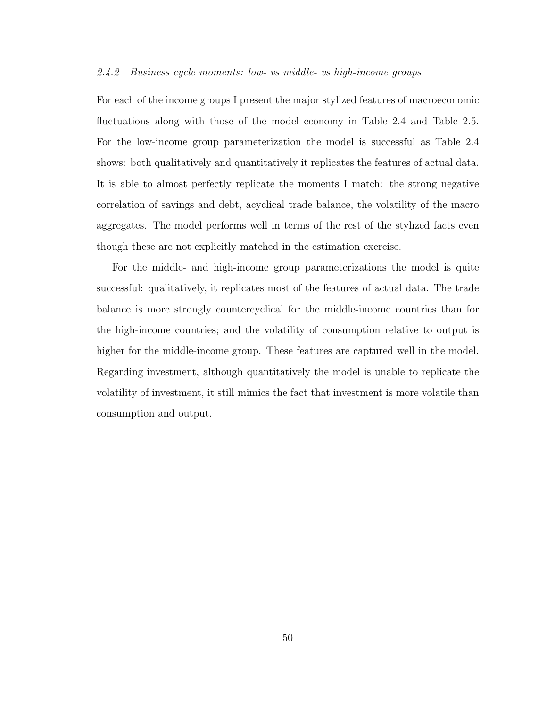#### 2.4.2 Business cycle moments: low- vs middle- vs high-income groups

For each of the income groups I present the major stylized features of macroeconomic fluctuations along with those of the model economy in Table [2.4](#page-61-0) and Table [2.5.](#page-62-0) For the low-income group parameterization the model is successful as Table [2.4](#page-61-0) shows: both qualitatively and quantitatively it replicates the features of actual data. It is able to almost perfectly replicate the moments I match: the strong negative correlation of savings and debt, acyclical trade balance, the volatility of the macro aggregates. The model performs well in terms of the rest of the stylized facts even though these are not explicitly matched in the estimation exercise.

For the middle- and high-income group parameterizations the model is quite successful: qualitatively, it replicates most of the features of actual data. The trade balance is more strongly countercyclical for the middle-income countries than for the high-income countries; and the volatility of consumption relative to output is higher for the middle-income group. These features are captured well in the model. Regarding investment, although quantitatively the model is unable to replicate the volatility of investment, it still mimics the fact that investment is more volatile than consumption and output.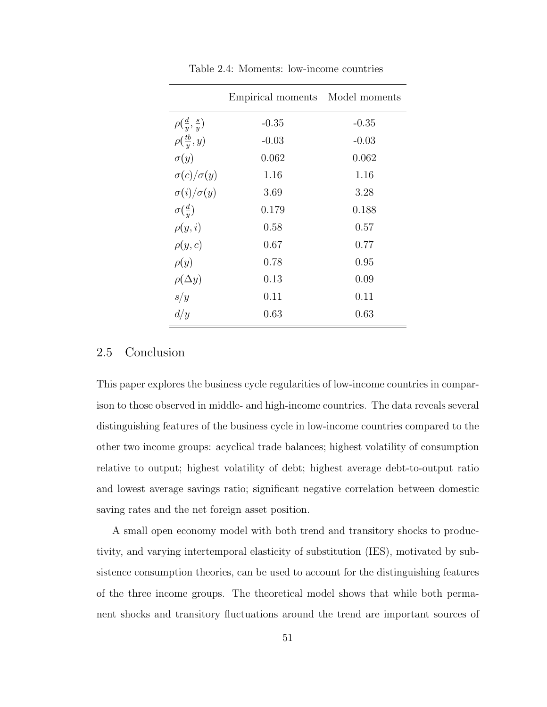|                                 | Empirical moments Model moments |         |
|---------------------------------|---------------------------------|---------|
| $\rho(\frac{d}{y},\frac{s}{y})$ | $-0.35$                         | $-0.35$ |
| $\rho(\frac{tb}{y},y)$          | $-0.03$                         | $-0.03$ |
| $\sigma(y)$                     | 0.062                           | 0.062   |
| $\sigma(c)/\sigma(y)$           | 1.16                            | 1.16    |
| $\sigma(i)/\sigma(y)$           | 3.69                            | 3.28    |
| $\sigma(\frac{d}{y})$           | 0.179                           | 0.188   |
| $\rho(y,i)$                     | 0.58                            | 0.57    |
| $\rho(y,c)$                     | 0.67                            | 0.77    |
| $\rho(y)$                       | 0.78                            | 0.95    |
| $\rho(\Delta y)$                | 0.13                            | 0.09    |
| s/y                             | 0.11                            | 0.11    |
| d/y                             | 0.63                            | 0.63    |

<span id="page-61-0"></span>Table 2.4: Moments: low-income countries

### 2.5 Conclusion

This paper explores the business cycle regularities of low-income countries in comparison to those observed in middle- and high-income countries. The data reveals several distinguishing features of the business cycle in low-income countries compared to the other two income groups: acyclical trade balances; highest volatility of consumption relative to output; highest volatility of debt; highest average debt-to-output ratio and lowest average savings ratio; significant negative correlation between domestic saving rates and the net foreign asset position.

A small open economy model with both trend and transitory shocks to productivity, and varying intertemporal elasticity of substitution (IES), motivated by subsistence consumption theories, can be used to account for the distinguishing features of the three income groups. The theoretical model shows that while both permanent shocks and transitory fluctuations around the trend are important sources of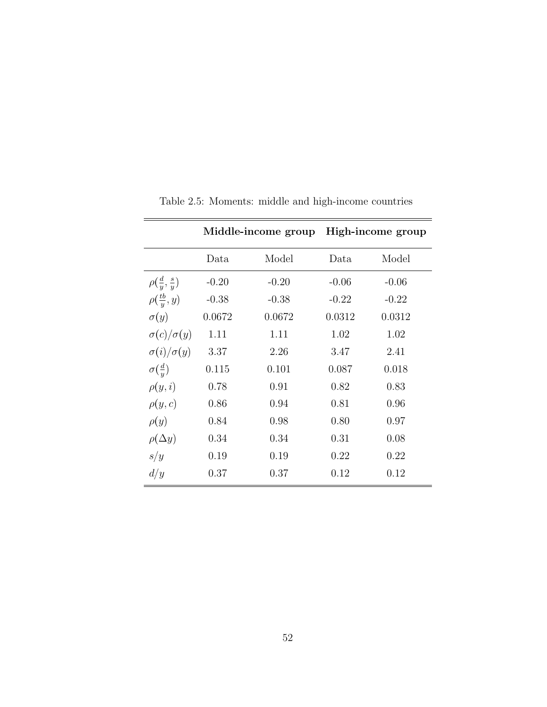|                                 |         | Middle-income group |         | High-income group |
|---------------------------------|---------|---------------------|---------|-------------------|
|                                 | Data    | Model               | Data    | Model             |
| $\rho(\frac{d}{u},\frac{s}{u})$ | $-0.20$ | $-0.20$             | $-0.06$ | $-0.06$           |
| $\rho(\frac{tb}{y},y)$          | $-0.38$ | $-0.38$             | $-0.22$ | $-0.22$           |
| $\sigma(y)$                     | 0.0672  | 0.0672              | 0.0312  | 0.0312            |
| $\sigma(c)/\sigma(y)$           | 1.11    | 1.11                | 1.02    | 1.02              |
| $\sigma(i)/\sigma(y)$           | 3.37    | 2.26                | 3.47    | 2.41              |
| $\sigma(\frac{d}{u})$           | 0.115   | 0.101               | 0.087   | 0.018             |
| $\rho(y,i)$                     | 0.78    | 0.91                | 0.82    | 0.83              |
| $\rho(y,c)$                     | 0.86    | 0.94                | 0.81    | 0.96              |
| $\rho(y)$                       | 0.84    | 0.98                | 0.80    | 0.97              |
| $\rho(\Delta y)$                | 0.34    | 0.34                | 0.31    | 0.08              |
| s/y                             | 0.19    | 0.19                | 0.22    | 0.22              |
| d/y                             | 0.37    | 0.37                | 0.12    | 0.12              |

<span id="page-62-0"></span>Table 2.5: Moments: middle and high-income countries

 $\overline{a}$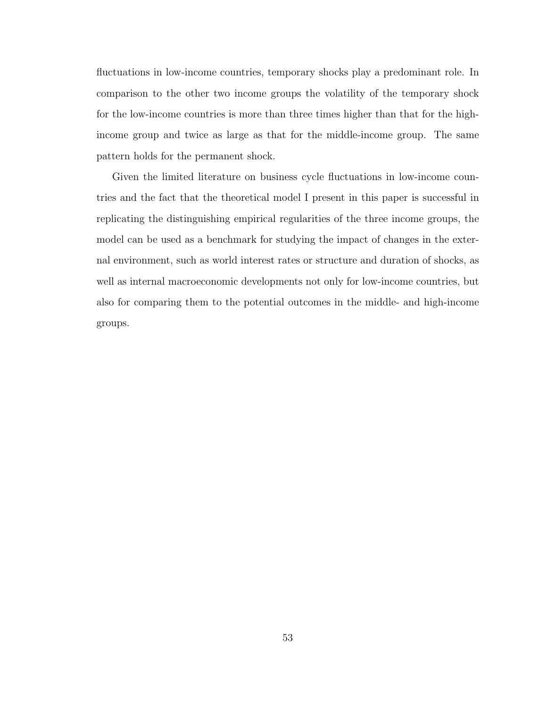fluctuations in low-income countries, temporary shocks play a predominant role. In comparison to the other two income groups the volatility of the temporary shock for the low-income countries is more than three times higher than that for the highincome group and twice as large as that for the middle-income group. The same pattern holds for the permanent shock.

Given the limited literature on business cycle fluctuations in low-income countries and the fact that the theoretical model I present in this paper is successful in replicating the distinguishing empirical regularities of the three income groups, the model can be used as a benchmark for studying the impact of changes in the external environment, such as world interest rates or structure and duration of shocks, as well as internal macroeconomic developments not only for low-income countries, but also for comparing them to the potential outcomes in the middle- and high-income groups.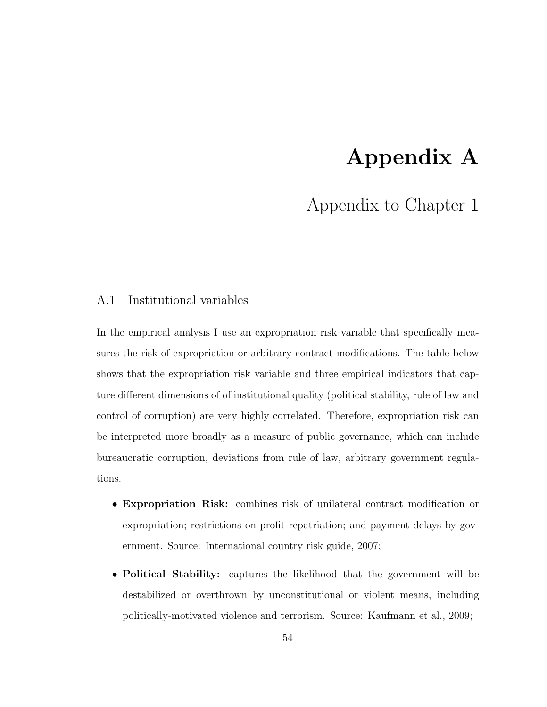# Appendix A

# Appendix to Chapter 1

# A.1 Institutional variables

In the empirical analysis I use an expropriation risk variable that specifically measures the risk of expropriation or arbitrary contract modifications. The table below shows that the expropriation risk variable and three empirical indicators that capture different dimensions of of institutional quality (political stability, rule of law and control of corruption) are very highly correlated. Therefore, expropriation risk can be interpreted more broadly as a measure of public governance, which can include bureaucratic corruption, deviations from rule of law, arbitrary government regulations.

- Expropriation Risk: combines risk of unilateral contract modification or expropriation; restrictions on profit repatriation; and payment delays by government. Source: International country risk guide, 2007;
- Political Stability: captures the likelihood that the government will be destabilized or overthrown by unconstitutional or violent means, including politically-motivated violence and terrorism. Source: Kaufmann et al., 2009;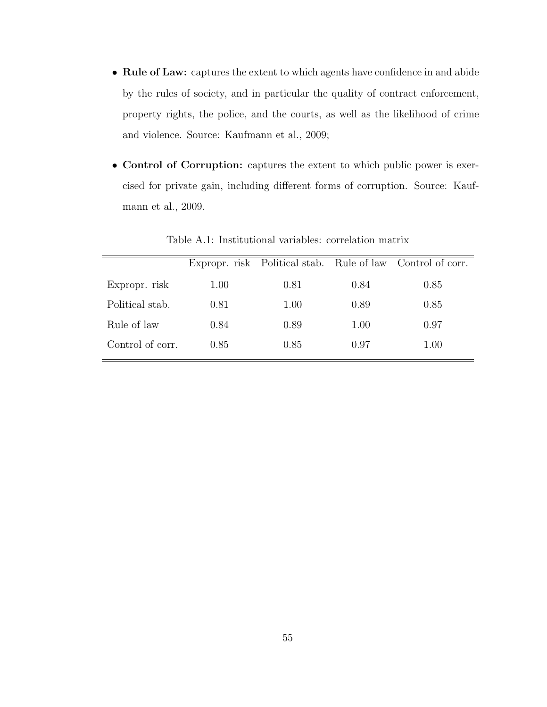- Rule of Law: captures the extent to which agents have confidence in and abide by the rules of society, and in particular the quality of contract enforcement, property rights, the police, and the courts, as well as the likelihood of crime and violence. Source: Kaufmann et al., 2009;
- Control of Corruption: captures the extent to which public power is exercised for private gain, including different forms of corruption. Source: Kaufmann et al., 2009.

|                  |      |      |      | Expropr. risk Political stab. Rule of law Control of corr. |
|------------------|------|------|------|------------------------------------------------------------|
| Expropr. risk    | 1.00 | 0.81 | 0.84 | 0.85                                                       |
| Political stab.  | 0.81 | 1.00 | 0.89 | 0.85                                                       |
| Rule of law      | 0.84 | 0.89 | 1.00 | 0.97                                                       |
| Control of corr. | 0.85 | 0.85 | 0.97 | 1.00                                                       |
|                  |      |      |      |                                                            |

Table A.1: Institutional variables: correlation matrix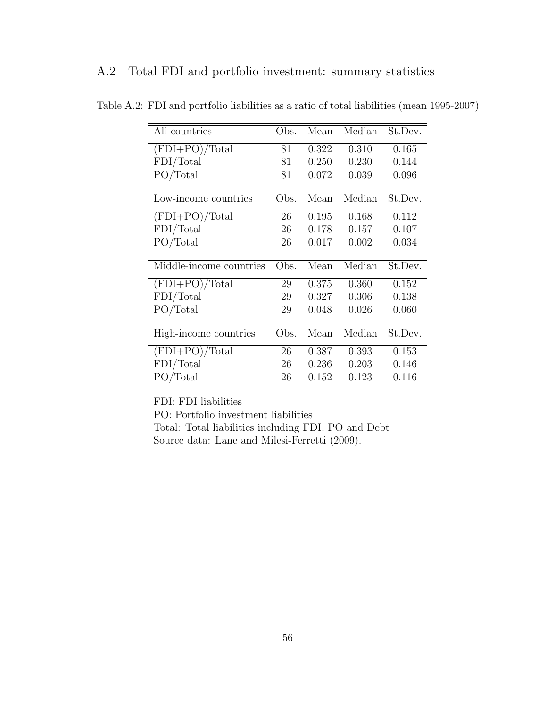| All countries           | Obs. | Mean  | Median | St.Dev. |
|-------------------------|------|-------|--------|---------|
| $(FDI+PO)/Total$        | 81   | 0.322 | 0.310  | 0.165   |
| FDI/Total               | 81   | 0.250 | 0.230  | 0.144   |
| PO/Total                | 81   | 0.072 | 0.039  | 0.096   |
|                         |      |       |        |         |
| Low-income countries    | Obs. | Mean  | Median | St.Dev. |
| $(FDI+PO)/Total$        | 26   | 0.195 | 0.168  | 0.112   |
| FDI/Total               | 26   | 0.178 | 0.157  | 0.107   |
| PO/Total                | 26   | 0.017 | 0.002  | 0.034   |
|                         |      |       |        |         |
| Middle-income countries | Obs. | Mean  | Median | St.Dev. |
| $(FDI+PO)/Total$        | 29   | 0.375 | 0.360  | 0.152   |
| FDI/Total               | 29   | 0.327 | 0.306  | 0.138   |
| PO/Total                | 29   | 0.048 | 0.026  | 0.060   |
|                         |      |       |        |         |
| High-income countries   | Obs. | Mean  | Median | St.Dev. |
| $(FDI+PO)/Total$        | 26   | 0.387 | 0.393  | 0.153   |
|                         |      |       |        |         |
| FDI/Total               | 26   | 0.236 | 0.203  | 0.146   |

Table A.2: FDI and portfolio liabilities as a ratio of total liabilities (mean 1995-2007)

FDI: FDI liabilities

PO: Portfolio investment liabilities

Total: Total liabilities including FDI, PO and Debt Source data: Lane and Milesi-Ferretti (2009).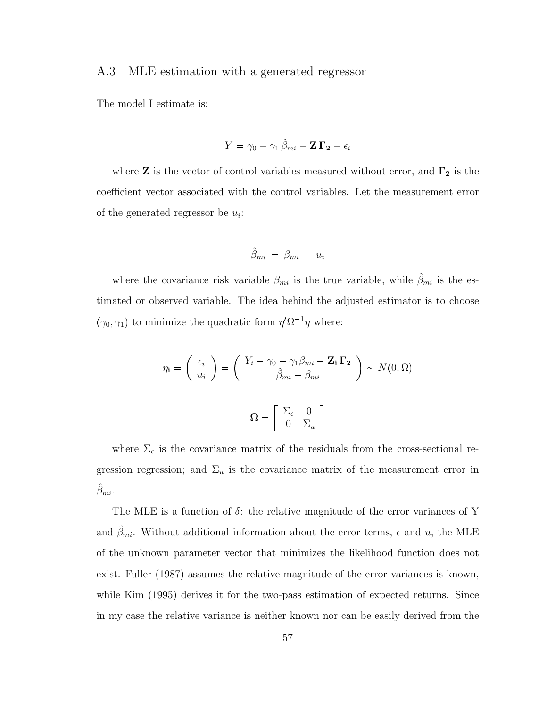## A.3 MLE estimation with a generated regressor

The model I estimate is:

$$
Y = \gamma_0 + \gamma_1 \hat{\beta}_{mi} + \mathbf{Z} \, \mathbf{\Gamma_2} + \epsilon_i
$$

where  ${\bf Z}$  is the vector of control variables measured without error, and  $\Gamma_2$  is the coefficient vector associated with the control variables. Let the measurement error of the generated regressor be  $u_i$ :

$$
\hat{\beta}_{mi} = \beta_{mi} + u_i
$$

where the covariance risk variable  $\beta_{mi}$  is the true variable, while  $\hat{\beta}_{mi}$  is the estimated or observed variable. The idea behind the adjusted estimator is to choose  $(\gamma_0, \gamma_1)$  to minimize the quadratic form  $\eta' \Omega^{-1} \eta$  where:

$$
\eta_{\mathbf{i}} = \begin{pmatrix} \epsilon_i \\ u_i \end{pmatrix} = \begin{pmatrix} Y_i - \gamma_0 - \gamma_1 \beta_{mi} - \mathbf{Z_i} \mathbf{\Gamma_2} \\ \hat{\beta}_{mi} - \beta_{mi} \end{pmatrix} \sim N(0, \Omega)
$$

$$
\Omega = \begin{bmatrix} \Sigma_{\epsilon} & 0 \\ 0 & \Sigma_{u} \end{bmatrix}
$$

where  $\Sigma_{\epsilon}$  is the covariance matrix of the residuals from the cross-sectional regression regression; and  $\Sigma_u$  is the covariance matrix of the measurement error in  $\hat{\beta}_{mi}$ .

The MLE is a function of  $\delta$ : the relative magnitude of the error variances of Y and  $\hat{\beta}_{mi}$ . Without additional information about the error terms,  $\epsilon$  and  $u$ , the MLE of the unknown parameter vector that minimizes the likelihood function does not exist. Fuller (1987) assumes the relative magnitude of the error variances is known, while Kim (1995) derives it for the two-pass estimation of expected returns. Since in my case the relative variance is neither known nor can be easily derived from the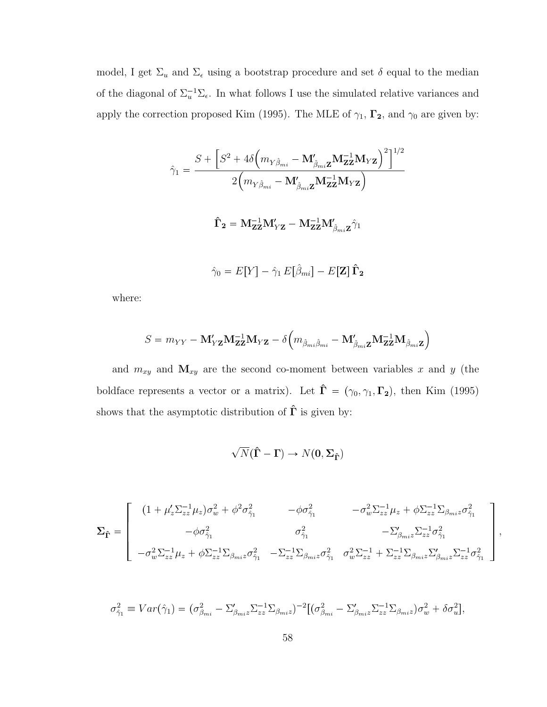model, I get  $\Sigma_u$  and  $\Sigma_\epsilon$  using a bootstrap procedure and set  $\delta$  equal to the median of the diagonal of  $\Sigma_u^{-1}\Sigma_{\epsilon}$ . In what follows I use the simulated relative variances and apply the correction proposed Kim (1995). The MLE of  $\gamma_1$ ,  $\Gamma_2$ , and  $\gamma_0$  are given by:

$$
\hat{\gamma}_1 = \frac{S + \left[S^2 + 4\delta \left(m_{Y\hat{\beta}_{mi}} - \mathbf{M}'_{\hat{\beta}_{mi}\mathbf{Z}}\mathbf{M}_{\mathbf{ZZ}}^{-1}\mathbf{M}_{Y\mathbf{Z}}\right)^2\right]^{1/2}}{2\left(m_{Y\hat{\beta}_{mi}} - \mathbf{M}'_{\hat{\beta}_{mi}\mathbf{Z}}\mathbf{M}_{\mathbf{ZZ}}^{-1}\mathbf{M}_{Y\mathbf{Z}}\right)}
$$
\n
$$
\hat{\Gamma}_2 = \mathbf{M}_{\mathbf{ZZ}}^{-1}\mathbf{M}'_{Y\mathbf{Z}} - \mathbf{M}_{\mathbf{ZZ}}^{-1}\mathbf{M}'_{\hat{\beta}_{mi}\mathbf{Z}}\hat{\gamma}_1
$$
\n
$$
\hat{\gamma}_0 = E[Y] - \hat{\gamma}_1 E[\hat{\beta}_{mi}] - E[\mathbf{Z}]\hat{\mathbf{\Gamma}}_2
$$

where:

$$
S = m_{YY} - \mathbf{M}_{YZ}^{\prime} \mathbf{M}_{\mathbf{ZZ}}^{-1} \mathbf{M}_{YZ} - \delta \left( m_{\hat{\beta}_{mi} \hat{\beta}_{mi}} - \mathbf{M}_{\hat{\beta}_{mi} \mathbf{Z}}^{\prime} \mathbf{M}_{\mathbf{ZZ}}^{-1} \mathbf{M}_{\hat{\beta}_{mi} \mathbf{Z}} \right)
$$

and  $m_{xy}$  and  $\mathbf{M}_{xy}$  are the second co-moment between variables x and y (the boldface represents a vector or a matrix). Let  $\hat{\Gamma} = (\gamma_0, \gamma_1, \Gamma_2)$ , then Kim (1995) shows that the asymptotic distribution of  $\hat{\Gamma}$  is given by:

$$
\sqrt{N}(\hat{\Gamma}-\Gamma) \to N(\mathbf{0},\boldsymbol{\Sigma}_{\hat{\Gamma}})
$$

$$
\Sigma_{\hat{\Gamma}} = \begin{bmatrix} (1 + \mu_z' \Sigma_{zz}^{-1} \mu_z) \sigma_w^2 + \phi^2 \sigma_{\hat{\gamma}_1}^2 & -\phi \sigma_{\hat{\gamma}_1}^2 & -\sigma_w^2 \Sigma_{zz}^{-1} \mu_z + \phi \Sigma_{zz}^{-1} \Sigma_{\beta_{mi} z} \sigma_{\hat{\gamma}_1}^2 \\ -\phi \sigma_{\hat{\gamma}_1}^2 & \sigma_{\hat{\gamma}_1}^2 & -\Sigma_{\beta_{mi} z}' \Sigma_{zz}^{-1} \sigma_{\hat{\gamma}_1}^2 \\ -\sigma_w^2 \Sigma_{zz}^{-1} \mu_z + \phi \Sigma_{zz}^{-1} \Sigma_{\beta_{mi} z} \sigma_{\hat{\gamma}_1}^2 & -\Sigma_{zz}^{-1} \Sigma_{\beta_{mi} z} \sigma_{\hat{\gamma}_1}^2 & \sigma_w^2 \Sigma_{zz}^{-1} + \Sigma_{zz}^{-1} \Sigma_{\beta_{mi} z} \Sigma_{\beta_{mi} z}' \Sigma_{zz}^{-1} \sigma_{\hat{\gamma}_1}^2 \end{bmatrix},
$$

$$
\sigma_{\hat{\gamma}_1}^2 \equiv Var(\hat{\gamma}_1) = (\sigma_{\beta_{mi}}^2 - \Sigma_{\beta_{mi}z}' \Sigma_{zz}^{-1} \Sigma_{\beta_{mi}z})^{-2} [(\sigma_{\beta_{mi}}^2 - \Sigma_{\beta_{mi}z}' \Sigma_{zz}^{-1} \Sigma_{\beta_{mi}z}) \sigma_w^2 + \delta \sigma_u^2],
$$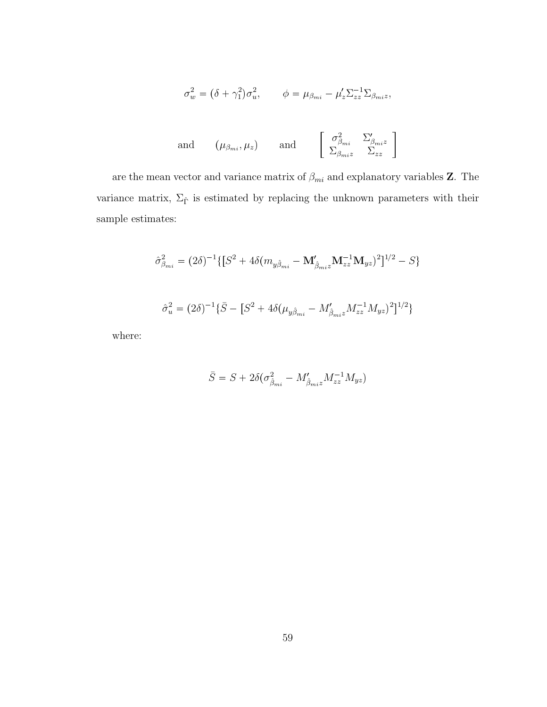$$
\sigma_w^2 = (\delta + \gamma_1^2)\sigma_u^2, \qquad \phi = \mu_{\beta_{mi}} - \mu_z' \Sigma_{zz}^{-1} \Sigma_{\beta_{mi}z},
$$

and 
$$
(\mu_{\beta_{mi}}, \mu_z)
$$
 and  $\left[\begin{array}{cc} \sigma_{\beta_{mi}}^2 & \Sigma'_{\beta_{mi}z} \\ \Sigma_{\beta_{mi}z} & \Sigma_{zz} \end{array}\right]$ 

are the mean vector and variance matrix of  $\beta_{mi}$  and explanatory variables  ${\bf Z}.$  The variance matrix,  $\Sigma_{\hat{\Gamma}}$  is estimated by replacing the unknown parameters with their sample estimates:

$$
\hat{\sigma}_{\beta_{mi}}^2 = (2\delta)^{-1} \{ [S^2 + 4\delta (m_{y\hat{\beta}_{mi}} - \mathbf{M}_{\hat{\beta}_{mi}z}' \mathbf{M}_{zz}^{-1} \mathbf{M}_{yz})^2 ]^{1/2} - S \}
$$

$$
\hat{\sigma}_u^2 = (2\delta)^{-1} \{ \bar{S} - [S^2 + 4\delta(\mu_{y\hat{\beta}_{mi}} - M'_{\hat{\beta}_{mi}z} M_{zz}^{-1} M_{yz})^2]^{1/2} \}
$$

where:

$$
\bar{S}=S+2\delta(\sigma_{\hat{\beta}_{mi}}^2-M_{\hat{\beta}_{mi}z}^{\prime}M_{zz}^{-1}M_{yz})
$$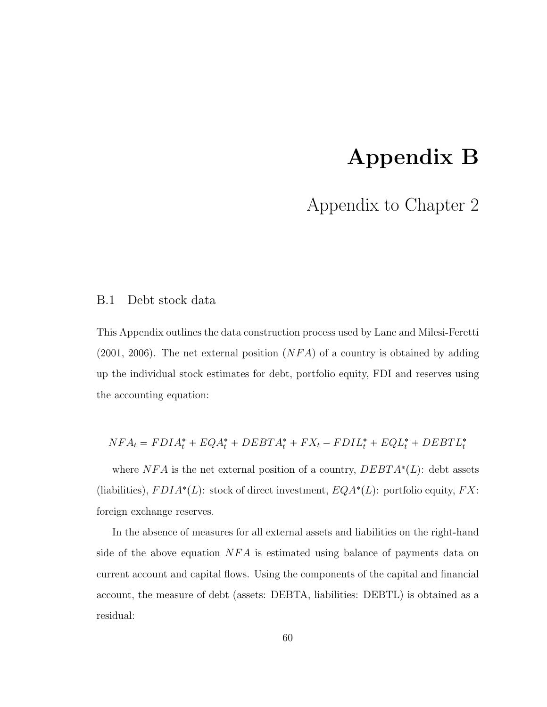# Appendix B

# Appendix to Chapter 2

## B.1 Debt stock data

This Appendix outlines the data construction process used by Lane and Milesi-Feretti  $(2001, 2006)$ . The net external position  $(NFA)$  of a country is obtained by adding up the individual stock estimates for debt, portfolio equity, FDI and reserves using the accounting equation:

$$
NFA_t = FDIA_t^* + EQA_t^* + DEBTA_t^* + FX_t - FDIL_t^* + EQL_t^* + DEBTL_t^*
$$

where  $NFA$  is the net external position of a country,  $DEBTA^*(L)$ : debt assets (liabilities),  $FDIA^*(L)$ : stock of direct investment,  $EQA^*(L)$ : portfolio equity,  $FX$ : foreign exchange reserves.

In the absence of measures for all external assets and liabilities on the right-hand side of the above equation  $NFA$  is estimated using balance of payments data on current account and capital flows. Using the components of the capital and financial account, the measure of debt (assets: DEBTA, liabilities: DEBTL) is obtained as a residual: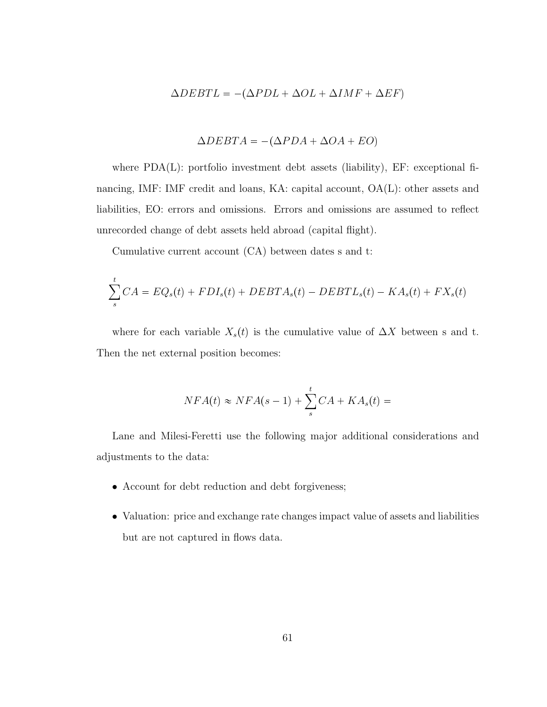$$
\Delta DEBTL = -(\Delta PDL + \Delta OL + \Delta IMF + \Delta EF)
$$

$$
\Delta DEBTA = -(\Delta PDA + \Delta OA + EO)
$$

where PDA(L): portfolio investment debt assets (liability), EF: exceptional financing, IMF: IMF credit and loans, KA: capital account,  $OA(L)$ : other assets and liabilities, EO: errors and omissions. Errors and omissions are assumed to reflect unrecorded change of debt assets held abroad (capital flight).

Cumulative current account (CA) between dates s and t:

$$
\sum_{s}^{t} CA = EQ_s(t) + FDI_s(t) + DEBTA_s(t) - DEBTL_s(t) - KA_s(t) + FX_s(t)
$$

where for each variable  $X_s(t)$  is the cumulative value of  $\Delta X$  between s and t. Then the net external position becomes:

$$
NFA(t) \approx NFA(s-1) + \sum_{s}^{t} CA + KA_s(t) =
$$

Lane and Milesi-Feretti use the following major additional considerations and adjustments to the data:

- Account for debt reduction and debt forgiveness;
- Valuation: price and exchange rate changes impact value of assets and liabilities but are not captured in flows data.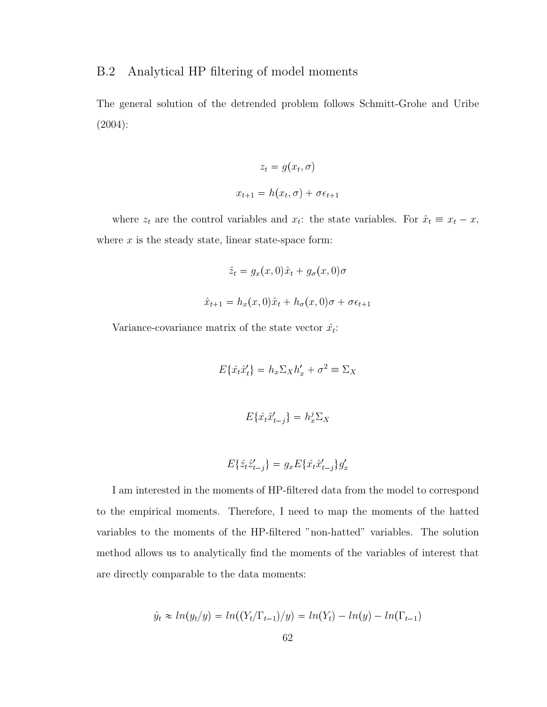## B.2 Analytical HP filtering of model moments

The general solution of the detrended problem follows Schmitt-Grohe and Uribe (2004):

$$
z_t = g(x_t, \sigma)
$$

$$
x_{t+1} = h(x_t, \sigma) + \sigma \epsilon_{t+1}
$$

where  $z_t$  are the control variables and  $x_t$ : the state variables. For  $\hat{x}_t \equiv x_t - x$ , where  $x$  is the steady state, linear state-space form:

$$
\hat{z}_t = g_x(x,0)\hat{x}_t + g_\sigma(x,0)\sigma
$$

$$
\hat{x}_{t+1} = h_x(x,0)\hat{x}_t + h_\sigma(x,0)\sigma + \sigma \epsilon_{t+1}
$$

Variance-covariance matrix of the state vector  $\hat{x}_t$ :

$$
E\{\hat{x}_t\hat{x}'_t\} = h_x \Sigma_X h'_x + \sigma^2 \equiv \Sigma_X
$$
  

$$
E\{\hat{x}_t\hat{x}'_{t-j}\} = h_x^j \Sigma_X
$$

$$
E\{\hat{z}_t \hat{z}_{t-j}^\prime\} = g_x E\{\hat{x}_t \hat{x}_{t-j}^\prime\} g_x^\prime
$$

I am interested in the moments of HP-filtered data from the model to correspond to the empirical moments. Therefore, I need to map the moments of the hatted variables to the moments of the HP-filtered "non-hatted" variables. The solution method allows us to analytically find the moments of the variables of interest that are directly comparable to the data moments:

$$
\hat{y}_t \approx ln(y_t/y) = ln((Y_t/\Gamma_{t-1})/y) = ln(Y_t) - ln(y) - ln(\Gamma_{t-1})
$$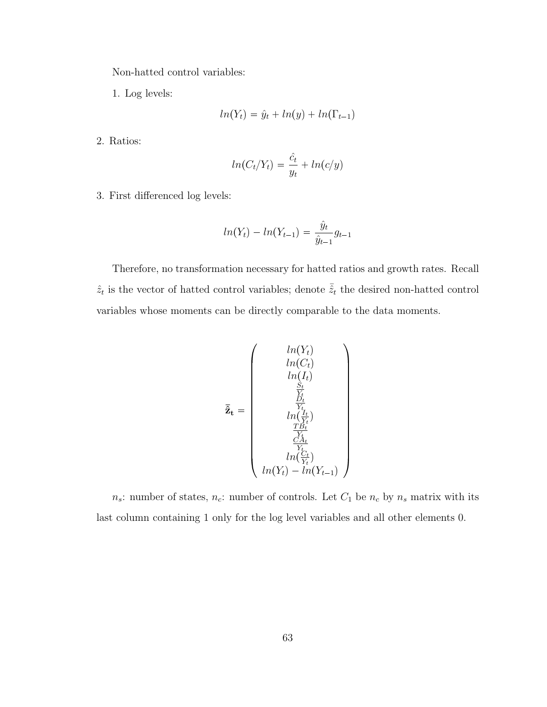Non-hatted control variables:

1. Log levels:

$$
ln(Y_t) = \hat{y}_t + ln(y) + ln(\Gamma_{t-1})
$$

2. Ratios:

$$
ln(C_t/Y_t) = \frac{\hat{c}_t}{y_t} + ln(c/y)
$$

3. First differenced log levels:

$$
ln(Y_t) - ln(Y_{t-1}) = \frac{\hat{y}_t}{\hat{y}_{t-1}} g_{t-1}
$$

Therefore, no transformation necessary for hatted ratios and growth rates. Recall  $\hat{z}_t$  is the vector of hatted control variables; denote  $\bar{\hat{z}}_t$  the desired non-hatted control variables whose moments can be directly comparable to the data moments.

$$
\overline{\mathbf{\tilde{z}}}_{\mathbf{t}} = \begin{pmatrix} ln(Y_t) \\ ln(C_t) \\ ln(I_t) \\ ln(I_t) \\ \frac{S_t}{Y_t} \\ \frac{D_t}{Y_t} \\ ln(\frac{I_t}{Y_t}) \\ \frac{TB_t}{Y_t} \\ \frac{CA_t}{Y_t} \\ ln(Y_t) - ln(Y_{t-1}) \end{pmatrix}
$$

 $n_s$ : number of states,  $n_c$ : number of controls. Let  $C_1$  be  $n_c$  by  $n_s$  matrix with its last column containing 1 only for the log level variables and all other elements 0.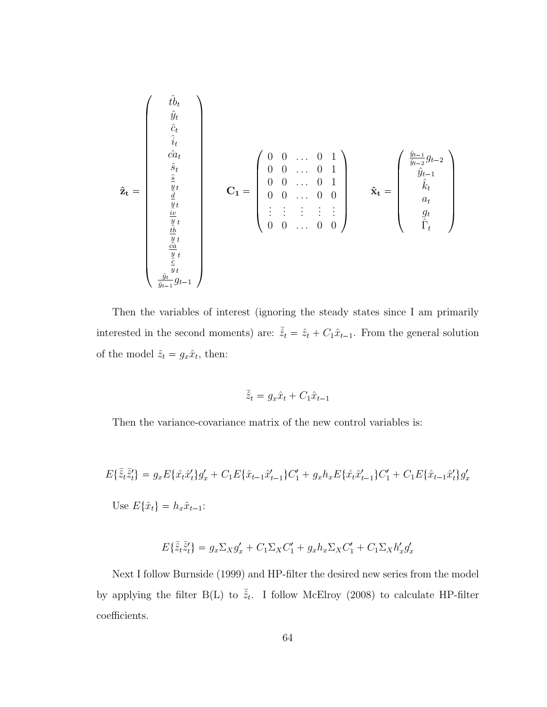$$
\hat{\mathbf{z}}_{\mathbf{t}} = \begin{pmatrix}\n\hat{t}_{b} \\
\hat{y}_{t} \\
\hat{c}_{t} \\
\hat{c}_{a} \\
\hat{s}_{t} \\
\hat{s}_{t} \\
\hat{d} \\
\hat{y}_{t} \\
\hat{w}_{t} \\
\hat{w}_{t} \\
\hat{w}_{t} \\
\hat{w}_{t} \\
\hat{w}_{t} \\
\hat{w}_{t} \\
\hat{w}_{t} \\
\hat{w}_{t} \\
\hat{w}_{t} \\
\hat{w}_{t} \\
\hat{w}_{t} \\
\hat{w}_{t} \\
\hat{w}_{t} \\
\hat{w}_{t} \\
\hat{w}_{t} \\
\hat{w}_{t} \\
\hat{w}_{t} \\
\hat{w}_{t} \\
\hat{w}_{t} \\
\hat{w}_{t} \\
\hat{w}_{t} \\
\hat{w}_{t} \\
\hat{w}_{t} \\
\hat{w}_{t} \\
\hat{w}_{t} \\
\hat{w}_{t} \\
\hat{w}_{t} \\
\hat{w}_{t} \\
\hat{w}_{t} \\
\hat{w}_{t} \\
\hat{w}_{t} \\
\hat{w}_{t} \\
\hat{w}_{t} \\
\hat{w}_{t} \\
\hat{w}_{t} \\
\hat{w}_{t} \\
\hat{w}_{t} \\
\hat{w}_{t} \\
\hat{w}_{t} \\
\hat{w}_{t} \\
\hat{w}_{t} \\
\hat{w}_{t} \\
\hat{w}_{t} \\
\hat{w}_{t} \\
\hat{w}_{t} \\
\hat{w}_{t} \\
\hat{w}_{t} \\
\hat{w}_{t} \\
\hat{w}_{t} \\
\hat{w}_{t} \\
\hat{w}_{t} \\
\hat{w}_{t} \\
\hat{w}_{t} \\
\hat{w}_{t} \\
\hat{w}_{t} \\
\hat{w}_{t} \\
\hat{w}_{t} \\
\hat{w}_{t} \\
\hat{w}_{t} \\
\hat{w}_{t} \\
\hat{w}_{t} \\
\hat{w}_{t} \\
\hat{w}_{t} \\
\hat{w}_{t} \\
\hat{w}_{t} \\
\hat{w}_{t} \\
\hat{w}_{t} \\
\hat{w}_{t} \\
\hat{w}_{t} \\
\hat{w}_{t} \\
\hat{w}_{t} \\
\hat{w}_{t} \\
\hat{w}_{t} \\
\hat{w}_{t} \\
\hat{w}_{t} \\
\hat{w}_{t} \\
\hat{w}_{t} \\
\hat{w}_{t} \\
\hat{w}_{t} \\
\hat{w}_{t} \\
\hat{w}_{t} \\
\hat{w}_{t} \\
\hat{w}_{t} \\
\hat{w}_{t} \\
\hat{w}_{
$$

Then the variables of interest (ignoring the steady states since I am primarily interested in the second moments) are:  $\bar{\hat{z}}_t = \hat{z}_t + C_1 \hat{x}_{t-1}$ . From the general solution of the model  $\hat{z}_t = g_x \hat{x}_t$ , then:

$$
\bar{\hat{z}}_t = g_x \hat{x}_t + C_1 \hat{x}_{t-1}
$$

Then the variance-covariance matrix of the new control variables is:

$$
E\{\bar{\hat{z}}_t\bar{\hat{z}}_t'\} = g_x E\{\hat{x}_t\hat{x}_t'\}g_x' + C_1 E\{\hat{x}_{t-1}\hat{x}_{t-1}'\}C_1' + g_x h_x E\{\hat{x}_t\hat{x}_{t-1}'\}C_1' + C_1 E\{\hat{x}_{t-1}\hat{x}_t'\}g_x'
$$
  
Use  $E\{\hat{x}_t\} = h_x \hat{x}_{t-1}$ :

$$
E\{\bar{\hat{z}}_t\bar{\hat{z}}_t'\} = g_x \Sigma_X g'_x + C_1 \Sigma_X C'_1 + g_x h_x \Sigma_X C'_1 + C_1 \Sigma_X h'_x g'_x
$$

Next I follow Burnside (1999) and HP-filter the desired new series from the model by applying the filter B(L) to  $\bar{\tilde{z}}_t$ . I follow McElroy (2008) to calculate HP-filter coefficients.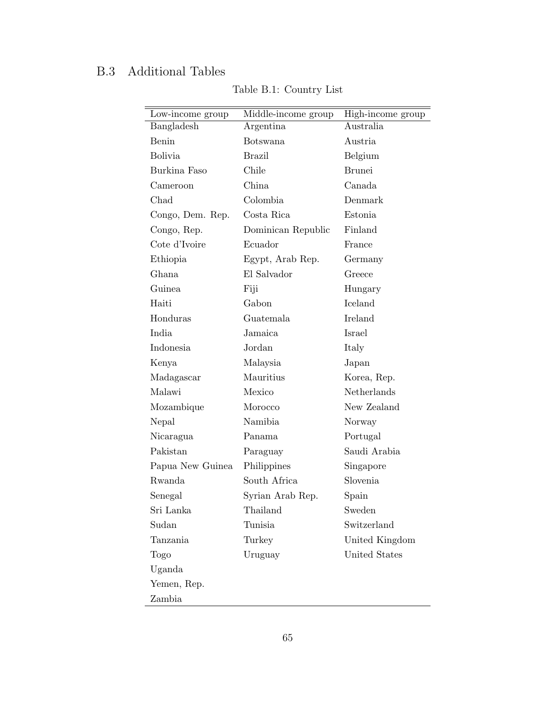## B.3 Additional Tables

| Low-income group | Middle-income group | High-income group |
|------------------|---------------------|-------------------|
| Bangladesh       | Argentina           | Australia         |
| Benin            | <b>Botswana</b>     | Austria           |
| <b>Bolivia</b>   | <b>Brazil</b>       | Belgium           |
| Burkina Faso     | Chile               | <b>Brunei</b>     |
| Cameroon         | China               | Canada            |
| Chad             | Colombia            | Denmark           |
| Congo, Dem. Rep. | Costa Rica          | Estonia           |
| Congo, Rep.      | Dominican Republic  | Finland           |
| Cote d'Ivoire    | Ecuador             | France            |
| Ethiopia         | Egypt, Arab Rep.    | Germany           |
| Ghana            | El Salvador         | Greece            |
| Guinea           | Fiji                | Hungary           |
| Haiti            | Gabon               | Iceland           |
| Honduras         | Guatemala           | <b>Ireland</b>    |
| India            | Jamaica             | Israel            |
| Indonesia        | Jordan              | Italy             |
| Kenya            | Malaysia            | Japan             |
| Madagascar       | Mauritius           | Korea, Rep.       |
| Malawi           | Mexico              | Netherlands       |
| Mozambique       | Morocco             | New Zealand       |
| Nepal            | Namibia             | Norway            |
| Nicaragua        | Panama              | Portugal          |
| Pakistan         | Paraguay            | Saudi Arabia      |
| Papua New Guinea | Philippines         | Singapore         |
| Rwanda           | South Africa        | Slovenia          |
| Senegal          | Syrian Arab Rep.    | Spain             |
| Sri Lanka        | Thailand            | Sweden            |
| Sudan            | Tunisia             | Switzerland       |
| Tanzania         | Turkey              | United Kingdom    |
| Togo             | Uruguay             | United States     |
| Uganda           |                     |                   |
| Yemen, Rep.      |                     |                   |
| Zambia           |                     |                   |

Table B.1: Country List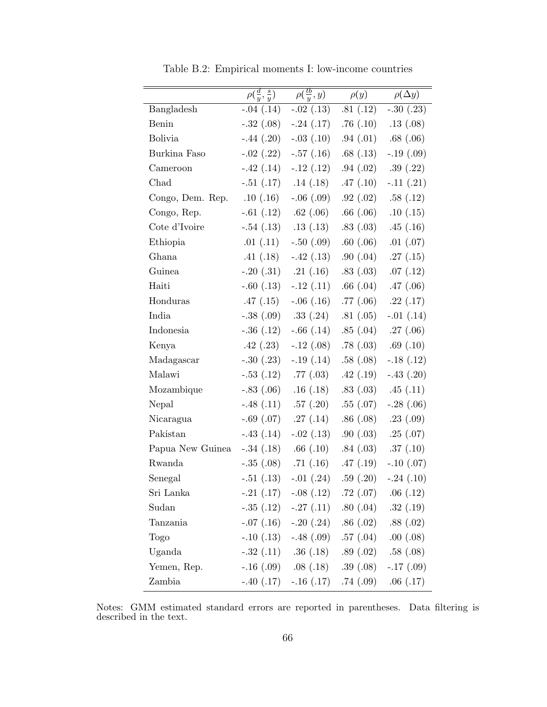|                  | $\rho(\frac{d}{y}, \frac{s}{y})$ | $\rho(\frac{tb}{y},y)$                      | $\rho(y)$ | $\rho(\Delta y)$ |
|------------------|----------------------------------|---------------------------------------------|-----------|------------------|
|                  |                                  |                                             |           |                  |
| Bangladesh       | $-.04(.14)$                      | $-0.02$ (.13)                               | .81(.12)  | $-.30(.23)$      |
| Benin            | $-.32(.08)$                      | $-.24(.17)$                                 | .76(.10)  | .13(.08)         |
| <b>Bolivia</b>   | $-.44(.20)$                      | $-.03$ $(.10)$                              | .94(.01)  | .68(.06)         |
| Burkina Faso     | $-.02(.22)$                      | $-.57(.16)$                                 | .68(.13)  | $-.19(.09)$      |
| Cameroon         | $-.42(.14)$                      | $-.12(.12)$                                 | .94(.02)  | .39(.22)         |
| Chad             | $-.51$ $(.17)$                   | .14(.18)                                    | .47(.10)  | $-.11(.21)$      |
| Congo, Dem. Rep. | .10(.16)                         | $-.06(.09)$                                 | .92(.02)  | .58(.12)         |
| Congo, Rep.      | $-.61(.12)$                      | .62(.06)                                    | .66(.06)  | .10(.15)         |
| Cote d'Ivoire    | $-.54(.13)$                      | .13(.13)                                    | .83(.03)  | .45(.16)         |
| Ethiopia         | .01(.11)                         | $-.50(.09)$                                 | .60(.06)  | $.01$ $(.07)$    |
| Ghana            | .41(.18)                         | $-.42(.13)$                                 | .90(0.04) | .27(.15)         |
| Guinea           | $-.20(.31)$                      | .21(.16)                                    | .83(.03)  | .07(.12)         |
| Haiti            | $-.60(.13)$                      | $-.12(.11)$                                 | .66(.04)  | .47(.06)         |
| Honduras         | .47(.15)                         | $-.06(.16)$                                 | .77(.06)  | .22(.17)         |
| India            | $-.38(.09)$                      | .33(.24)                                    | .81(.05)  | $-.01(.14)$      |
| Indonesia        | $-.36(.12)$                      | $-.66(.14)$                                 | .85(.04)  | .27(.06)         |
| Kenya            | .42(.23)                         | $-.12(.08)$                                 | .78(.03)  | .69(.10)         |
| Madagascar       | $-.30(.23)$                      | $-.19(.14)$                                 | .58(.08)  | $-.18(.12)$      |
| Malawi           | $-.53(.12)$                      | .77(.03)                                    | .42(.19)  | $-.43(.20)$      |
| Mozambique       | $-.83(.06)$                      | .16(.18)                                    | .83(.03)  | .45(.11)         |
| Nepal            | $-.48(.11)$                      | .57(.20)                                    | .55(.07)  | $-.28(.06)$      |
| Nicaragua        | $-.69(.07)$                      | .27(.14)                                    | .86(.08)  | .23(.09)         |
| Pakistan         | $-.43(.14)$                      | $-.02$ $(.13)$                              | .90(.03)  | .25(.07)         |
| Papua New Guinea | $-.34(.18)$                      | .66(.10)                                    | .84(.03)  | .37(.10)         |
| Rwanda           | $-.35(.08)$                      | .71(.16)                                    | .47(.19)  | $-.10(.07)$      |
| Senegal          | $-.51(.13)$                      | $-.01$ $(.24)$                              | .59(.20)  | $-.24(.10)$      |
| Sri Lanka        |                                  | $-.21$ $(.17)$ $-.08$ $(.12)$ $.72$ $(.07)$ |           | .06(.12)         |
| Sudan            | $-.35(.12)$                      | $-.27(.11)$                                 | .80(.04)  | .32(.19)         |
| Tanzania         | $-.07(.16)$                      | $-.20(.24)$ $.86(.02)$                      |           | .88(.02)         |
| Togo             | $-.10(.13)$                      | $-.48(.09)$ $.57(.04)$                      |           | .00(.08)         |
| Uganda           |                                  | $-.32(.11)$ $.36(.18)$                      | .89(.02)  | .58(.08)         |
| Yemen, Rep.      |                                  | $-.16$ (.09) $.08$ (.18) $.39$ (.08)        |           | $-.17(.09)$      |
| Zambia           |                                  | $-.40(.17)$ $-.16(.17)$ $.74(.09)$          |           | .06(.17)         |

Table B.2: Empirical moments I: low-income countries

Notes: GMM estimated standard errors are reported in parentheses. Data filtering is described in the text.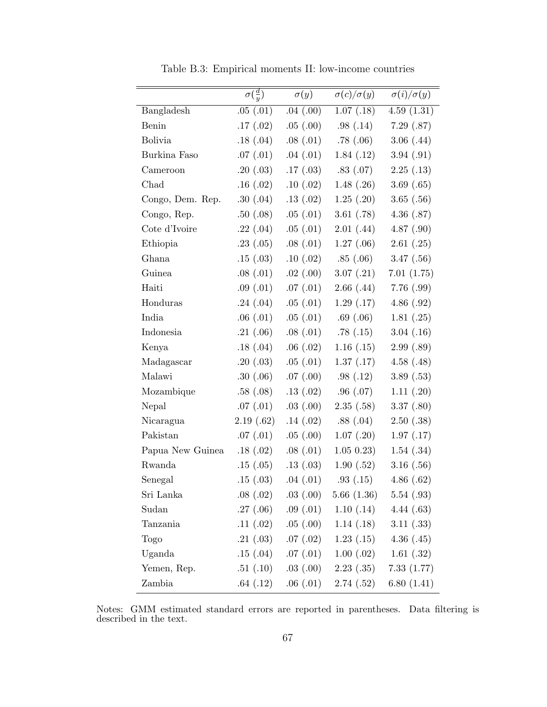|                  | $\sigma(\frac{d}{y})$ | $\sigma(y)$   | $\sigma(c)/\sigma(y)$ | $\sigma(i)/\sigma(y)$ |
|------------------|-----------------------|---------------|-----------------------|-----------------------|
| Bangladesh       | .05(.01)              | .04(.00)      | 1.07(.18)             | 4.59(1.31)            |
| Benin            | .17(.02)              | .05(.00)      | .98(.14)              | 7.29(.87)             |
| <b>Bolivia</b>   | .18(.04)              | .08(.01)      | .78 $(.06)$           | 3.06(0.44)            |
| Burkina Faso     | .07(.01)              | .04(.01)      | 1.84(.12)             | 3.94(.91)             |
| Cameroon         | .20(.03)              | .17(0.03)     | .83(.07)              | 2.25(0.13)            |
| Chad             | .16(.02)              | .10(.02)      | 1.48(.26)             | 3.69(0.65)            |
| Congo, Dem. Rep. | .30(.04)              | .13(.02)      | 1.25(.20)             | 3.65(.56)             |
| Congo, Rep.      | .50(.08)              | .05(0.01)     | 3.61(.78)             | 4.36(.87)             |
| Cote d'Ivoire    | .22(.04)              | .05(0.01)     | 2.01(44)              | 4.87(.90)             |
| Ethiopia         | .23(.05)              | .08(.01)      | 1.27(0.06)            | 2.61(.25)             |
| Ghana            | .15(.03)              | .10(.02)      | .85(.06)              | 3.47(0.56)            |
| Guinea           | .08(.01)              | $.02$ $(.00)$ | 3.07(0.21)            | 7.01(1.75)            |
| Haiti            | .09(.01)              | .07(.01)      | 2.66(0.44)            | 7.76(.99)             |
| Honduras         | .24(.04)              | .05(0.01)     | 1.29(0.17)            | 4.86(.92)             |
| India            | .06(.01)              | .05(0.01)     | .69(.06)              | 1.81(.25)             |
| Indonesia        | .21(.06)              | .08(.01)      | .78(.15)              | 3.04(0.16)            |
| Kenya            | .18(.04)              | .06(.02)      | 1.16(0.15)            | 2.99(.89)             |
| Madagascar       | .20(.03)              | .05(0.01)     | 1.37(0.17)            | 4.58(.48)             |
| Malawi           | .30(.06)              | .07(.00)      | .98(.12)              | 3.89(0.53)            |
| Mozambique       | .58(.08)              | .13(.02)      | .96(.07)              | 1.11(.20)             |
| Nepal            | .07(.01)              | .03(.00)      | 2.35(.58)             | 3.37(0.80)            |
| Nicaragua        | 2.19(.62)             | .14(.02)      | .88(.04)              | 2.50(.38)             |
| Pakistan         | .07(.01)              | .05(.00)      | 1.07(.20)             | 1.97(0.17)            |
| Papua New Guinea | .18(.02)              | .08(.01)      | 1.05 0.23             | 1.54(.34)             |
| Rwanda           | .15(.05)              | .13(.03)      | 1.90(.52)             | 3.16(.56)             |
| Senegal          | .15(.03)              | .04(.01)      | .93(.15)              | 4.86(0.62)            |
| Sri Lanka        | .08(.02)              | .03(.00)      | 5.66(1.36)            | 5.54(.93)             |
| Sudan            | .27(.06)              | .09(.01)      | 1.10(0.14)            | 4.44(.63)             |
| Tanzania         | .11(.02)              | .05(.00)      | 1.14(0.18)            | 3.11(.33)             |
| Togo             | .21(.03)              | .07(.02)      | 1.23(0.15)            | 4.36(.45)             |
| Uganda           | .15(.04)              | .07(.01)      | $1.00$ $(.02)$        | 1.61(.32)             |
| Yemen, Rep.      | .51(.10)              | .03(.00)      | 2.23(0.35)            | 7.33(1.77)            |
| Zambia           | .64(.12)              | .06(.01)      | 2.74(.52)             | 6.80(1.41)            |

Table B.3: Empirical moments II: low-income countries

Notes: GMM estimated standard errors are reported in parentheses. Data filtering is described in the text.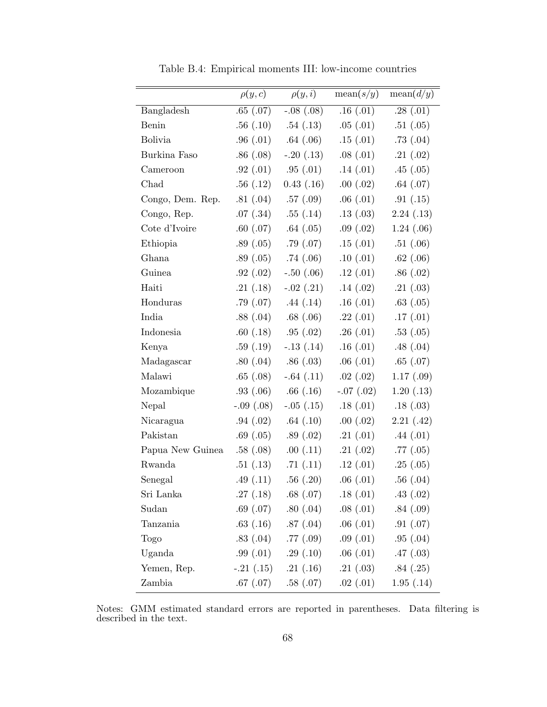|                  | $\rho(y,c)$ | $\rho(y,i)$     | mean(s/y)   | mean(d/y)  |
|------------------|-------------|-----------------|-------------|------------|
| Bangladesh       | .65(.07)    | $-0.08$ $(.08)$ | .16(.01)    | .28(.01)   |
| Benin            | .56(.10)    | .54(.13)        | .05(0.01)   | .51(.05)   |
| <b>Bolivia</b>   | .96(.01)    | .64(.06)        | .15(.01)    | .73(.04)   |
| Burkina Faso     | .86(.08)    | $-.20(.13)$     | .08(.01)    | .21(.02)   |
| Cameroon         | .92(.01)    | .95(.01)        | .14(.01)    | .45(.05)   |
| Chad             | .56(.12)    | 0.43(0.16)      | .00(.02)    | .64(.07)   |
| Congo, Dem. Rep. | .81(.04)    | .57(.09)        | .06(.01)    | .91(.15)   |
| Congo, Rep.      | .07(0.34)   | .55(.14)        | .13(.03)    | 2.24(0.13) |
| Cote d'Ivoire    | .60(.07)    | .64(.05)        | .09(.02)    | 1.24(06)   |
| Ethiopia         | .89(.05)    | .79(.07)        | .15(.01)    | .51(.06)   |
| Ghana            | .89(.05)    | .74(.06)        | .10(.01)    | .62(.06)   |
| Guinea           | .92(.02)    | $-.50(.06)$     | .12(.01)    | .86(.02)   |
| Haiti            | .21(.18)    | $-.02$ $(.21)$  | .14(.02)    | .21(.03)   |
| Honduras         | .79(.07)    | .44(.14)        | .16(.01)    | .63(.05)   |
| India            | .88(.04)    | .68(.06)        | .22(.01)    | .17(.01)   |
| Indonesia        | .60(.18)    | .95(.02)        | .26(.01)    | .53(.05)   |
| Kenya            | .59(.19)    | $-.13(.14)$     | .16(.01)    | .48(.04)   |
| Madagascar       | .80(.04)    | .86(.03)        | .06(.01)    | .65(0.07)  |
| Malawi           | .65(.08)    | $-.64(.11)$     | .02(.02)    | 1.17(0.9)  |
| Mozambique       | .93(.06)    | .66(.16)        | $-.07(.02)$ | 1.20(0.13) |
| Nepal            | $-.09(.08)$ | $-.05(.15)$     | .18(.01)    | .18(.03)   |
| Nicaragua        | .94(.02)    | .64(.10)        | .00(.02)    | 2.21(42)   |
| Pakistan         | .69(.05)    | .89(.02)        | .21(.01)    | .44(.01)   |
| Papua New Guinea | .58(.08)    | .00(.11)        | .21(.02)    | .77(.05)   |
| Rwanda           | .51(.13)    | .71(.11)        | .12(.01)    | .25(.05)   |
| Senegal          | .49(.11)    | .56(.20)        | .06(.01)    | .56(.04)   |
| Sri Lanka        | .27(.18)    | .68(.07)        | .18(.01)    | .43(.02)   |
| Sudan            | .69(.07)    | .80(.04)        | .08(.01)    | .84(.09)   |
| Tanzania         | .63(.16)    | .87(.04)        | .06(.01)    | .91(.07)   |
| Togo             | .83(.04)    | .77(.09)        | .09(.01)    | .95(0.04)  |
| Uganda           | .99(.01)    | .29(.10)        | .06(.01)    | .47(.03)   |
| Yemen, Rep.      | $-.21(.15)$ | .21(.16)        | .21(.03)    | .84(.25)   |
| Zambia           | .67(.07)    | .58(.07)        | .02(.01)    | 1.95(0.14) |

Table B.4: Empirical moments III: low-income countries

Notes: GMM estimated standard errors are reported in parentheses. Data filtering is described in the text.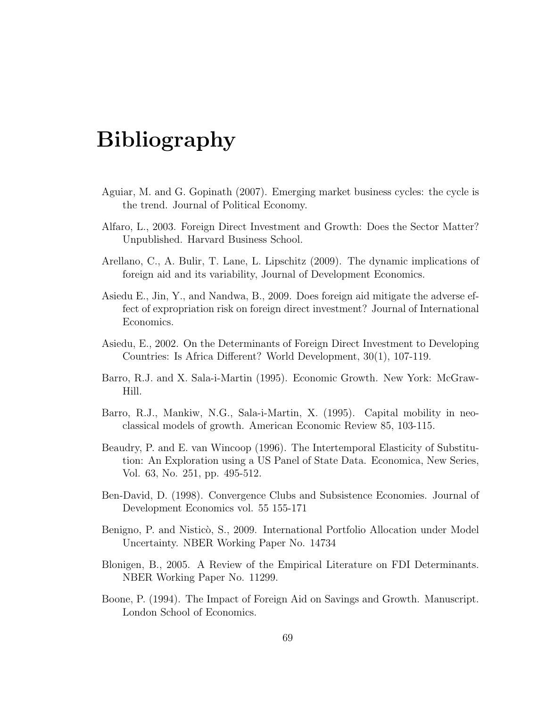## Bibliography

- Aguiar, M. and G. Gopinath (2007). Emerging market business cycles: the cycle is the trend. Journal of Political Economy.
- Alfaro, L., 2003. Foreign Direct Investment and Growth: Does the Sector Matter? Unpublished. Harvard Business School.
- Arellano, C., A. Bulir, T. Lane, L. Lipschitz (2009). The dynamic implications of foreign aid and its variability, Journal of Development Economics.
- Asiedu E., Jin, Y., and Nandwa, B., 2009. Does foreign aid mitigate the adverse effect of expropriation risk on foreign direct investment? Journal of International Economics.
- Asiedu, E., 2002. On the Determinants of Foreign Direct Investment to Developing Countries: Is Africa Different? World Development, 30(1), 107-119.
- Barro, R.J. and X. Sala-i-Martin (1995). Economic Growth. New York: McGraw-Hill.
- Barro, R.J., Mankiw, N.G., Sala-i-Martin, X. (1995). Capital mobility in neoclassical models of growth. American Economic Review 85, 103-115.
- Beaudry, P. and E. van Wincoop (1996). The Intertemporal Elasticity of Substitution: An Exploration using a US Panel of State Data. Economica, New Series, Vol. 63, No. 251, pp. 495-512.
- Ben-David, D. (1998). Convergence Clubs and Subsistence Economies. Journal of Development Economics vol. 55 155-171
- Benigno, P. and Nisticò, S., 2009. International Portfolio Allocation under Model Uncertainty. NBER Working Paper No. 14734
- Blonigen, B., 2005. A Review of the Empirical Literature on FDI Determinants. NBER Working Paper No. 11299.
- Boone, P. (1994). The Impact of Foreign Aid on Savings and Growth. Manuscript. London School of Economics.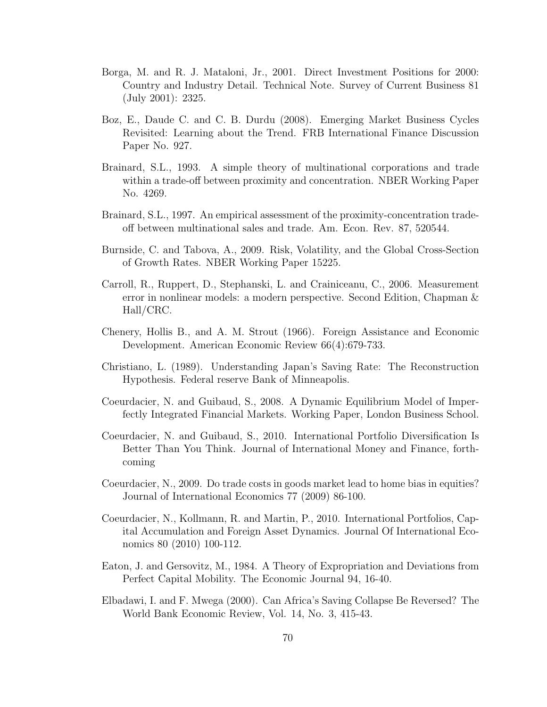- Borga, M. and R. J. Mataloni, Jr., 2001. Direct Investment Positions for 2000: Country and Industry Detail. Technical Note. Survey of Current Business 81 (July 2001): 2325.
- Boz, E., Daude C. and C. B. Durdu (2008). Emerging Market Business Cycles Revisited: Learning about the Trend. FRB International Finance Discussion Paper No. 927.
- Brainard, S.L., 1993. A simple theory of multinational corporations and trade within a trade-off between proximity and concentration. NBER Working Paper No. 4269.
- Brainard, S.L., 1997. An empirical assessment of the proximity-concentration tradeoff between multinational sales and trade. Am. Econ. Rev. 87, 520544.
- Burnside, C. and Tabova, A., 2009. Risk, Volatility, and the Global Cross-Section of Growth Rates. NBER Working Paper 15225.
- Carroll, R., Ruppert, D., Stephanski, L. and Crainiceanu, C., 2006. Measurement error in nonlinear models: a modern perspective. Second Edition, Chapman & Hall/CRC.
- Chenery, Hollis B., and A. M. Strout (1966). Foreign Assistance and Economic Development. American Economic Review 66(4):679-733.
- Christiano, L. (1989). Understanding Japan's Saving Rate: The Reconstruction Hypothesis. Federal reserve Bank of Minneapolis.
- Coeurdacier, N. and Guibaud, S., 2008. A Dynamic Equilibrium Model of Imperfectly Integrated Financial Markets. Working Paper, London Business School.
- Coeurdacier, N. and Guibaud, S., 2010. International Portfolio Diversification Is Better Than You Think. Journal of International Money and Finance, forthcoming
- Coeurdacier, N., 2009. Do trade costs in goods market lead to home bias in equities? Journal of International Economics 77 (2009) 86-100.
- Coeurdacier, N., Kollmann, R. and Martin, P., 2010. International Portfolios, Capital Accumulation and Foreign Asset Dynamics. Journal Of International Economics 80 (2010) 100-112.
- Eaton, J. and Gersovitz, M., 1984. A Theory of Expropriation and Deviations from Perfect Capital Mobility. The Economic Journal 94, 16-40.
- Elbadawi, I. and F. Mwega (2000). Can Africa's Saving Collapse Be Reversed? The World Bank Economic Review, Vol. 14, No. 3, 415-43.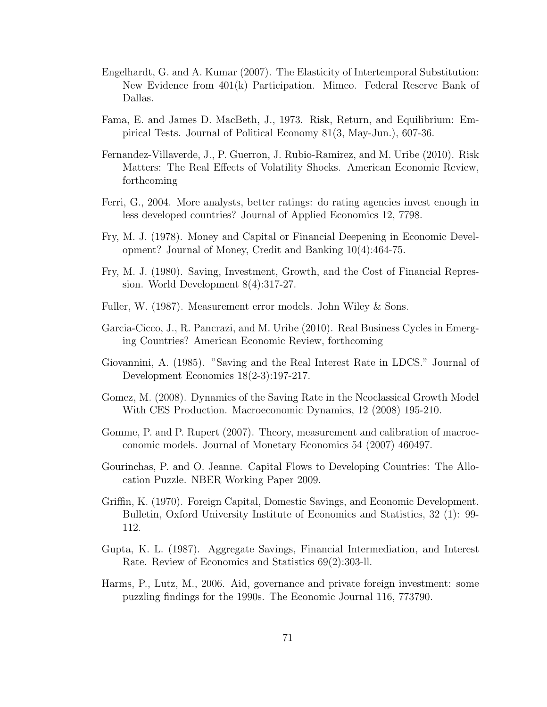- Engelhardt, G. and A. Kumar (2007). The Elasticity of Intertemporal Substitution: New Evidence from 401(k) Participation. Mimeo. Federal Reserve Bank of Dallas.
- Fama, E. and James D. MacBeth, J., 1973. Risk, Return, and Equilibrium: Empirical Tests. Journal of Political Economy 81(3, May-Jun.), 607-36.
- Fernandez-Villaverde, J., P. Guerron, J. Rubio-Ramirez, and M. Uribe (2010). Risk Matters: The Real Effects of Volatility Shocks. American Economic Review, forthcoming
- Ferri, G., 2004. More analysts, better ratings: do rating agencies invest enough in less developed countries? Journal of Applied Economics 12, 7798.
- Fry, M. J. (1978). Money and Capital or Financial Deepening in Economic Development? Journal of Money, Credit and Banking 10(4):464-75.
- Fry, M. J. (1980). Saving, Investment, Growth, and the Cost of Financial Repression. World Development 8(4):317-27.
- Fuller, W. (1987). Measurement error models. John Wiley & Sons.
- Garcia-Cicco, J., R. Pancrazi, and M. Uribe (2010). Real Business Cycles in Emerging Countries? American Economic Review, forthcoming
- Giovannini, A. (1985). "Saving and the Real Interest Rate in LDCS." Journal of Development Economics 18(2-3):197-217.
- Gomez, M. (2008). Dynamics of the Saving Rate in the Neoclassical Growth Model With CES Production. Macroeconomic Dynamics, 12 (2008) 195-210.
- Gomme, P. and P. Rupert (2007). Theory, measurement and calibration of macroeconomic models. Journal of Monetary Economics 54 (2007) 460497.
- Gourinchas, P. and O. Jeanne. Capital Flows to Developing Countries: The Allocation Puzzle. NBER Working Paper 2009.
- Griffin, K. (1970). Foreign Capital, Domestic Savings, and Economic Development. Bulletin, Oxford University Institute of Economics and Statistics, 32 (1): 99- 112.
- Gupta, K. L. (1987). Aggregate Savings, Financial Intermediation, and Interest Rate. Review of Economics and Statistics 69(2):303-ll.
- Harms, P., Lutz, M., 2006. Aid, governance and private foreign investment: some puzzling findings for the 1990s. The Economic Journal 116, 773790.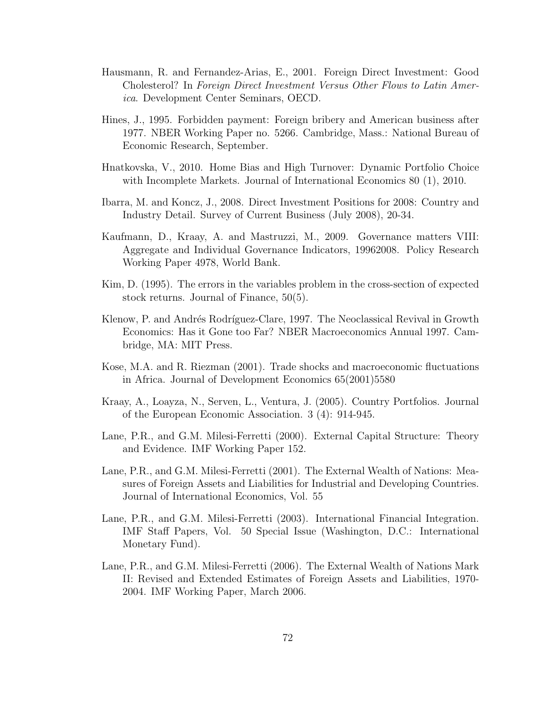- Hausmann, R. and Fernandez-Arias, E., 2001. Foreign Direct Investment: Good Cholesterol? In Foreign Direct Investment Versus Other Flows to Latin America. Development Center Seminars, OECD.
- Hines, J., 1995. Forbidden payment: Foreign bribery and American business after 1977. NBER Working Paper no. 5266. Cambridge, Mass.: National Bureau of Economic Research, September.
- Hnatkovska, V., 2010. Home Bias and High Turnover: Dynamic Portfolio Choice with Incomplete Markets. Journal of International Economics 80 (1), 2010.
- Ibarra, M. and Koncz, J., 2008. Direct Investment Positions for 2008: Country and Industry Detail. Survey of Current Business (July 2008), 20-34.
- Kaufmann, D., Kraay, A. and Mastruzzi, M., 2009. Governance matters VIII: Aggregate and Individual Governance Indicators, 19962008. Policy Research Working Paper 4978, World Bank.
- Kim, D. (1995). The errors in the variables problem in the cross-section of expected stock returns. Journal of Finance, 50(5).
- Klenow, P. and Andrés Rodríguez-Clare, 1997. The Neoclassical Revival in Growth Economics: Has it Gone too Far? NBER Macroeconomics Annual 1997. Cambridge, MA: MIT Press.
- Kose, M.A. and R. Riezman (2001). Trade shocks and macroeconomic fluctuations in Africa. Journal of Development Economics 65(2001)5580
- Kraay, A., Loayza, N., Serven, L., Ventura, J. (2005). Country Portfolios. Journal of the European Economic Association. 3 (4): 914-945.
- Lane, P.R., and G.M. Milesi-Ferretti (2000). External Capital Structure: Theory and Evidence. IMF Working Paper 152.
- Lane, P.R., and G.M. Milesi-Ferretti (2001). The External Wealth of Nations: Measures of Foreign Assets and Liabilities for Industrial and Developing Countries. Journal of International Economics, Vol. 55
- Lane, P.R., and G.M. Milesi-Ferretti (2003). International Financial Integration. IMF Staff Papers, Vol. 50 Special Issue (Washington, D.C.: International Monetary Fund).
- Lane, P.R., and G.M. Milesi-Ferretti (2006). The External Wealth of Nations Mark II: Revised and Extended Estimates of Foreign Assets and Liabilities, 1970- 2004. IMF Working Paper, March 2006.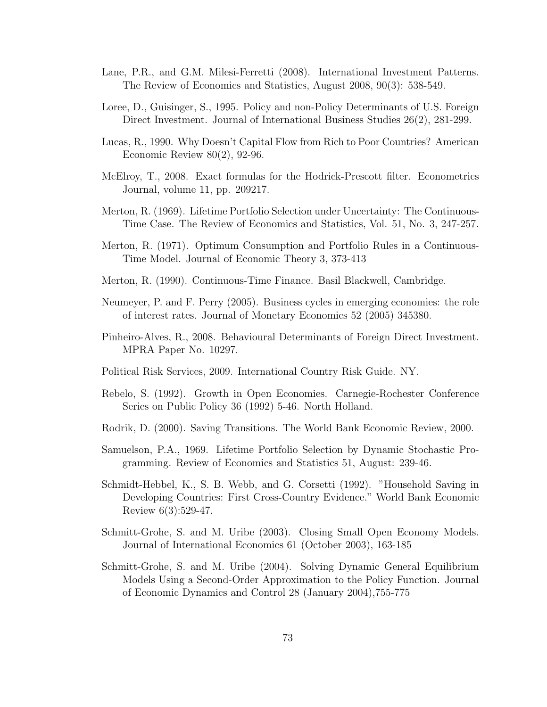- Lane, P.R., and G.M. Milesi-Ferretti (2008). International Investment Patterns. The Review of Economics and Statistics, August 2008, 90(3): 538-549.
- Loree, D., Guisinger, S., 1995. Policy and non-Policy Determinants of U.S. Foreign Direct Investment. Journal of International Business Studies 26(2), 281-299.
- Lucas, R., 1990. Why Doesn't Capital Flow from Rich to Poor Countries? American Economic Review  $80(2)$ , 92-96.
- McElroy, T., 2008. Exact formulas for the Hodrick-Prescott filter. Econometrics Journal, volume 11, pp. 209217.
- Merton, R. (1969). Lifetime Portfolio Selection under Uncertainty: The Continuous-Time Case. The Review of Economics and Statistics, Vol. 51, No. 3, 247-257.
- Merton, R. (1971). Optimum Consumption and Portfolio Rules in a Continuous-Time Model. Journal of Economic Theory 3, 373-413
- Merton, R. (1990). Continuous-Time Finance. Basil Blackwell, Cambridge.
- Neumeyer, P. and F. Perry (2005). Business cycles in emerging economies: the role of interest rates. Journal of Monetary Economics 52 (2005) 345380.
- Pinheiro-Alves, R., 2008. Behavioural Determinants of Foreign Direct Investment. MPRA Paper No. 10297.
- Political Risk Services, 2009. International Country Risk Guide. NY.
- Rebelo, S. (1992). Growth in Open Economies. Carnegie-Rochester Conference Series on Public Policy 36 (1992) 5-46. North Holland.
- Rodrik, D. (2000). Saving Transitions. The World Bank Economic Review, 2000.
- Samuelson, P.A., 1969. Lifetime Portfolio Selection by Dynamic Stochastic Programming. Review of Economics and Statistics 51, August: 239-46.
- Schmidt-Hebbel, K., S. B. Webb, and G. Corsetti (1992). "Household Saving in Developing Countries: First Cross-Country Evidence." World Bank Economic Review 6(3):529-47.
- Schmitt-Grohe, S. and M. Uribe (2003). Closing Small Open Economy Models. Journal of International Economics 61 (October 2003), 163-185
- Schmitt-Grohe, S. and M. Uribe (2004). Solving Dynamic General Equilibrium Models Using a Second-Order Approximation to the Policy Function. Journal of Economic Dynamics and Control 28 (January 2004),755-775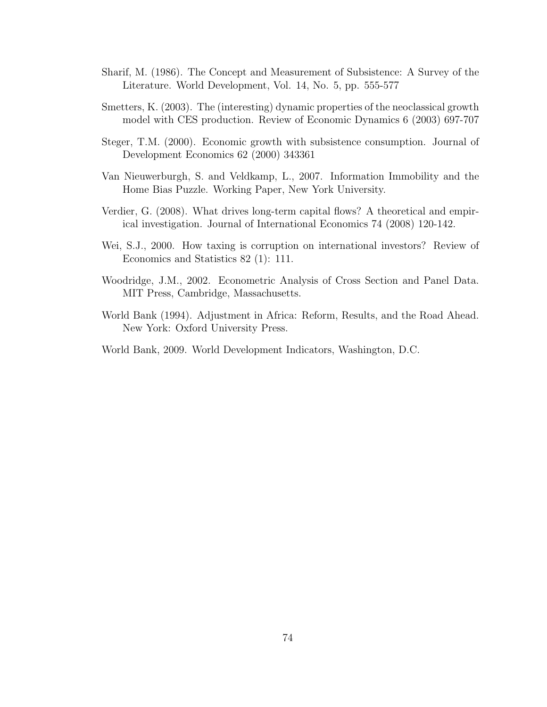- Sharif, M. (1986). The Concept and Measurement of Subsistence: A Survey of the Literature. World Development, Vol. 14, No. 5, pp. 555-577
- Smetters, K. (2003). The (interesting) dynamic properties of the neoclassical growth model with CES production. Review of Economic Dynamics 6 (2003) 697-707
- Steger, T.M. (2000). Economic growth with subsistence consumption. Journal of Development Economics 62 (2000) 343361
- Van Nieuwerburgh, S. and Veldkamp, L., 2007. Information Immobility and the Home Bias Puzzle. Working Paper, New York University.
- Verdier, G. (2008). What drives long-term capital flows? A theoretical and empirical investigation. Journal of International Economics 74 (2008) 120-142.
- Wei, S.J., 2000. How taxing is corruption on international investors? Review of Economics and Statistics 82 (1): 111.
- Woodridge, J.M., 2002. Econometric Analysis of Cross Section and Panel Data. MIT Press, Cambridge, Massachusetts.
- World Bank (1994). Adjustment in Africa: Reform, Results, and the Road Ahead. New York: Oxford University Press.
- World Bank, 2009. World Development Indicators, Washington, D.C.